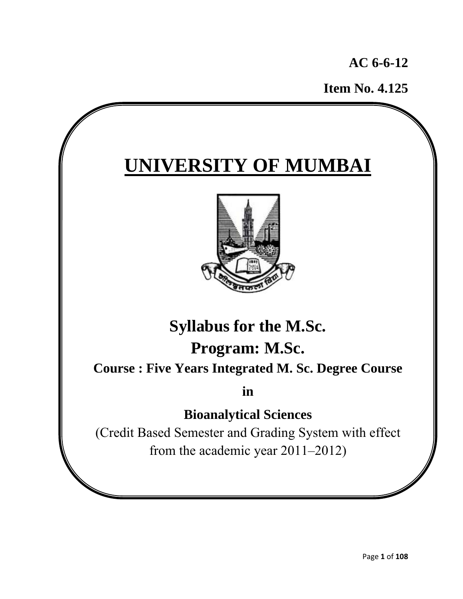**AC 6-6-12** 

 **Item No. 4.125**

# **UNIVERSITY OF MUMBAI**



## **Syllabus for the M.Sc. Program: M.Sc.**

**Course : Five Years Integrated M. Sc. Degree Course** 

**in** 

## **Bioanalytical Sciences**

(Credit Based Semester and Grading System with effect from the academic year 2011–2012)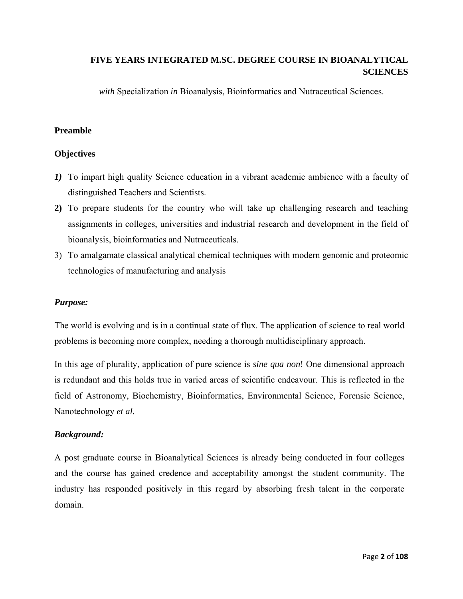### **FIVE YEARS INTEGRATED M.SC. DEGREE COURSE IN BIOANALYTICAL SCIENCES**

*with* Specialization *in* Bioanalysis, Bioinformatics and Nutraceutical Sciences.

### **Preamble**

### **Objectives**

- *1)* To impart high quality Science education in a vibrant academic ambience with a faculty of distinguished Teachers and Scientists.
- **2)** To prepare students for the country who will take up challenging research and teaching assignments in colleges, universities and industrial research and development in the field of bioanalysis, bioinformatics and Nutraceuticals.
- 3) To amalgamate classical analytical chemical techniques with modern genomic and proteomic technologies of manufacturing and analysis

### *Purpose:*

The world is evolving and is in a continual state of flux. The application of science to real world problems is becoming more complex, needing a thorough multidisciplinary approach.

In this age of plurality, application of pure science is *sine qua non*! One dimensional approach is redundant and this holds true in varied areas of scientific endeavour. This is reflected in the field of Astronomy, Biochemistry, Bioinformatics, Environmental Science, Forensic Science, Nanotechnology *et al.*

### *Background:*

A post graduate course in Bioanalytical Sciences is already being conducted in four colleges and the course has gained credence and acceptability amongst the student community. The industry has responded positively in this regard by absorbing fresh talent in the corporate domain.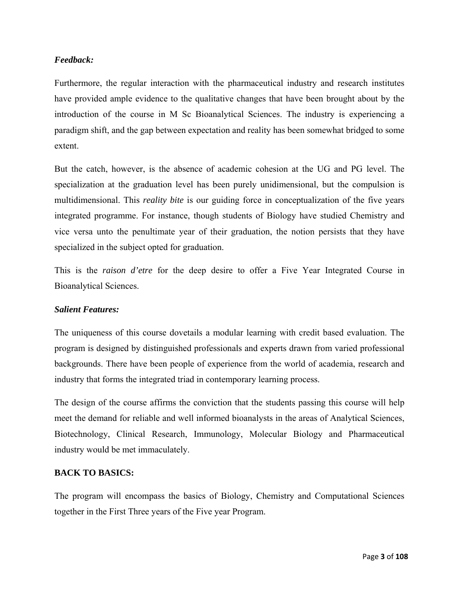### *Feedback:*

Furthermore, the regular interaction with the pharmaceutical industry and research institutes have provided ample evidence to the qualitative changes that have been brought about by the introduction of the course in M Sc Bioanalytical Sciences. The industry is experiencing a paradigm shift, and the gap between expectation and reality has been somewhat bridged to some extent.

But the catch, however, is the absence of academic cohesion at the UG and PG level. The specialization at the graduation level has been purely unidimensional, but the compulsion is multidimensional. This *reality bite* is our guiding force in conceptualization of the five years integrated programme. For instance, though students of Biology have studied Chemistry and vice versa unto the penultimate year of their graduation, the notion persists that they have specialized in the subject opted for graduation.

This is the *raison d'etre* for the deep desire to offer a Five Year Integrated Course in Bioanalytical Sciences.

### *Salient Features:*

The uniqueness of this course dovetails a modular learning with credit based evaluation. The program is designed by distinguished professionals and experts drawn from varied professional backgrounds. There have been people of experience from the world of academia, research and industry that forms the integrated triad in contemporary learning process.

The design of the course affirms the conviction that the students passing this course will help meet the demand for reliable and well informed bioanalysts in the areas of Analytical Sciences, Biotechnology, Clinical Research, Immunology, Molecular Biology and Pharmaceutical industry would be met immaculately.

### **BACK TO BASICS:**

The program will encompass the basics of Biology, Chemistry and Computational Sciences together in the First Three years of the Five year Program.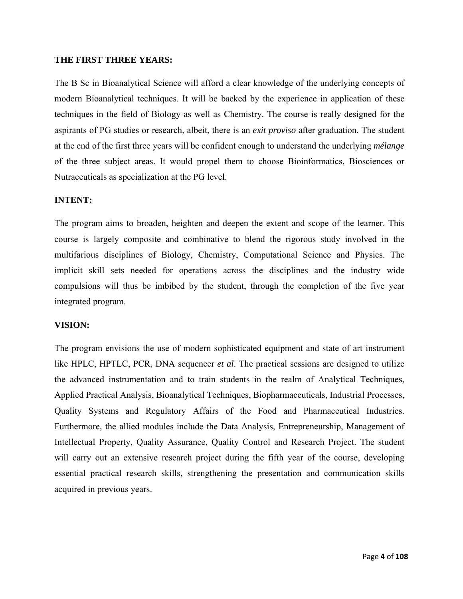### **THE FIRST THREE YEARS:**

The B Sc in Bioanalytical Science will afford a clear knowledge of the underlying concepts of modern Bioanalytical techniques. It will be backed by the experience in application of these techniques in the field of Biology as well as Chemistry. The course is really designed for the aspirants of PG studies or research, albeit, there is an *exit proviso* after graduation. The student at the end of the first three years will be confident enough to understand the underlying *mélange*  of the three subject areas. It would propel them to choose Bioinformatics, Biosciences or Nutraceuticals as specialization at the PG level.

### **INTENT:**

The program aims to broaden, heighten and deepen the extent and scope of the learner. This course is largely composite and combinative to blend the rigorous study involved in the multifarious disciplines of Biology, Chemistry, Computational Science and Physics. The implicit skill sets needed for operations across the disciplines and the industry wide compulsions will thus be imbibed by the student, through the completion of the five year integrated program.

### **VISION:**

The program envisions the use of modern sophisticated equipment and state of art instrument like HPLC, HPTLC, PCR, DNA sequencer *et al*. The practical sessions are designed to utilize the advanced instrumentation and to train students in the realm of Analytical Techniques, Applied Practical Analysis, Bioanalytical Techniques, Biopharmaceuticals, Industrial Processes, Quality Systems and Regulatory Affairs of the Food and Pharmaceutical Industries. Furthermore, the allied modules include the Data Analysis, Entrepreneurship, Management of Intellectual Property, Quality Assurance, Quality Control and Research Project. The student will carry out an extensive research project during the fifth year of the course, developing essential practical research skills, strengthening the presentation and communication skills acquired in previous years.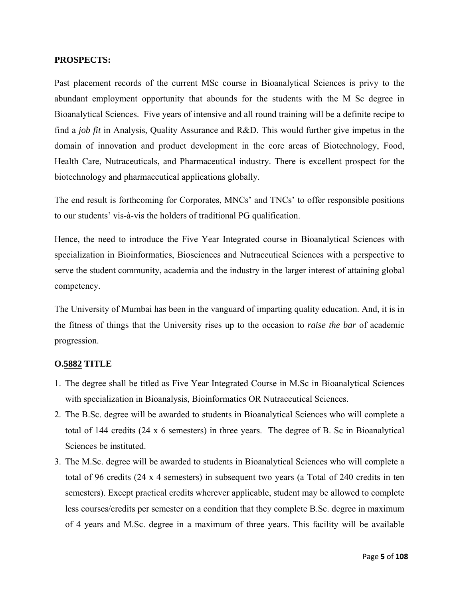### **PROSPECTS:**

Past placement records of the current MSc course in Bioanalytical Sciences is privy to the abundant employment opportunity that abounds for the students with the M Sc degree in Bioanalytical Sciences. Five years of intensive and all round training will be a definite recipe to find a *job fit* in Analysis, Quality Assurance and R&D. This would further give impetus in the domain of innovation and product development in the core areas of Biotechnology, Food, Health Care, Nutraceuticals, and Pharmaceutical industry. There is excellent prospect for the biotechnology and pharmaceutical applications globally.

The end result is forthcoming for Corporates, MNCs' and TNCs' to offer responsible positions to our students' vis-à-vis the holders of traditional PG qualification.

Hence, the need to introduce the Five Year Integrated course in Bioanalytical Sciences with specialization in Bioinformatics, Biosciences and Nutraceutical Sciences with a perspective to serve the student community, academia and the industry in the larger interest of attaining global competency.

The University of Mumbai has been in the vanguard of imparting quality education. And, it is in the fitness of things that the University rises up to the occasion to *raise the bar* of academic progression.

### **O.5882 TITLE**

- 1. The degree shall be titled as Five Year Integrated Course in M.Sc in Bioanalytical Sciences with specialization in Bioanalysis, Bioinformatics OR Nutraceutical Sciences.
- 2. The B.Sc. degree will be awarded to students in Bioanalytical Sciences who will complete a total of 144 credits (24 x 6 semesters) in three years. The degree of B. Sc in Bioanalytical Sciences be instituted.
- 3. The M.Sc. degree will be awarded to students in Bioanalytical Sciences who will complete a total of 96 credits (24 x 4 semesters) in subsequent two years (a Total of 240 credits in ten semesters). Except practical credits wherever applicable, student may be allowed to complete less courses/credits per semester on a condition that they complete B.Sc. degree in maximum of 4 years and M.Sc. degree in a maximum of three years. This facility will be available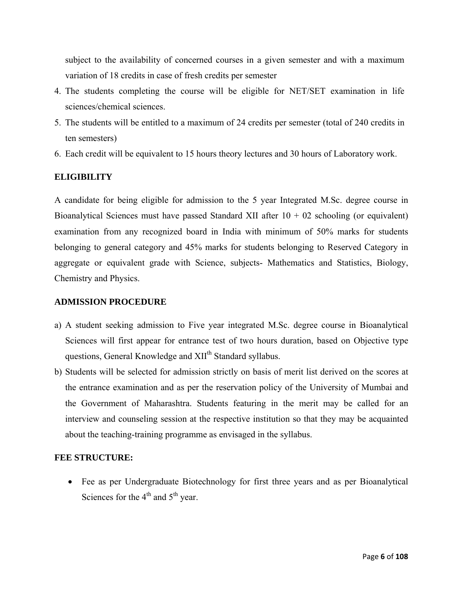subject to the availability of concerned courses in a given semester and with a maximum variation of 18 credits in case of fresh credits per semester

- 4. The students completing the course will be eligible for NET/SET examination in life sciences/chemical sciences.
- 5. The students will be entitled to a maximum of 24 credits per semester (total of 240 credits in ten semesters)
- 6. Each credit will be equivalent to 15 hours theory lectures and 30 hours of Laboratory work.

### **ELIGIBILITY**

A candidate for being eligible for admission to the 5 year Integrated M.Sc. degree course in Bioanalytical Sciences must have passed Standard XII after  $10 + 02$  schooling (or equivalent) examination from any recognized board in India with minimum of 50% marks for students belonging to general category and 45% marks for students belonging to Reserved Category in aggregate or equivalent grade with Science, subjects- Mathematics and Statistics, Biology, Chemistry and Physics.

### **ADMISSION PROCEDURE**

- a) A student seeking admission to Five year integrated M.Sc. degree course in Bioanalytical Sciences will first appear for entrance test of two hours duration, based on Objective type questions, General Knowledge and XII<sup>th</sup> Standard syllabus.
- b) Students will be selected for admission strictly on basis of merit list derived on the scores at the entrance examination and as per the reservation policy of the University of Mumbai and the Government of Maharashtra. Students featuring in the merit may be called for an interview and counseling session at the respective institution so that they may be acquainted about the teaching-training programme as envisaged in the syllabus.

### **FEE STRUCTURE:**

• Fee as per Undergraduate Biotechnology for first three years and as per Bioanalytical Sciences for the  $4<sup>th</sup>$  and  $5<sup>th</sup>$  year.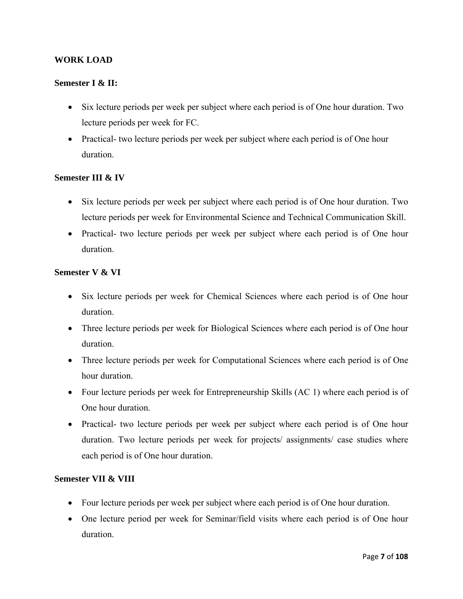### **WORK LOAD**

### **Semester I & II:**

- Six lecture periods per week per subject where each period is of One hour duration. Two lecture periods per week for FC.
- Practical- two lecture periods per week per subject where each period is of One hour duration.

### **Semester III & IV**

- Six lecture periods per week per subject where each period is of One hour duration. Two lecture periods per week for Environmental Science and Technical Communication Skill.
- Practical- two lecture periods per week per subject where each period is of One hour duration.

### **Semester V & VI**

- Six lecture periods per week for Chemical Sciences where each period is of One hour duration.
- Three lecture periods per week for Biological Sciences where each period is of One hour duration.
- Three lecture periods per week for Computational Sciences where each period is of One hour duration.
- Four lecture periods per week for Entrepreneurship Skills (AC 1) where each period is of One hour duration.
- Practical- two lecture periods per week per subject where each period is of One hour duration. Two lecture periods per week for projects/ assignments/ case studies where each period is of One hour duration.

### **Semester VII & VIII**

- Four lecture periods per week per subject where each period is of One hour duration.
- One lecture period per week for Seminar/field visits where each period is of One hour duration.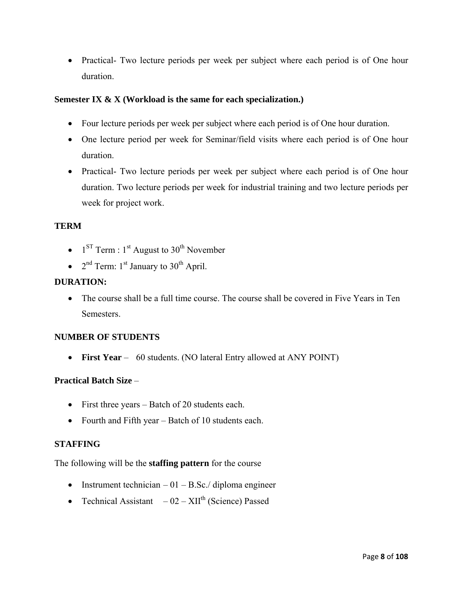• Practical- Two lecture periods per week per subject where each period is of One hour duration.

### **Semester IX & X (Workload is the same for each specialization.)**

- Four lecture periods per week per subject where each period is of One hour duration.
- One lecture period per week for Seminar/field visits where each period is of One hour duration.
- Practical- Two lecture periods per week per subject where each period is of One hour duration. Two lecture periods per week for industrial training and two lecture periods per week for project work.

### **TERM**

- $1^{ST}$  Term :  $1^{st}$  August to  $30^{th}$  November
- $2<sup>nd</sup> Term: 1<sup>st</sup> January to 30<sup>th</sup> April.$

### **DURATION:**

• The course shall be a full time course. The course shall be covered in Five Years in Ten **Semesters** 

### **NUMBER OF STUDENTS**

• **First Year** – 60 students. (NO lateral Entry allowed at ANY POINT)

### **Practical Batch Size** –

- First three years Batch of 20 students each.
- Fourth and Fifth year Batch of 10 students each.

### **STAFFING**

The following will be the **staffing pattern** for the course

- Instrument technician  $-01 B.Sc$ ./ diploma engineer
- Technical Assistant  $-02 XII^{\text{th}}$  (Science) Passed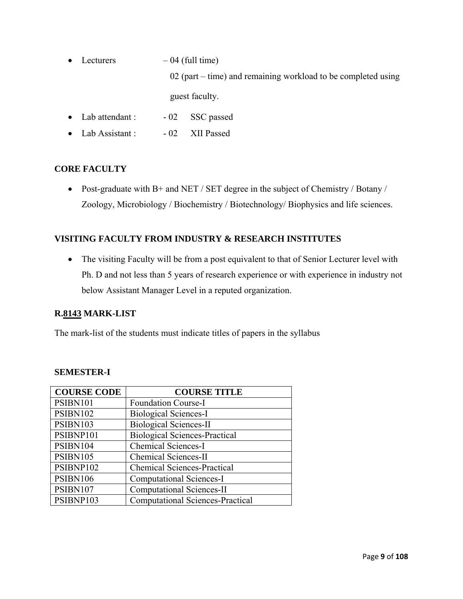- Lecturers  $-04$  (full time) 02 (part – time) and remaining workload to be completed using guest faculty.
- Lab attendant : 02 SSC passed
- Lab Assistant : 02 XII Passed

### **CORE FACULTY**

• Post-graduate with B+ and NET / SET degree in the subject of Chemistry / Botany / Zoology, Microbiology / Biochemistry / Biotechnology/ Biophysics and life sciences.

### **VISITING FACULTY FROM INDUSTRY & RESEARCH INSTITUTES**

• The visiting Faculty will be from a post equivalent to that of Senior Lecturer level with Ph. D and not less than 5 years of research experience or with experience in industry not below Assistant Manager Level in a reputed organization.

### **R.8143 MARK-LIST**

The mark-list of the students must indicate titles of papers in the syllabus

### **SEMESTER-I**

| <b>COURSE CODE</b> | <b>COURSE TITLE</b>                     |
|--------------------|-----------------------------------------|
| PSIBN101           | <b>Foundation Course-I</b>              |
| PSIBN102           | <b>Biological Sciences-I</b>            |
| PSIBN103           | <b>Biological Sciences-II</b>           |
| PSIBNP101          | <b>Biological Sciences-Practical</b>    |
| PSIBN104           | <b>Chemical Sciences-I</b>              |
| PSIBN105           | <b>Chemical Sciences-II</b>             |
| PSIBNP102          | <b>Chemical Sciences-Practical</b>      |
| PSIBN106           | <b>Computational Sciences-I</b>         |
| PSIBN107           | <b>Computational Sciences-II</b>        |
| PSIBNP103          | <b>Computational Sciences-Practical</b> |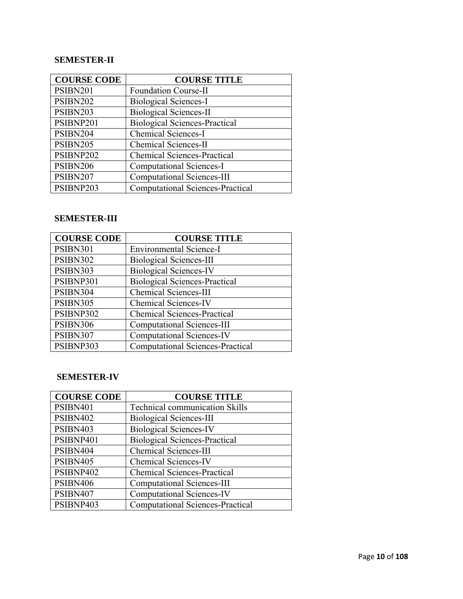### **SEMESTER-II**

| <b>COURSE CODE</b> | <b>COURSE TITLE</b>                     |
|--------------------|-----------------------------------------|
| <b>PSIBN201</b>    | <b>Foundation Course-II</b>             |
| PSIBN202           | <b>Biological Sciences-I</b>            |
| PSIBN203           | <b>Biological Sciences-II</b>           |
| PSIBNP201          | <b>Biological Sciences-Practical</b>    |
| PSIBN204           | Chemical Sciences-I                     |
| PSIBN205           | <b>Chemical Sciences-II</b>             |
| PSIBNP202          | <b>Chemical Sciences-Practical</b>      |
| <b>PSIBN206</b>    | <b>Computational Sciences-I</b>         |
| PSIBN207           | <b>Computational Sciences-III</b>       |
| PSIBNP203          | <b>Computational Sciences-Practical</b> |

### **SEMESTER-III**

| <b>COURSE CODE</b> | <b>COURSE TITLE</b>                     |
|--------------------|-----------------------------------------|
| PSIBN301           | <b>Environmental Science-I</b>          |
| PSIBN302           | <b>Biological Sciences-III</b>          |
| PSIBN303           | <b>Biological Sciences-IV</b>           |
| PSIBNP301          | <b>Biological Sciences-Practical</b>    |
| PSIBN304           | <b>Chemical Sciences-III</b>            |
| PSIBN305           | <b>Chemical Sciences-IV</b>             |
| PSIBNP302          | <b>Chemical Sciences-Practical</b>      |
| PSIBN306           | <b>Computational Sciences-III</b>       |
| PSIBN307           | <b>Computational Sciences-IV</b>        |
| PSIBNP303          | <b>Computational Sciences-Practical</b> |

### **SEMESTER-IV**

| <b>COURSE CODE</b> | <b>COURSE TITLE</b>                     |
|--------------------|-----------------------------------------|
| PSIBN401           | <b>Technical communication Skills</b>   |
| PSIBN402           | <b>Biological Sciences-III</b>          |
| PSIBN403           | <b>Biological Sciences-IV</b>           |
| PSIBNP401          | <b>Biological Sciences-Practical</b>    |
| PSIBN404           | <b>Chemical Sciences-III</b>            |
| PSIBN405           | <b>Chemical Sciences-IV</b>             |
| PSIBNP402          | <b>Chemical Sciences-Practical</b>      |
| PSIBN406           | <b>Computational Sciences-III</b>       |
| PSIBN407           | <b>Computational Sciences-IV</b>        |
| PSIBNP403          | <b>Computational Sciences-Practical</b> |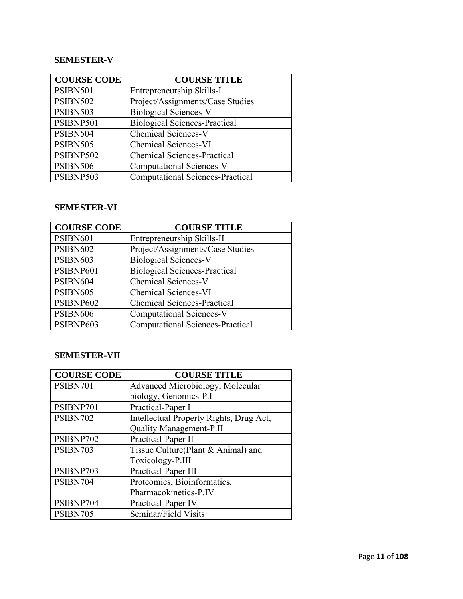### **SEMESTER-V**

| <b>COURSE CODE</b> | <b>COURSE TITLE</b>                     |
|--------------------|-----------------------------------------|
| <b>PSIBN501</b>    | Entrepreneurship Skills-I               |
| <b>PSIBN502</b>    | Project/Assignments/Case Studies        |
| PSIBN503           | <b>Biological Sciences-V</b>            |
| PSIBNP501          | <b>Biological Sciences-Practical</b>    |
| PSIBN504           | Chemical Sciences-V                     |
| <b>PSIBN505</b>    | Chemical Sciences-VI                    |
| PSIBNP502          | <b>Chemical Sciences-Practical</b>      |
| <b>PSIBN506</b>    | <b>Computational Sciences-V</b>         |
| PSIBNP503          | <b>Computational Sciences-Practical</b> |

### **SEMESTER-VI**

| <b>COURSE CODE</b> | <b>COURSE TITLE</b>                     |
|--------------------|-----------------------------------------|
| PSIBN601           | Entrepreneurship Skills-II              |
| <b>PSIBN602</b>    | Project/Assignments/Case Studies        |
| PSIBN603           | <b>Biological Sciences-V</b>            |
| PSIBNP601          | <b>Biological Sciences-Practical</b>    |
| PSIBN604           | Chemical Sciences-V                     |
| <b>PSIBN605</b>    | <b>Chemical Sciences-VI</b>             |
| PSIBNP602          | <b>Chemical Sciences-Practical</b>      |
| <b>PSIBN606</b>    | <b>Computational Sciences-V</b>         |
| PSIBNP603          | <b>Computational Sciences-Practical</b> |

### **SEMESTER-VII**

| <b>COURSE CODE</b> | <b>COURSE TITLE</b>                     |
|--------------------|-----------------------------------------|
| PSIBN701           | Advanced Microbiology, Molecular        |
|                    | biology, Genomics-P.I                   |
| PSIBNP701          | Practical-Paper I                       |
| PSIBN702           | Intellectual Property Rights, Drug Act, |
|                    | Quality Management-P.II                 |
| PSIBNP702          | Practical-Paper II                      |
| PSIBN703           | Tissue Culture(Plant & Animal) and      |
|                    | Toxicology-P.III                        |
| PSIBNP703          | Practical-Paper III                     |
| PSIBN704           | Proteomics, Bioinformatics,             |
|                    | Pharmacokinetics-P.IV                   |
| PSIBNP704          | Practical-Paper IV                      |
| PSIBN705           | Seminar/Field Visits                    |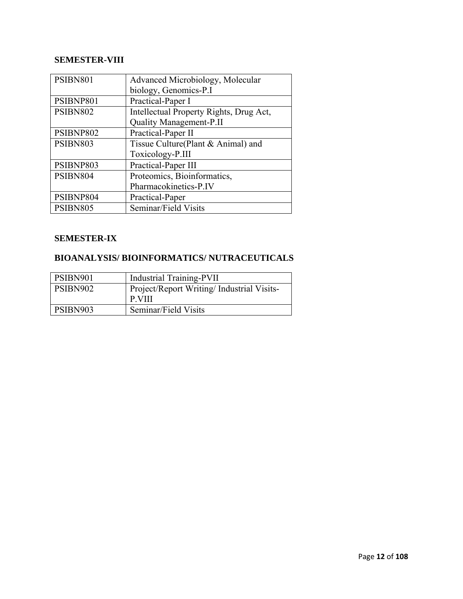### **SEMESTER-VIII**

| PSIBN801  | Advanced Microbiology, Molecular        |
|-----------|-----------------------------------------|
|           | biology, Genomics-P.I                   |
| PSIBNP801 | Practical-Paper I                       |
| PSIBN802  | Intellectual Property Rights, Drug Act, |
|           | Quality Management-P.II                 |
| PSIBNP802 | Practical-Paper II                      |
| PSIBN803  | Tissue Culture(Plant & Animal) and      |
|           | Toxicology-P.III                        |
| PSIBNP803 | Practical-Paper III                     |
| PSIBN804  | Proteomics, Bioinformatics,             |
|           | Pharmacokinetics-P.IV                   |
| PSIBNP804 | Practical-Paper                         |
| PSIBN805  | Seminar/Field Visits                    |

### **SEMESTER-IX**

### **BIOANALYSIS/ BIOINFORMATICS/ NUTRACEUTICALS**

| PSIBN901 | <b>Industrial Training-PVII</b>            |
|----------|--------------------------------------------|
| PSIBN902 | Project/Report Writing/ Industrial Visits- |
|          | P.VIII                                     |
| PSIBN903 | Seminar/Field Visits                       |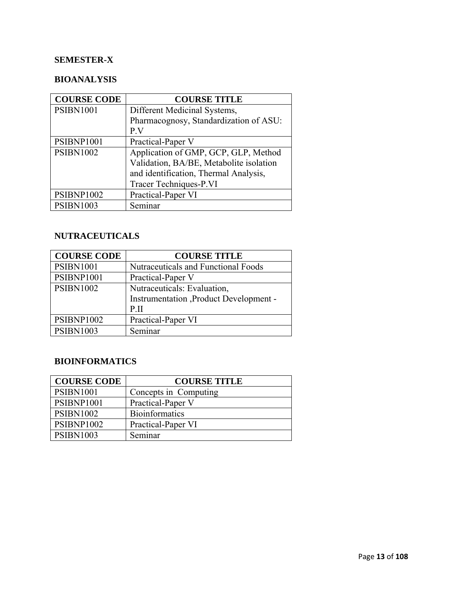### **SEMESTER-X**

### **BIOANALYSIS**

| <b>COURSE CODE</b> | <b>COURSE TITLE</b>                     |
|--------------------|-----------------------------------------|
| <b>PSIBN1001</b>   | Different Medicinal Systems,            |
|                    | Pharmacognosy, Standardization of ASU:  |
|                    | P.V                                     |
| PSIBNP1001         | Practical-Paper V                       |
| <b>PSIBN1002</b>   | Application of GMP, GCP, GLP, Method    |
|                    | Validation, BA/BE, Metabolite isolation |
|                    | and identification, Thermal Analysis,   |
|                    | Tracer Techniques-P.VI                  |
| PSIBNP1002         | Practical-Paper VI                      |
| <b>PSIBN1003</b>   | Seminar                                 |

### **NUTRACEUTICALS**

| <b>COURSE CODE</b> | <b>COURSE TITLE</b>                        |
|--------------------|--------------------------------------------|
| <b>PSIBN1001</b>   | <b>Nutraceuticals and Functional Foods</b> |
| PSIBNP1001         | Practical-Paper V                          |
| <b>PSIBN1002</b>   | Nutraceuticals: Evaluation,                |
|                    | Instrumentation , Product Development -    |
|                    | $P_{\cdot}$ II                             |
| <b>PSIBNP1002</b>  | Practical-Paper VI                         |
| <b>PSIBN1003</b>   | Seminar                                    |

### **BIOINFORMATICS**

| <b>COURSE CODE</b> | <b>COURSE TITLE</b>   |
|--------------------|-----------------------|
| <b>PSIBN1001</b>   | Concepts in Computing |
| PSIBNP1001         | Practical-Paper V     |
| <b>PSIBN1002</b>   | <b>Bioinformatics</b> |
| PSIBNP1002         | Practical-Paper VI    |
| <b>PSIBN1003</b>   | Seminar               |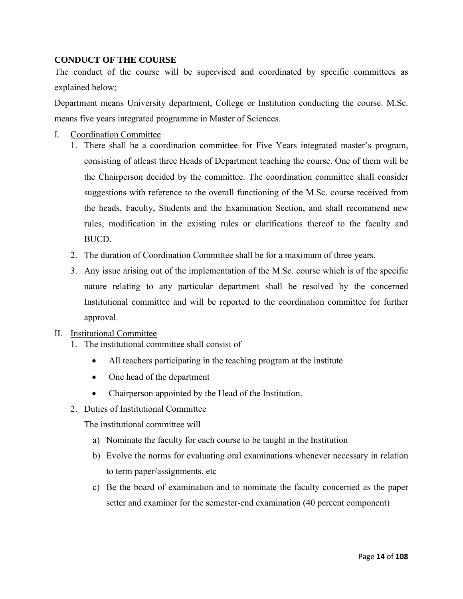### **CONDUCT OF THE COURSE**

The conduct of the course will be supervised and coordinated by specific committees as explained below;

Department means University department, College or Institution conducting the course. M.Sc. means five years integrated programme in Master of Sciences.

- I. Coordination Committee
	- 1. There shall be a coordination committee for Five Years integrated master's program, consisting of atleast three Heads of Department teaching the course. One of them will be the Chairperson decided by the committee. The coordination committee shall consider suggestions with reference to the overall functioning of the M.Sc. course received from the heads, Faculty, Students and the Examination Section, and shall recommend new rules, modification in the existing rules or clarifications thereof to the faculty and BUCD.
	- 2. The duration of Coordination Committee shall be for a maximum of three years.
	- 3. Any issue arising out of the implementation of the M.Sc. course which is of the specific nature relating to any particular department shall be resolved by the concerned Institutional committee and will be reported to the coordination committee for further approval.
- II. Institutional Committee
	- 1. The institutional committee shall consist of
		- All teachers participating in the teaching program at the institute
		- One head of the department
		- Chairperson appointed by the Head of the Institution.
	- 2. Duties of Institutional Committee

The institutional committee will

- a) Nominate the faculty for each course to be taught in the Institution
- b) Evolve the norms for evaluating oral examinations whenever necessary in relation to term paper/assignments, etc
- c) Be the board of examination and to nominate the faculty concerned as the paper setter and examiner for the semester-end examination (40 percent component)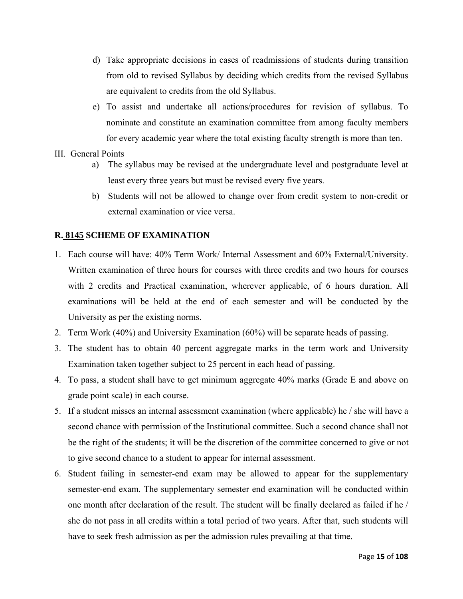- d) Take appropriate decisions in cases of readmissions of students during transition from old to revised Syllabus by deciding which credits from the revised Syllabus are equivalent to credits from the old Syllabus.
- e) To assist and undertake all actions/procedures for revision of syllabus. To nominate and constitute an examination committee from among faculty members for every academic year where the total existing faculty strength is more than ten.

### III. General Points

- a) The syllabus may be revised at the undergraduate level and postgraduate level at least every three years but must be revised every five years.
- b) Students will not be allowed to change over from credit system to non-credit or external examination or vice versa.

### **R. 8145 SCHEME OF EXAMINATION**

- 1. Each course will have: 40% Term Work/ Internal Assessment and 60% External/University. Written examination of three hours for courses with three credits and two hours for courses with 2 credits and Practical examination, wherever applicable, of 6 hours duration. All examinations will be held at the end of each semester and will be conducted by the University as per the existing norms.
- 2. Term Work (40%) and University Examination (60%) will be separate heads of passing.
- 3. The student has to obtain 40 percent aggregate marks in the term work and University Examination taken together subject to 25 percent in each head of passing.
- 4. To pass, a student shall have to get minimum aggregate 40% marks (Grade E and above on grade point scale) in each course.
- 5. If a student misses an internal assessment examination (where applicable) he / she will have a second chance with permission of the Institutional committee. Such a second chance shall not be the right of the students; it will be the discretion of the committee concerned to give or not to give second chance to a student to appear for internal assessment.
- 6. Student failing in semester-end exam may be allowed to appear for the supplementary semester-end exam. The supplementary semester end examination will be conducted within one month after declaration of the result. The student will be finally declared as failed if he / she do not pass in all credits within a total period of two years. After that, such students will have to seek fresh admission as per the admission rules prevailing at that time.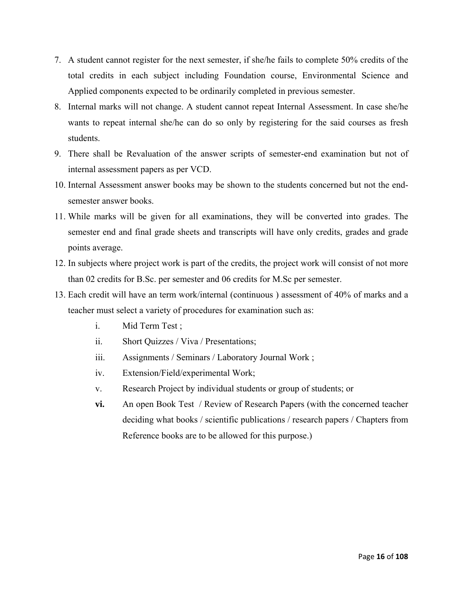- 7. A student cannot register for the next semester, if she/he fails to complete 50% credits of the total credits in each subject including Foundation course, Environmental Science and Applied components expected to be ordinarily completed in previous semester.
- 8. Internal marks will not change. A student cannot repeat Internal Assessment. In case she/he wants to repeat internal she/he can do so only by registering for the said courses as fresh students.
- 9. There shall be Revaluation of the answer scripts of semester-end examination but not of internal assessment papers as per VCD.
- 10. Internal Assessment answer books may be shown to the students concerned but not the endsemester answer books.
- 11. While marks will be given for all examinations, they will be converted into grades. The semester end and final grade sheets and transcripts will have only credits, grades and grade points average.
- 12. In subjects where project work is part of the credits, the project work will consist of not more than 02 credits for B.Sc. per semester and 06 credits for M.Sc per semester.
- 13. Each credit will have an term work/internal (continuous ) assessment of 40% of marks and a teacher must select a variety of procedures for examination such as:
	- i. Mid Term Test ;
	- ii. Short Quizzes / Viva / Presentations;
	- iii. Assignments / Seminars / Laboratory Journal Work ;
	- iv. Extension/Field/experimental Work;
	- v. Research Project by individual students or group of students; or
	- **vi.** An open Book Test / Review of Research Papers (with the concerned teacher deciding what books / scientific publications / research papers / Chapters from Reference books are to be allowed for this purpose.)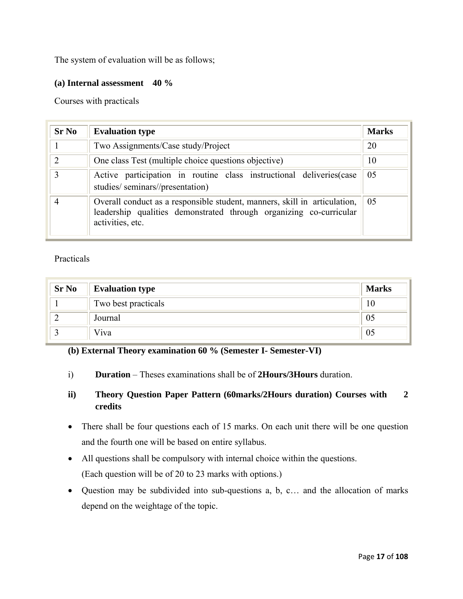The system of evaluation will be as follows;

### **(a) Internal assessment 40 %**

Courses with practicals

| <b>Sr No</b>  | <b>Evaluation type</b>                                                                                                                                                    | <b>Marks</b> |  |
|---------------|---------------------------------------------------------------------------------------------------------------------------------------------------------------------------|--------------|--|
|               | Two Assignments/Case study/Project                                                                                                                                        | 20           |  |
| $\mathcal{D}$ | One class Test (multiple choice questions objective)                                                                                                                      | 10           |  |
| $\mathcal{E}$ | Active participation in routine class instructional deliveries (case<br>studies/seminars//presentation)                                                                   | 05           |  |
|               | Overall conduct as a responsible student, manners, skill in articulation,<br>05<br>leadership qualities demonstrated through organizing co-curricular<br>activities, etc. |              |  |

### Practicals

| <b>Sr No</b> | <b>Evaluation type</b> | <b>Marks</b> |
|--------------|------------------------|--------------|
|              | Two best practicals    |              |
|              | Journal                | Ož           |
|              | Viva                   | 05           |

### **(b) External Theory examination 60 % (Semester I- Semester-VI)**

i) **Duration** – Theses examinations shall be of **2Hours/3Hours** duration.

### **ii) Theory Question Paper Pattern (60marks/2Hours duration) Courses with 2 credits**

- There shall be four questions each of 15 marks. On each unit there will be one question and the fourth one will be based on entire syllabus.
- All questions shall be compulsory with internal choice within the questions. (Each question will be of 20 to 23 marks with options.)
- Question may be subdivided into sub-questions a, b, c… and the allocation of marks depend on the weightage of the topic.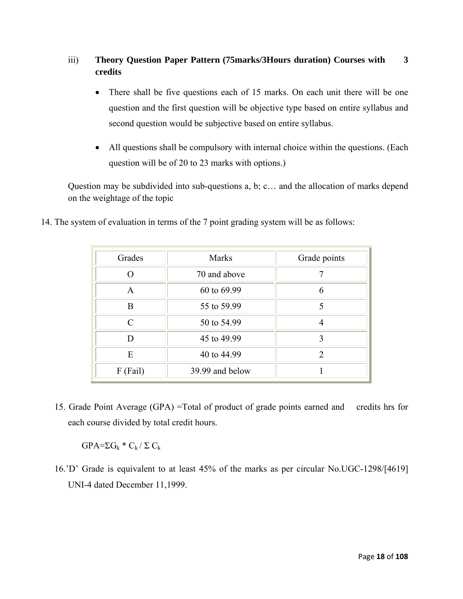### iii) **Theory Question Paper Pattern (75marks/3Hours duration) Courses with 3 credits**

- There shall be five questions each of 15 marks. On each unit there will be one question and the first question will be objective type based on entire syllabus and second question would be subjective based on entire syllabus.
- All questions shall be compulsory with internal choice within the questions. (Each question will be of 20 to 23 marks with options.)

Question may be subdivided into sub-questions a, b; c… and the allocation of marks depend on the weightage of the topic

|  |  |  |  |  |  |  |  | 14. The system of evaluation in terms of the 7 point grading system will be as follows: |
|--|--|--|--|--|--|--|--|-----------------------------------------------------------------------------------------|
|--|--|--|--|--|--|--|--|-----------------------------------------------------------------------------------------|

| Grades        | <b>Marks</b>    | Grade points  |
|---------------|-----------------|---------------|
| $\Omega$      | 70 and above    |               |
| $\mathbf{A}$  | 60 to 69.99     | 6             |
| B             | 55 to 59.99     |               |
| $\mathcal{C}$ | 50 to 54.99     | 4             |
| D             | 45 to 49.99     | 3             |
| E             | 40 to 44.99     | $\mathcal{D}$ |
| F (Fail)      | 39.99 and below |               |

15. Grade Point Average (GPA) =Total of product of grade points earned and credits hrs for each course divided by total credit hours.

 $GPA=\Sigma G_k * C_k / \Sigma C_k$ 

16.'D' Grade is equivalent to at least 45% of the marks as per circular No.UGC-1298/[4619] UNI-4 dated December 11,1999.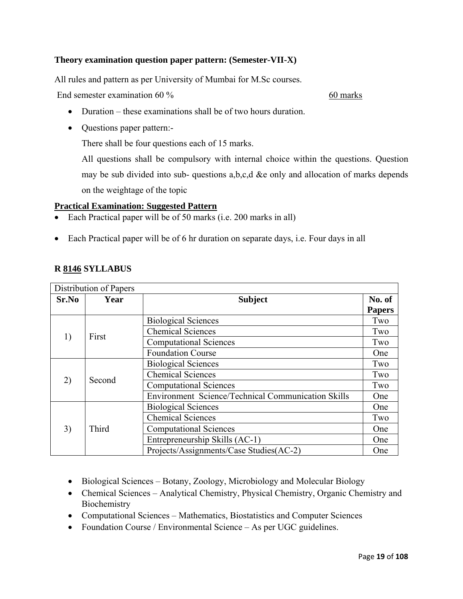### **Theory examination question paper pattern: (Semester-VII-X)**

All rules and pattern as per University of Mumbai for M.Sc courses.

End semester examination 60 % 60 marks

- Duration these examinations shall be of two hours duration.
- Questions paper pattern:-

There shall be four questions each of 15 marks.

All questions shall be compulsory with internal choice within the questions. Question may be sub divided into sub- questions a,b,c,d &e only and allocation of marks depends on the weightage of the topic

### **Practical Examination: Suggested Pattern**

- Each Practical paper will be of 50 marks (i.e. 200 marks in all)
- Each Practical paper will be of 6 hr duration on separate days, i.e. Four days in all

| Distribution of Papers |        |                                                    |               |  |  |
|------------------------|--------|----------------------------------------------------|---------------|--|--|
| Sr.No                  | Year   | <b>Subject</b>                                     |               |  |  |
|                        |        |                                                    | <b>Papers</b> |  |  |
| 1)                     | First  | <b>Biological Sciences</b>                         | Two           |  |  |
|                        |        | <b>Chemical Sciences</b>                           | Two           |  |  |
|                        |        | <b>Computational Sciences</b>                      | Two           |  |  |
|                        |        | <b>Foundation Course</b>                           | One           |  |  |
|                        | Second | <b>Biological Sciences</b>                         | Two           |  |  |
|                        |        | <b>Chemical Sciences</b>                           | Two           |  |  |
| 2)                     |        | <b>Computational Sciences</b>                      | Two           |  |  |
|                        |        | Environment Science/Technical Communication Skills | One           |  |  |
| 3)                     | Third  | <b>Biological Sciences</b>                         | One           |  |  |
|                        |        | <b>Chemical Sciences</b>                           | Two           |  |  |
|                        |        | <b>Computational Sciences</b>                      | One           |  |  |
|                        |        | Entrepreneurship Skills (AC-1)                     | One           |  |  |
|                        |        | Projects/Assignments/Case Studies(AC-2)            | One           |  |  |

- Biological Sciences Botany, Zoology, Microbiology and Molecular Biology
- Chemical Sciences Analytical Chemistry, Physical Chemistry, Organic Chemistry and **Biochemistry**
- Computational Sciences Mathematics, Biostatistics and Computer Sciences
- Foundation Course / Environmental Science As per UGC guidelines.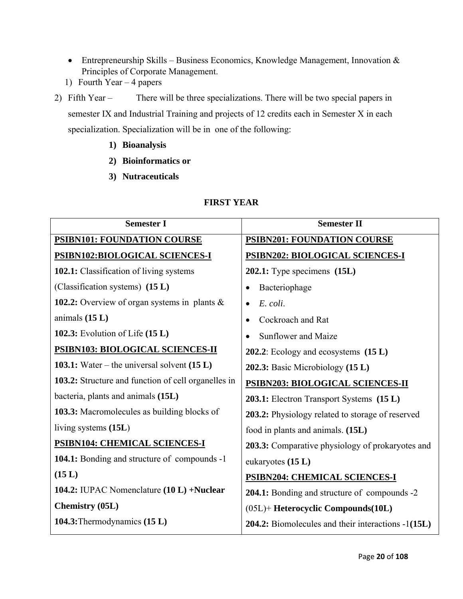- Entrepreneurship Skills Business Economics, Knowledge Management, Innovation  $\&$ Principles of Corporate Management.
- 1) Fourth Year 4 papers
- 2) Fifth Year There will be three specializations. There will be two special papers in semester IX and Industrial Training and projects of 12 credits each in Semester X in each specialization. Specialization will be in one of the following:
	- **1) Bioanalysis**
	- **2) Bioinformatics or**
	- **3) Nutraceuticals**

#### **Semester I** Semester II **PSIBN101: FOUNDATION COURSE PSIBN102:BIOLOGICAL SCIENCES-I 102.1:** Classification of living systems (Classification systems) **(15 L) 102.2:** Overview of organ systems in plants & animals **(15 L) 102.3:** Evolution of Life **(15 L) PSIBN103: BIOLOGICAL SCIENCES-II 103.1:** Water – the universal solvent **(15 L) 103.2:** Structure and function of cell organelles in bacteria, plants and animals **(15L) 103.3:** Macromolecules as building blocks of living systems **(15L**) **PSIBN104: CHEMICAL SCIENCES-I 104.1:** Bonding and structure of compounds -1 **(15 L) 104.2:** IUPAC Nomenclature **(10 L) +Nuclear Chemistry (05L) 104.3:**Thermodynamics **(15 L) PSIBN201: FOUNDATION COURSE PSIBN202: BIOLOGICAL SCIENCES-I 202.1:** Type specimens **(15L)**  • Bacteriophage • *E. coli*. • Cockroach and Rat • Sunflower and Maize **202.2**: Ecology and ecosystems **(15 L) 202.3:** Basic Microbiology **(15 L) PSIBN203: BIOLOGICAL SCIENCES-II 203.1:** Electron Transport Systems **(15 L) 203.2:** Physiology related to storage of reserved food in plants and animals. **(15L) 203.3:** Comparative physiology of prokaryotes and eukaryotes **(15 L) PSIBN204: CHEMICAL SCIENCES-I 204.1:** Bonding and structure of compounds -2 (05L)+ **Heterocyclic Compounds(10L) 204.2:** Biomolecules and their interactions -1**(15L)**

### **FIRST YEAR**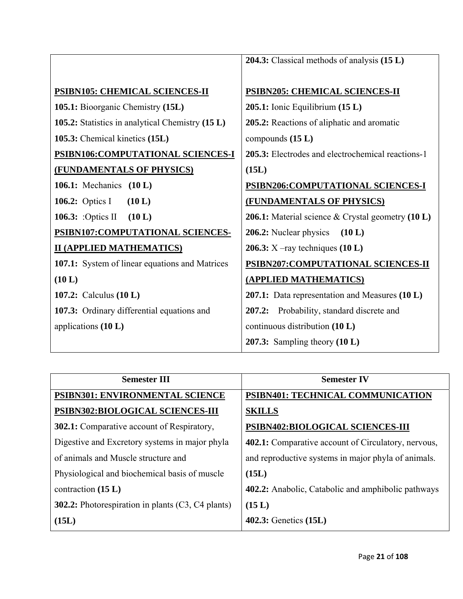|                                                  | 204.3: Classical methods of analysis (15 L)                 |
|--------------------------------------------------|-------------------------------------------------------------|
|                                                  |                                                             |
| <b>PSIBN105: CHEMICAL SCIENCES-II</b>            | <b>PSIBN205: CHEMICAL SCIENCES-II</b>                       |
| 105.1: Bioorganic Chemistry (15L)                | 205.1: Ionic Equilibrium (15 L)                             |
| 105.2: Statistics in analytical Chemistry (15 L) | 205.2: Reactions of aliphatic and aromatic                  |
| 105.3: Chemical kinetics (15L)                   | compounds (15 L)                                            |
| PSIBN106:COMPUTATIONAL SCIENCES-I                | 205.3: Electrodes and electrochemical reactions-1           |
| <b>(FUNDAMENTALS OF PHYSICS)</b>                 | (15L)                                                       |
| <b>106.1:</b> Mechanics (10 L)                   | PSIBN206:COMPUTATIONAL SCIENCES-I                           |
| 106.2: Optics I<br>(10 L)                        | <b>(FUNDAMENTALS OF PHYSICS)</b>                            |
| 106.3: : Optics II<br>(10 L)                     | <b>206.1:</b> Material science $\&$ Crystal geometry (10 L) |
| PSIBN107:COMPUTATIONAL SCIENCES-                 | <b>206.2:</b> Nuclear physics $(10 L)$                      |
| <b>II (APPLIED MATHEMATICS)</b>                  | 206.3: $X$ –ray techniques (10 L)                           |
| 107.1: System of linear equations and Matrices   | PSIBN207:COMPUTATIONAL SCIENCES-II                          |
| (10 L)                                           | (APPLIED MATHEMATICS)                                       |
| <b>107.2:</b> Calculus ( <b>10 L</b> )           | 207.1: Data representation and Measures (10 L)              |
| 107.3: Ordinary differential equations and       | Probability, standard discrete and<br>207.2:                |
| applications $(10 L)$                            | continuous distribution $(10 L)$                            |
|                                                  | 207.3: Sampling theory $(10 L)$                             |

| <b>Semester III</b>                                      | <b>Semester IV</b>                                         |  |  |
|----------------------------------------------------------|------------------------------------------------------------|--|--|
| PSIBN301: ENVIRONMENTAL SCIENCE                          | PSIBN401: TECHNICAL COMMUNICATION                          |  |  |
| PSIBN302:BIOLOGICAL SCIENCES-III                         | <b>SKILLS</b>                                              |  |  |
| <b>302.1:</b> Comparative account of Respiratory,        | PSIBN402:BIOLOGICAL SCIENCES-III                           |  |  |
| Digestive and Excretory systems in major phyla           | <b>402.1:</b> Comparative account of Circulatory, nervous, |  |  |
| of animals and Muscle structure and                      | and reproductive systems in major phyla of animals.        |  |  |
| Physiological and biochemical basis of muscle            | (15L)                                                      |  |  |
| contraction $(15 L)$                                     | <b>402.2:</b> Anabolic, Catabolic and amphibolic pathways  |  |  |
| <b>302.2:</b> Photorespiration in plants (C3, C4 plants) | (15 L)                                                     |  |  |
| (15L)                                                    | <b>402.3:</b> Genetics (15L)                               |  |  |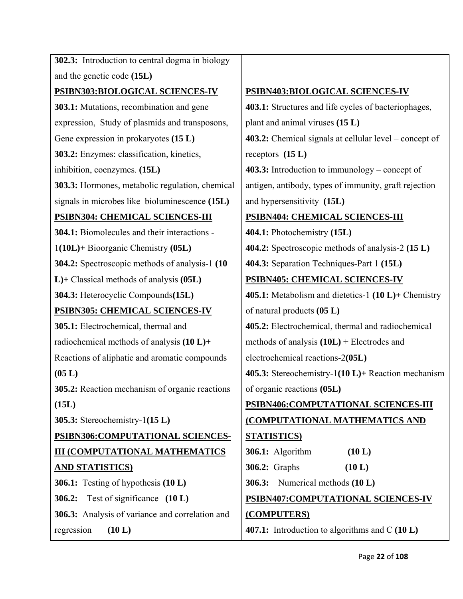**302.3:** Introduction to central dogma in biology and the genetic code **(15L) PSIBN303:BIOLOGICAL SCIENCES-IV 303.1:** Mutations, recombination and gene expression, Study of plasmids and transposons, Gene expression in prokaryotes **(15 L) 303.2:** Enzymes: classification, kinetics, inhibition, coenzymes. **(15L) 303.3:** Hormones, metabolic regulation, chemical signals in microbes like bioluminescence **(15L) PSIBN304: CHEMICAL SCIENCES-III 304.1:** Biomolecules and their interactions - 1**(10L)+** Bioorganic Chemistry **(05L) 304.2:** Spectroscopic methods of analysis-1 **(10 L)+** Classical methods of analysis **(05L) 304.3:** Heterocyclic Compounds**(15L) PSIBN305: CHEMICAL SCIENCES-IV 305.1:** Electrochemical, thermal and radiochemical methods of analysis **(10 L)+** Reactions of aliphatic and aromatic compounds **(05 L) 305.2:** Reaction mechanism of organic reactions **(15L) 305.3:** Stereochemistry-1**(15 L) PSIBN306:COMPUTATIONAL SCIENCES-III (COMPUTATIONAL MATHEMATICS AND STATISTICS) 306.1:** Testing of hypothesis **(10 L) 306.2:** Test of significance **(10 L) 306.3:** Analysis of variance and correlation and regression **(10 L)** 

### **PSIBN403:BIOLOGICAL SCIENCES-IV**

**403.1:** Structures and life cycles of bacteriophages, plant and animal viruses **(15 L) 403.2:** Chemical signals at cellular level – concept of receptors **(15 L) 403.3:** Introduction to immunology – concept of antigen, antibody, types of immunity, graft rejection and hypersensitivity **(15L) PSIBN404: CHEMICAL SCIENCES-III 404.1:** Photochemistry **(15L) 404.2:** Spectroscopic methods of analysis-2 **(15 L) 404.3:** Separation Techniques-Part 1 **(15L) PSIBN405: CHEMICAL SCIENCES-IV 405.1:** Metabolism and dietetics-1 **(10 L)+** Chemistry of natural products **(05 L)**

**405.2:** Electrochemical, thermal and radiochemical methods of analysis **(10L)** + Electrodes and

electrochemical reactions-2**(05L)** 

**405.3:** Stereochemistry-1**(10 L)+** Reaction mechanism of organic reactions **(05L)** 

### **PSIBN406:COMPUTATIONAL SCIENCES-III (COMPUTATIONAL MATHEMATICS AND**

## **STATISTICS) 306.1:** Algorithm **(10 L) 306.2:** Graphs **(10 L) 306.3:** Numerical methods **(10 L) PSIBN407:COMPUTATIONAL SCIENCES-IV (COMPUTERS)**

**407.1:** Introduction to algorithms and C **(10 L)**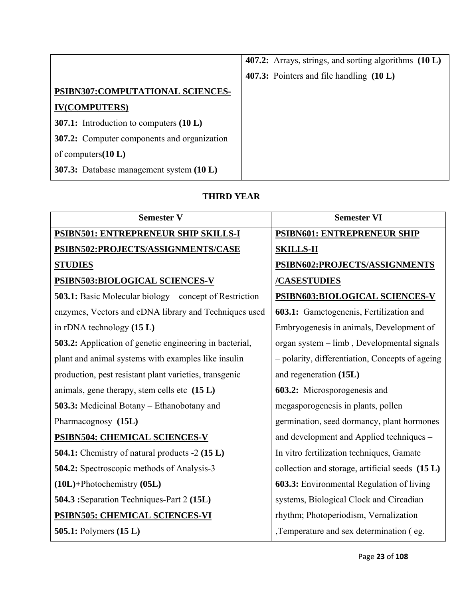|                                                    | 407.2: Arrays, strings, and sorting algorithms (10 L) |
|----------------------------------------------------|-------------------------------------------------------|
|                                                    | 407.3: Pointers and file handling (10 L)              |
| PSIBN307:COMPUTATIONAL SCIENCES-                   |                                                       |
| <b>IV(COMPUTERS)</b>                               |                                                       |
| 307.1: Introduction to computers $(10 L)$          |                                                       |
| <b>307.2:</b> Computer components and organization |                                                       |
| of computers $(10 L)$                              |                                                       |
| 307.3: Database management system (10 L)           |                                                       |

### **THIRD YEAR**

| <b>Semester V</b>                                              | <b>Semester VI</b>                              |  |  |
|----------------------------------------------------------------|-------------------------------------------------|--|--|
| <u> PSIBN501: ENTREPRENEUR SHIP SKILLS-I</u>                   | <b>PSIBN601: ENTREPRENEUR SHIP</b>              |  |  |
| PSIBN502:PROJECTS/ASSIGNMENTS/CASE                             | <b>SKILLS-II</b>                                |  |  |
| <b>STUDIES</b>                                                 | PSIBN602:PROJECTS/ASSIGNMENTS                   |  |  |
| PSIBN503:BIOLOGICAL SCIENCES-V                                 | /CASESTUDIES                                    |  |  |
| <b>503.1:</b> Basic Molecular biology – concept of Restriction | PSIBN603:BIOLOGICAL SCIENCES-V                  |  |  |
| enzymes, Vectors and cDNA library and Techniques used          | 603.1: Gametogenenis, Fertilization and         |  |  |
| in rDNA technology $(15 L)$                                    | Embryogenesis in animals, Development of        |  |  |
| <b>503.2:</b> Application of genetic engineering in bacterial, | organ system – limb, Developmental signals      |  |  |
| plant and animal systems with examples like insulin            | - polarity, differentiation, Concepts of ageing |  |  |
| production, pest resistant plant varieties, transgenic         | and regeneration (15L)                          |  |  |
| animals, gene therapy, stem cells etc (15 L)                   | 603.2: Microsporogenesis and                    |  |  |
| <b>503.3:</b> Medicinal Botany – Ethanobotany and              | megasporogenesis in plants, pollen              |  |  |
| Pharmacognosy (15L)                                            | germination, seed dormancy, plant hormones      |  |  |
| <b>PSIBN504: CHEMICAL SCIENCES-V</b>                           | and development and Applied techniques -        |  |  |
| 504.1: Chemistry of natural products -2 (15 L)                 | In vitro fertilization techniques, Gamate       |  |  |
| 504.2: Spectroscopic methods of Analysis-3                     | collection and storage, artificial seeds (15 L) |  |  |
| $(10L)$ +Photochemistry $(05L)$                                | 603.3: Environmental Regulation of living       |  |  |
| 504.3 : Separation Techniques-Part 2 (15L)                     | systems, Biological Clock and Circadian         |  |  |
| PSIBN505: CHEMICAL SCIENCES-VI                                 | rhythm; Photoperiodism, Vernalization           |  |  |
| 505.1: Polymers (15 L)                                         | ,Temperature and sex determination (eg.         |  |  |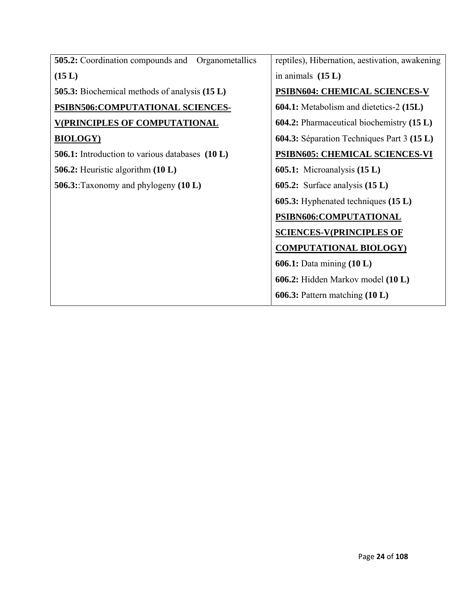| <b>505.2:</b> Coordination compounds and<br>Organometallics | reptiles), Hibernation, aestivation, awakening   |
|-------------------------------------------------------------|--------------------------------------------------|
| (15 L)                                                      | in animals $(15 L)$                              |
| <b>505.3:</b> Biochemical methods of analysis (15 L)        | PSIBN604: CHEMICAL SCIENCES-V                    |
| PSIBN506:COMPUTATIONAL SCIENCES-                            | <b>604.1:</b> Metabolism and dietetics-2 (15L)   |
| <b>V(PRINCIPLES OF COMPUTATIONAL</b>                        | <b>604.2:</b> Pharmaceutical biochemistry (15 L) |
| <b>BIOLOGY</b> )                                            | 604.3: Séparation Techniques Part 3 (15 L)       |
| <b>506.1:</b> Introduction to various databases (10 L)      | <b>PSIBN605: CHEMICAL SCIENCES-VI</b>            |
| 506.2: Heuristic algorithm $(10 L)$                         | <b>605.1:</b> Microanalysis $(15 L)$             |
| 506.3: Taxonomy and phylogeny $(10 L)$                      | <b>605.2:</b> Surface analysis $(15 L)$          |
|                                                             | <b>605.3:</b> Hyphenated techniques $(15 L)$     |
|                                                             | PSIBN606:COMPUTATIONAL                           |
|                                                             | <b>SCIENCES-V(PRINCIPLES OF</b>                  |
|                                                             | <b>COMPUTATIONAL BIOLOGY</b>                     |
|                                                             | <b>606.1:</b> Data mining $(10 L)$               |
|                                                             | 606.2: Hidden Markov model (10 L)                |
|                                                             | <b>606.3:</b> Pattern matching $(10 L)$          |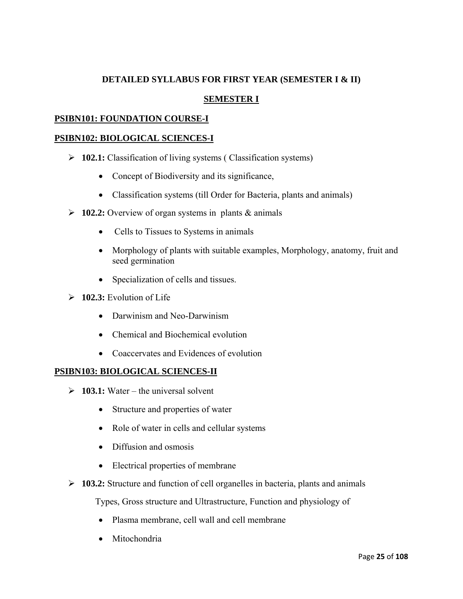### **DETAILED SYLLABUS FOR FIRST YEAR (SEMESTER I & II)**

### **SEMESTER I**

### **PSIBN101: FOUNDATION COURSE-I**

### **PSIBN102: BIOLOGICAL SCIENCES-I**

- ¾ **102.1:** Classification of living systems ( Classification systems)
	- Concept of Biodiversity and its significance,
	- Classification systems (till Order for Bacteria, plants and animals)
- ¾ **102.2:** Overview of organ systems in plants & animals
	- Cells to Tissues to Systems in animals
	- Morphology of plants with suitable examples, Morphology, anatomy, fruit and seed germination
	- Specialization of cells and tissues.
- $\geq 102.3$ : Evolution of Life
	- Darwinism and Neo-Darwinism
	- Chemical and Biochemical evolution
	- Coaccervates and Evidences of evolution

### **PSIBN103: BIOLOGICAL SCIENCES-II**

- $\geq 103.1$ : Water the universal solvent
	- Structure and properties of water
	- Role of water in cells and cellular systems
	- Diffusion and osmosis
	- Electrical properties of membrane
- ¾ **103.2:** Structure and function of cell organelles in bacteria, plants and animals

Types, Gross structure and Ultrastructure, Function and physiology of

- Plasma membrane, cell wall and cell membrane
- Mitochondria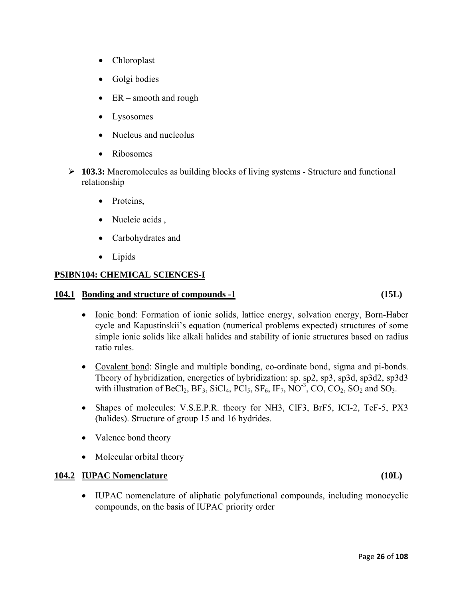- Chloroplast
- Golgi bodies
- $ER$  smooth and rough
- **Lysosomes**
- Nucleus and nucleolus
- Ribosomes
- ¾ **103.3:** Macromolecules as building blocks of living systems Structure and functional relationship
	- Proteins,
	- Nucleic acids,
	- Carbohydrates and
	- Lipids

### **PSIBN104: CHEMICAL SCIENCES-I**

### **104.1 Bonding and structure of compounds -1 (15L)**

- Ionic bond: Formation of ionic solids, lattice energy, solvation energy, Born-Haber cycle and Kapustinskii's equation (numerical problems expected) structures of some simple ionic solids like alkali halides and stability of ionic structures based on radius ratio rules.
- Covalent bond: Single and multiple bonding, co-ordinate bond, sigma and pi-bonds. Theory of hybridization, energetics of hybridization: sp. sp2, sp3, sp3d, sp3d2, sp3d3 with illustration of BeCl<sub>2</sub>, BF<sub>3</sub>, SiCl<sub>4</sub>, PCl<sub>5</sub>, SF<sub>6</sub>, IF<sub>7</sub>, NO<sup>-3</sup>, CO, CO<sub>2</sub>, SO<sub>2</sub> and SO<sub>3</sub>.
- Shapes of molecules: V.S.E.P.R. theory for NH3, ClF3, BrF5, ICI-2, TeF-5, PX3 (halides). Structure of group 15 and 16 hydrides.
- Valence bond theory
- Molecular orbital theory

### **104.2 IUPAC Nomenclature (10L)**

• IUPAC nomenclature of aliphatic polyfunctional compounds, including monocyclic compounds, on the basis of IUPAC priority order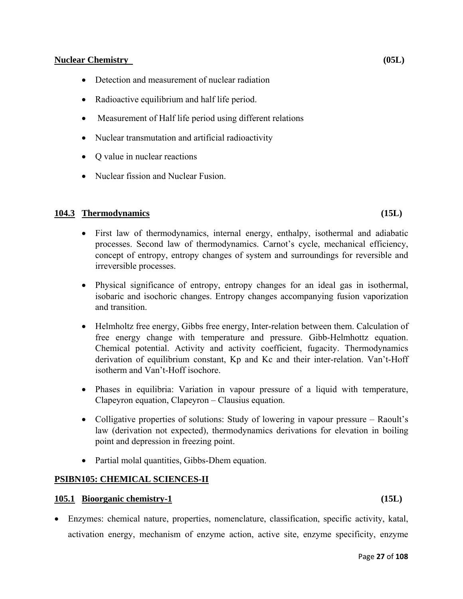### **Nuclear Chemistry (05L)**

- Detection and measurement of nuclear radiation
- Radioactive equilibrium and half life period.
- Measurement of Half life period using different relations
- Nuclear transmutation and artificial radioactivity
- Q value in nuclear reactions
- Nuclear fission and Nuclear Fusion.

### **104.3 Thermodynamics (15L)**

- First law of thermodynamics, internal energy, enthalpy, isothermal and adiabatic processes. Second law of thermodynamics. Carnot's cycle, mechanical efficiency, concept of entropy, entropy changes of system and surroundings for reversible and irreversible processes.
- Physical significance of entropy, entropy changes for an ideal gas in isothermal, isobaric and isochoric changes. Entropy changes accompanying fusion vaporization and transition.
- Helmholtz free energy, Gibbs free energy, Inter-relation between them. Calculation of free energy change with temperature and pressure. Gibb-Helmhottz equation. Chemical potential. Activity and activity coefficient, fugacity. Thermodynamics derivation of equilibrium constant, Kp and Kc and their inter-relation. Van't-Hoff isotherm and Van't-Hoff isochore.
- Phases in equilibria: Variation in vapour pressure of a liquid with temperature, Clapeyron equation, Clapeyron – Clausius equation.
- Colligative properties of solutions: Study of lowering in vapour pressure Raoult's law (derivation not expected), thermodynamics derivations for elevation in boiling point and depression in freezing point.
- Partial molal quantities, Gibbs-Dhem equation.

### **PSIBN105: CHEMICAL SCIENCES-II**

### **105.1 Bioorganic chemistry-1 (15L)**

• Enzymes: chemical nature, properties, nomenclature, classification, specific activity, katal, activation energy, mechanism of enzyme action, active site, enzyme specificity, enzyme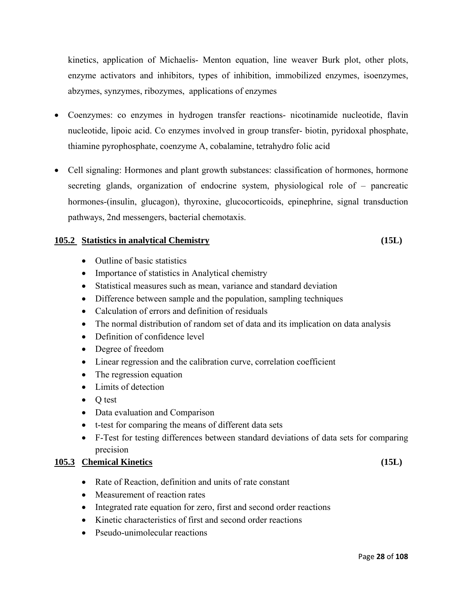kinetics, application of Michaelis- Menton equation, line weaver Burk plot, other plots, enzyme activators and inhibitors, types of inhibition, immobilized enzymes, isoenzymes, abzymes, synzymes, ribozymes, applications of enzymes

- Coenzymes: co enzymes in hydrogen transfer reactions- nicotinamide nucleotide, flavin nucleotide, lipoic acid. Co enzymes involved in group transfer- biotin, pyridoxal phosphate, thiamine pyrophosphate, coenzyme A, cobalamine, tetrahydro folic acid
- Cell signaling: Hormones and plant growth substances: classification of hormones, hormone secreting glands, organization of endocrine system, physiological role of – pancreatic hormones-(insulin, glucagon), thyroxine, glucocorticoids, epinephrine, signal transduction pathways, 2nd messengers, bacterial chemotaxis.

### **105.2 Statistics in analytical Chemistry (15L)**

- Outline of basic statistics
- Importance of statistics in Analytical chemistry
- Statistical measures such as mean, variance and standard deviation
- Difference between sample and the population, sampling techniques
- Calculation of errors and definition of residuals
- The normal distribution of random set of data and its implication on data analysis
- Definition of confidence level
- Degree of freedom
- Linear regression and the calibration curve, correlation coefficient
- The regression equation
- Limits of detection
- Q test
- Data evaluation and Comparison
- t-test for comparing the means of different data sets
- F-Test for testing differences between standard deviations of data sets for comparing precision

### **105.3 Chemical Kinetics (15L)**

- Rate of Reaction, definition and units of rate constant
- Measurement of reaction rates
- Integrated rate equation for zero, first and second order reactions
- Kinetic characteristics of first and second order reactions
- Pseudo-unimolecular reactions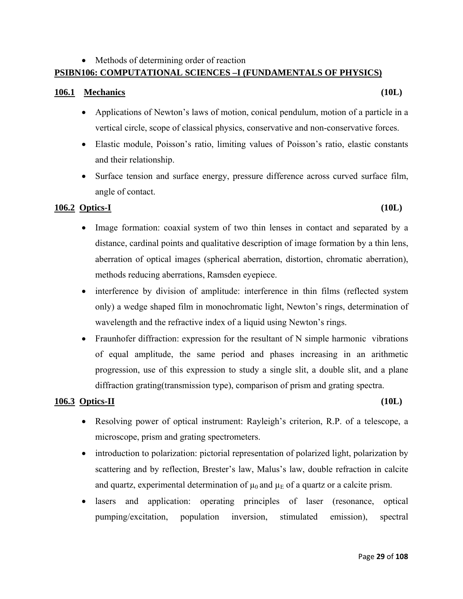### • Methods of determining order of reaction **PSIBN106: COMPUTATIONAL SCIENCES –I (FUNDAMENTALS OF PHYSICS)**

### **106.1 Mechanics (10L)**

- Applications of Newton's laws of motion, conical pendulum, motion of a particle in a vertical circle, scope of classical physics, conservative and non-conservative forces.
- Elastic module, Poisson's ratio, limiting values of Poisson's ratio, elastic constants and their relationship.
- Surface tension and surface energy, pressure difference across curved surface film, angle of contact.

### **106.2 Optics-I (10L)**

- Image formation: coaxial system of two thin lenses in contact and separated by a distance, cardinal points and qualitative description of image formation by a thin lens, aberration of optical images (spherical aberration, distortion, chromatic aberration), methods reducing aberrations, Ramsden eyepiece.
- interference by division of amplitude: interference in thin films (reflected system only) a wedge shaped film in monochromatic light, Newton's rings, determination of wavelength and the refractive index of a liquid using Newton's rings.
- Fraunhofer diffraction: expression for the resultant of N simple harmonic vibrations of equal amplitude, the same period and phases increasing in an arithmetic progression, use of this expression to study a single slit, a double slit, and a plane diffraction grating(transmission type), comparison of prism and grating spectra.

### **106.3 Optics-II (10L)**

- Resolving power of optical instrument: Rayleigh's criterion, R.P. of a telescope, a microscope, prism and grating spectrometers.
- introduction to polarization: pictorial representation of polarized light, polarization by scattering and by reflection, Brester's law, Malus's law, double refraction in calcite and quartz, experimental determination of  $\mu_0$  and  $\mu_E$  of a quartz or a calcite prism.
- lasers and application: operating principles of laser (resonance, optical pumping/excitation, population inversion, stimulated emission), spectral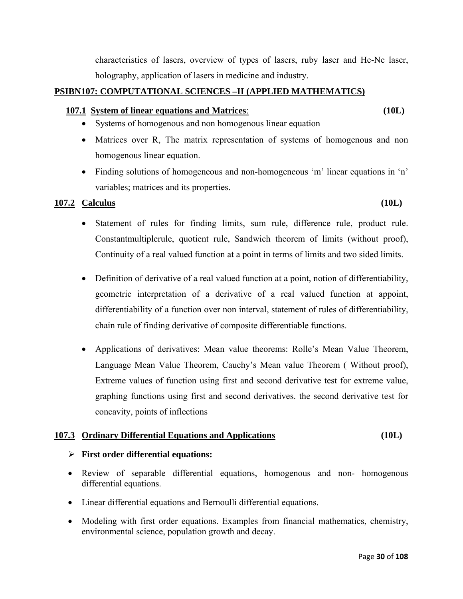characteristics of lasers, overview of types of lasers, ruby laser and He-Ne laser, holography, application of lasers in medicine and industry.

### **PSIBN107: COMPUTATIONAL SCIENCES –II (APPLIED MATHEMATICS)**

### **107.1 System of linear equations and Matrices**: **(10L)**

- Systems of homogenous and non homogenous linear equation
- Matrices over R, The matrix representation of systems of homogenous and non homogenous linear equation.
- Finding solutions of homogeneous and non-homogeneous 'm' linear equations in 'n' variables; matrices and its properties.

### **107.2 Calculus (10L)**

- Statement of rules for finding limits, sum rule, difference rule, product rule. Constantmultiplerule, quotient rule, Sandwich theorem of limits (without proof), Continuity of a real valued function at a point in terms of limits and two sided limits.
- Definition of derivative of a real valued function at a point, notion of differentiability, geometric interpretation of a derivative of a real valued function at appoint, differentiability of a function over non interval, statement of rules of differentiability, chain rule of finding derivative of composite differentiable functions.
- Applications of derivatives: Mean value theorems: Rolle's Mean Value Theorem, Language Mean Value Theorem, Cauchy's Mean value Theorem ( Without proof), Extreme values of function using first and second derivative test for extreme value, graphing functions using first and second derivatives. the second derivative test for concavity, points of inflections

### **107.3 Ordinary Differential Equations and Applications (10L)**

### ¾ **First order differential equations:**

- Review of separable differential equations, homogenous and non- homogenous differential equations.
- Linear differential equations and Bernoulli differential equations.
- Modeling with first order equations. Examples from financial mathematics, chemistry, environmental science, population growth and decay.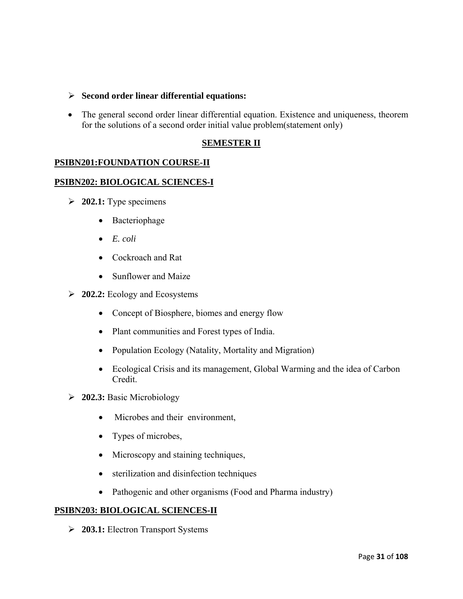### ¾ **Second order linear differential equations:**

• The general second order linear differential equation. Existence and uniqueness, theorem for the solutions of a second order initial value problem(statement only)

### **SEMESTER II**

### **PSIBN201:FOUNDATION COURSE-II**

### **PSIBN202: BIOLOGICAL SCIENCES-I**

- ¾ **202.1:** Type specimens
	- Bacteriophage
	- *E. coli*
	- Cockroach and Rat
	- Sunflower and Maize
- ¾ **202.2:** Ecology and Ecosystems
	- Concept of Biosphere, biomes and energy flow
	- Plant communities and Forest types of India.
	- Population Ecology (Natality, Mortality and Migration)
	- Ecological Crisis and its management, Global Warming and the idea of Carbon Credit.
- ¾ **202.3:** Basic Microbiology
	- Microbes and their environment.
	- Types of microbes,
	- Microscopy and staining techniques,
	- sterilization and disinfection techniques
	- Pathogenic and other organisms (Food and Pharma industry)

### **PSIBN203: BIOLOGICAL SCIENCES-II**

¾ **203.1:** Electron Transport Systems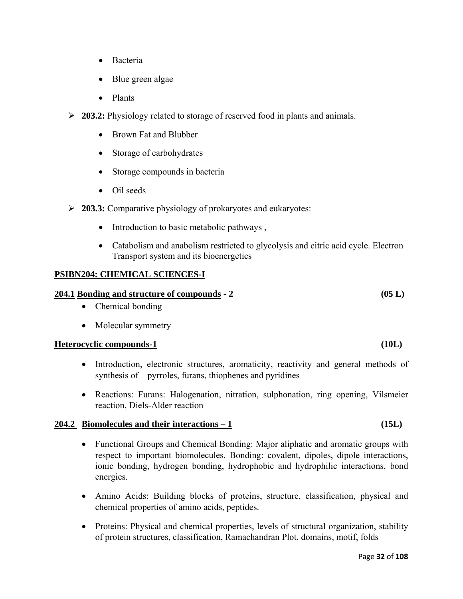- Bacteria
- Blue green algae
- Plants
- ¾ **203.2:** Physiology related to storage of reserved food in plants and animals.
	- Brown Fat and Blubber
	- Storage of carbohydrates
	- Storage compounds in bacteria
	- Oil seeds
- ¾ **203.3:** Comparative physiology of prokaryotes and eukaryotes:
	- Introduction to basic metabolic pathways,
	- Catabolism and anabolism restricted to glycolysis and citric acid cycle. Electron Transport system and its bioenergetics

### **PSIBN204: CHEMICAL SCIENCES-I**

### **204.1 Bonding and structure of compounds - 2 (05 L)**

- Chemical bonding
- Molecular symmetry

### **Heterocyclic compounds-1 (10L)**

- Introduction, electronic structures, aromaticity, reactivity and general methods of synthesis of – pyrroles, furans, thiophenes and pyridines
- Reactions: Furans: Halogenation, nitration, sulphonation, ring opening, Vilsmeier reaction, Diels-Alder reaction

### **204.2 Biomolecules and their interactions – 1 (15L)**

- Functional Groups and Chemical Bonding: Major aliphatic and aromatic groups with respect to important biomolecules. Bonding: covalent, dipoles, dipole interactions, ionic bonding, hydrogen bonding, hydrophobic and hydrophilic interactions, bond energies.
- Amino Acids: Building blocks of proteins, structure, classification, physical and chemical properties of amino acids, peptides.
- Proteins: Physical and chemical properties, levels of structural organization, stability of protein structures, classification, Ramachandran Plot, domains, motif, folds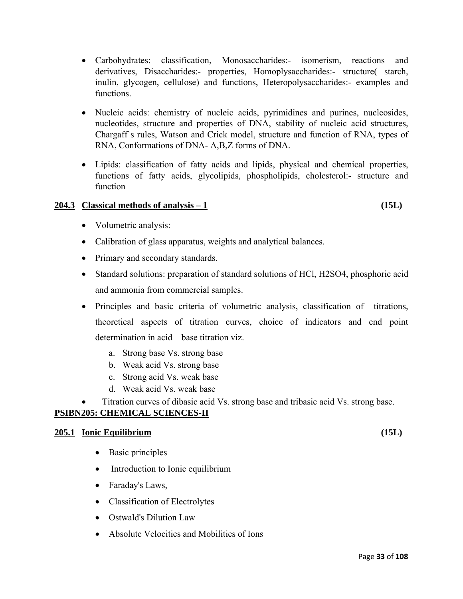- Carbohydrates: classification, Monosaccharides:- isomerism, reactions and derivatives, Disaccharides:- properties, Homoplysaccharides:- structure( starch, inulin, glycogen, cellulose) and functions, Heteropolysaccharides:- examples and functions.
- Nucleic acids: chemistry of nucleic acids, pyrimidines and purines, nucleosides, nucleotides, structure and properties of DNA, stability of nucleic acid structures, Chargaff`s rules, Watson and Crick model, structure and function of RNA, types of RNA, Conformations of DNA- A,B,Z forms of DNA.
- Lipids: classification of fatty acids and lipids, physical and chemical properties, functions of fatty acids, glycolipids, phospholipids, cholesterol:- structure and function

### **204.3 Classical methods of analysis – 1 (15L)**

- Volumetric analysis:
- Calibration of glass apparatus, weights and analytical balances.
- Primary and secondary standards.
- Standard solutions: preparation of standard solutions of HCl, H2SO4, phosphoric acid and ammonia from commercial samples.
- Principles and basic criteria of volumetric analysis, classification of titrations, theoretical aspects of titration curves, choice of indicators and end point determination in acid – base titration viz.
	- a. Strong base Vs. strong base
	- b. Weak acid Vs. strong base
	- c. Strong acid Vs. weak base
	- d. Weak acid Vs. weak base
- Titration curves of dibasic acid Vs. strong base and tribasic acid Vs. strong base.

### **PSIBN205: CHEMICAL SCIENCES-II**

### **205.1 Ionic Equilibrium (15L)**

- Basic principles
- Introduction to Ionic equilibrium
- Faraday's Laws,
- Classification of Electrolytes
- Ostwald's Dilution Law
- Absolute Velocities and Mobilities of Ions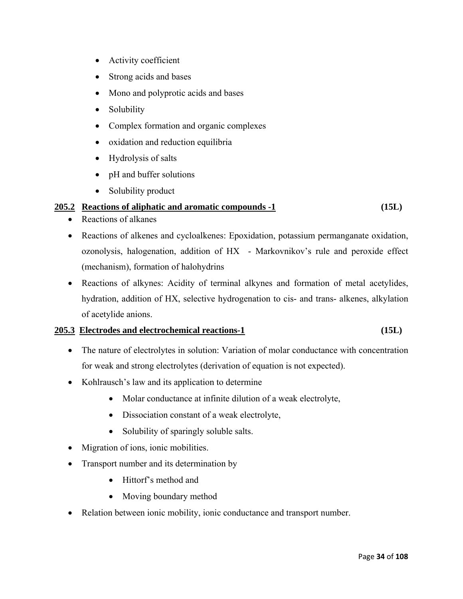- Activity coefficient
- Strong acids and bases
- Mono and polyprotic acids and bases
- Solubility
- Complex formation and organic complexes
- oxidation and reduction equilibria
- Hydrolysis of salts
- pH and buffer solutions
- Solubility product

### **205.2 Reactions of aliphatic and aromatic compounds -1 (15L)**

- Reactions of alkanes
- Reactions of alkenes and cycloalkenes: Epoxidation, potassium permanganate oxidation, ozonolysis, halogenation, addition of HX - Markovnikov's rule and peroxide effect (mechanism), formation of halohydrins
- Reactions of alkynes: Acidity of terminal alkynes and formation of metal acetylides, hydration, addition of HX, selective hydrogenation to cis- and trans- alkenes, alkylation of acetylide anions.

### **205.3 Electrodes and electrochemical reactions-1 (15L)**

- The nature of electrolytes in solution: Variation of molar conductance with concentration for weak and strong electrolytes (derivation of equation is not expected).
- Kohlrausch's law and its application to determine
	- Molar conductance at infinite dilution of a weak electrolyte,
	- Dissociation constant of a weak electrolyte,
	- Solubility of sparingly soluble salts.
- Migration of ions, ionic mobilities.
- Transport number and its determination by
	- Hittorf's method and
	- Moving boundary method
- Relation between ionic mobility, ionic conductance and transport number.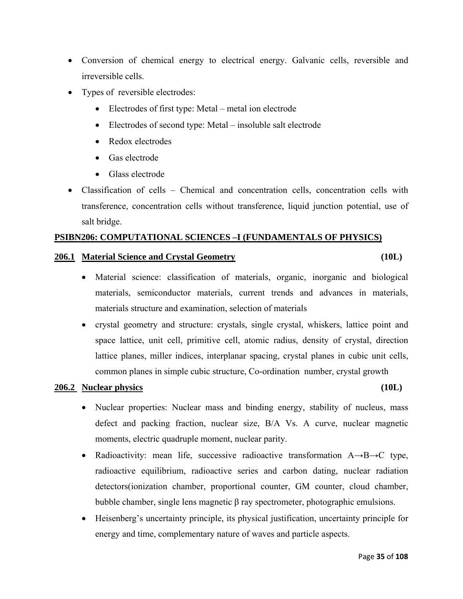- Conversion of chemical energy to electrical energy. Galvanic cells, reversible and irreversible cells.
- Types of reversible electrodes:
	- Electrodes of first type: Metal metal ion electrode
	- Electrodes of second type: Metal insoluble salt electrode
	- Redox electrodes
	- Gas electrode
	- Glass electrode
- Classification of cells Chemical and concentration cells, concentration cells with transference, concentration cells without transference, liquid junction potential, use of salt bridge.

### **PSIBN206: COMPUTATIONAL SCIENCES –I (FUNDAMENTALS OF PHYSICS)**

### **206.1 Material Science and Crystal Geometry (10L)**

- Material science: classification of materials, organic, inorganic and biological materials, semiconductor materials, current trends and advances in materials, materials structure and examination, selection of materials
- crystal geometry and structure: crystals, single crystal, whiskers, lattice point and space lattice, unit cell, primitive cell, atomic radius, density of crystal, direction lattice planes, miller indices, interplanar spacing, crystal planes in cubic unit cells, common planes in simple cubic structure, Co-ordination number, crystal growth

### **206.2 Nuclear physics (10L)**

- Nuclear properties: Nuclear mass and binding energy, stability of nucleus, mass defect and packing fraction, nuclear size, B/A Vs. A curve, nuclear magnetic moments, electric quadruple moment, nuclear parity.
- Radioactivity: mean life, successive radioactive transformation  $A \rightarrow B \rightarrow C$  type, radioactive equilibrium, radioactive series and carbon dating, nuclear radiation detectors(ionization chamber, proportional counter, GM counter, cloud chamber, bubble chamber, single lens magnetic β ray spectrometer, photographic emulsions.
- Heisenberg's uncertainty principle, its physical justification, uncertainty principle for energy and time, complementary nature of waves and particle aspects.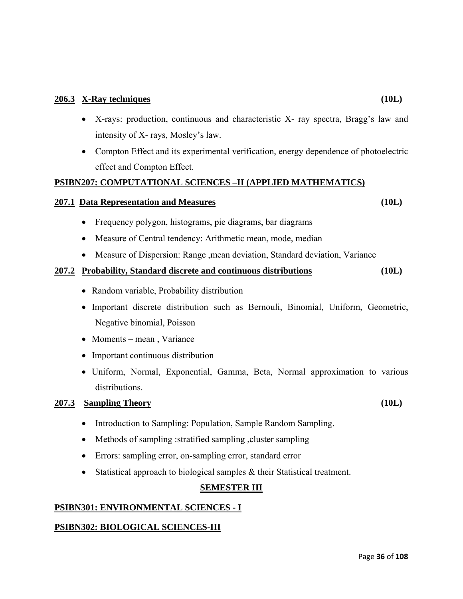- X-rays: production, continuous and characteristic X- ray spectra, Bragg's law and intensity of X- rays, Mosley's law.
- Compton Effect and its experimental verification, energy dependence of photoelectric effect and Compton Effect.

### **PSIBN207: COMPUTATIONAL SCIENCES –II (APPLIED MATHEMATICS)**

### **207.1 Data Representation and Measures (10L)**

- Frequency polygon, histograms, pie diagrams, bar diagrams
- Measure of Central tendency: Arithmetic mean, mode, median
- Measure of Dispersion: Range ,mean deviation, Standard deviation, Variance

### **207.2 Probability, Standard discrete and continuous distributions (10L)**

- Random variable, Probability distribution
- Important discrete distribution such as Bernouli, Binomial, Uniform, Geometric, Negative binomial, Poisson
- Moments mean, Variance
- Important continuous distribution
- Uniform, Normal, Exponential, Gamma, Beta, Normal approximation to various distributions.

### **207.3 Sampling Theory (10L)**

- Introduction to Sampling: Population, Sample Random Sampling.
- Methods of sampling : stratified sampling , cluster sampling
- Errors: sampling error, on-sampling error, standard error
- Statistical approach to biological samples & their Statistical treatment.

### **SEMESTER III**

### **PSIBN301: ENVIRONMENTAL SCIENCES - I**

### **PSIBN302: BIOLOGICAL SCIENCES-III**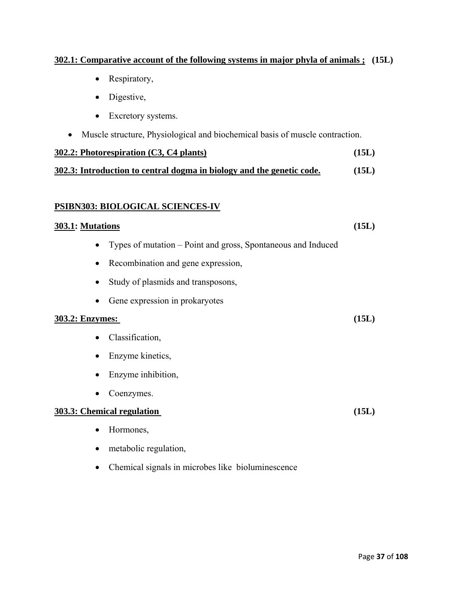#### **302.1: Comparative account of the following systems in major phyla of animals ; (15L)**

- Respiratory,
- Digestive,
- Excretory systems.
- Muscle structure, Physiological and biochemical basis of muscle contraction.

| $302.2$ : Photorespiration (C3, C4 plants)                            |       |
|-----------------------------------------------------------------------|-------|
| 302.3: Introduction to central dogma in biology and the genetic code. | (15L) |

#### **PSIBN303: BIOLOGICAL SCIENCES-IV**

#### **303.1: Mutations (15L)**

- Types of mutation Point and gross, Spontaneous and Induced
- Recombination and gene expression,
- Study of plasmids and transposons,
- Gene expression in prokaryotes

#### **303.2: Enzymes: (15L)**

- Classification,
- Enzyme kinetics,
- Enzyme inhibition,
- Coenzymes.

#### **303.3: Chemical regulation (15L)**

- Hormones,
- metabolic regulation,
- Chemical signals in microbes like bioluminescence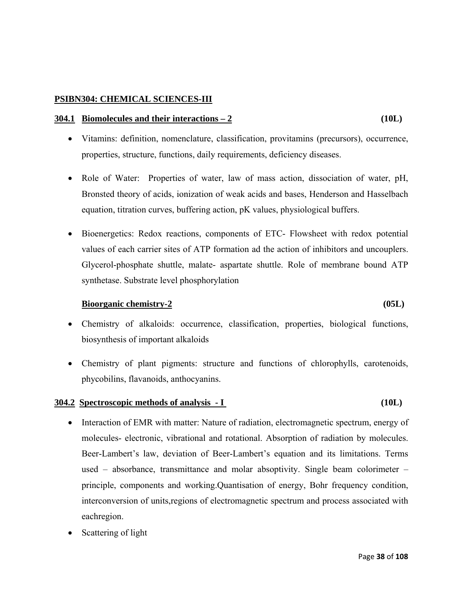#### **PSIBN304: CHEMICAL SCIENCES-III**

#### **304.1 Biomolecules and their interactions – 2 (10L)**

- Vitamins: definition, nomenclature, classification, provitamins (precursors), occurrence, properties, structure, functions, daily requirements, deficiency diseases.
- Role of Water: Properties of water, law of mass action, dissociation of water, pH, Bronsted theory of acids, ionization of weak acids and bases, Henderson and Hasselbach equation, titration curves, buffering action, pK values, physiological buffers.
- Bioenergetics: Redox reactions, components of ETC- Flowsheet with redox potential values of each carrier sites of ATP formation ad the action of inhibitors and uncouplers. Glycerol-phosphate shuttle, malate- aspartate shuttle. Role of membrane bound ATP synthetase. Substrate level phosphorylation

#### **Bioorganic chemistry-2 (05L)**

- Chemistry of alkaloids: occurrence, classification, properties, biological functions, biosynthesis of important alkaloids
- Chemistry of plant pigments: structure and functions of chlorophylls, carotenoids, phycobilins, flavanoids, anthocyanins.

#### **304.2 Spectroscopic methods of analysis - I (10L)**

- Interaction of EMR with matter: Nature of radiation, electromagnetic spectrum, energy of molecules- electronic, vibrational and rotational. Absorption of radiation by molecules. Beer-Lambert's law, deviation of Beer-Lambert's equation and its limitations. Terms used – absorbance, transmittance and molar absoptivity. Single beam colorimeter – principle, components and working.Quantisation of energy, Bohr frequency condition, interconversion of units,regions of electromagnetic spectrum and process associated with eachregion.
- Scattering of light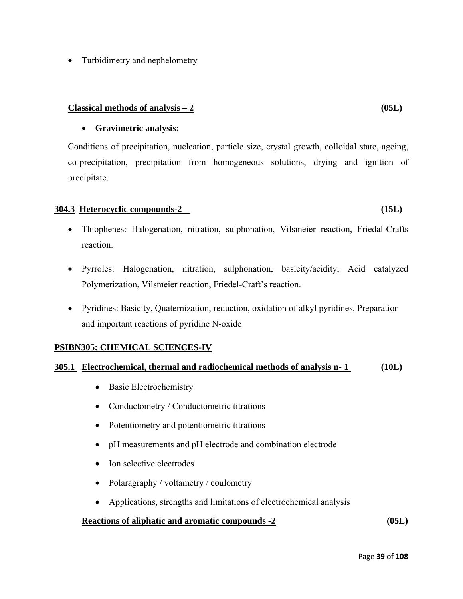• Turbidimetry and nephelometry

#### $Classical methods of analysis  $-2$  (05L)$

#### • **Gravimetric analysis:**

Conditions of precipitation, nucleation, particle size, crystal growth, colloidal state, ageing, co-precipitation, precipitation from homogeneous solutions, drying and ignition of precipitate.

#### **304.3 Heterocyclic compounds-2 (15L)**

- Thiophenes: Halogenation, nitration, sulphonation, Vilsmeier reaction, Friedal-Crafts reaction.
- Pyrroles: Halogenation, nitration, sulphonation, basicity/acidity, Acid catalyzed Polymerization, Vilsmeier reaction, Friedel-Craft's reaction.
- Pyridines: Basicity, Quaternization, reduction, oxidation of alkyl pyridines. Preparation and important reactions of pyridine N-oxide

#### **PSIBN305: CHEMICAL SCIENCES-IV**

#### **305.1 Electrochemical, thermal and radiochemical methods of analysis n- 1 (10L)**

- Basic Electrochemistry
- Conductometry / Conductometric titrations
- Potentiometry and potentiometric titrations
- pH measurements and pH electrode and combination electrode
- Ion selective electrodes
- Polaragraphy / voltametry / coulometry
- Applications, strengths and limitations of electrochemical analysis

#### **Reactions of aliphatic and aromatic compounds -2 (05L)**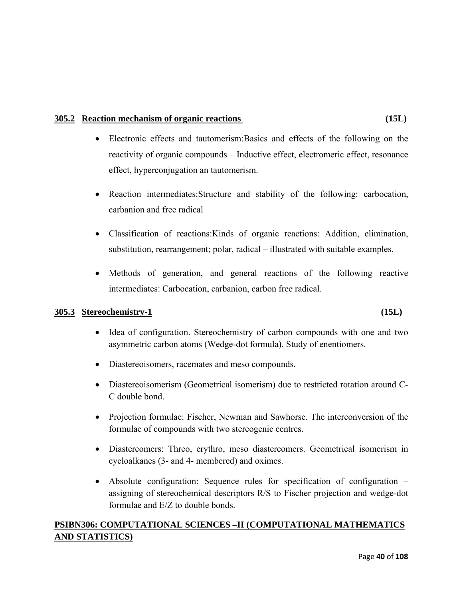#### **305.2 Reaction mechanism of organic reactions (15L)**

- Electronic effects and tautomerism:Basics and effects of the following on the reactivity of organic compounds – Inductive effect, electromeric effect, resonance effect, hyperconjugation an tautomerism.
- Reaction intermediates:Structure and stability of the following: carbocation, carbanion and free radical
- Classification of reactions:Kinds of organic reactions: Addition, elimination, substitution, rearrangement; polar, radical – illustrated with suitable examples.
- Methods of generation, and general reactions of the following reactive intermediates: Carbocation, carbanion, carbon free radical.

#### **305.3 Stereochemistry-1 (15L)**

- Idea of configuration. Stereochemistry of carbon compounds with one and two asymmetric carbon atoms (Wedge-dot formula). Study of enentiomers.
- Diastereoisomers, racemates and meso compounds.
- Diastereoisomerism (Geometrical isomerism) due to restricted rotation around C-C double bond.
- Projection formulae: Fischer, Newman and Sawhorse. The interconversion of the formulae of compounds with two stereogenic centres.
- Diastereomers: Threo, erythro, meso diastereomers. Geometrical isomerism in cycloalkanes (3- and 4- membered) and oximes.
- Absolute configuration: Sequence rules for specification of configuration assigning of stereochemical descriptors R/S to Fischer projection and wedge-dot formulae and E/Z to double bonds.

### **PSIBN306: COMPUTATIONAL SCIENCES –II (COMPUTATIONAL MATHEMATICS AND STATISTICS)**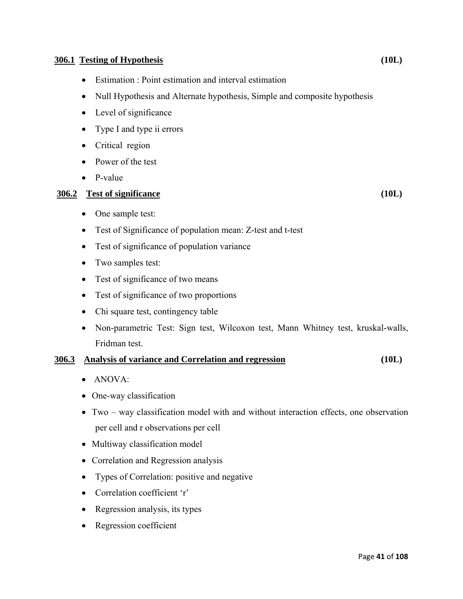#### **306.1 Testing of Hypothesis (10L)**

- Estimation : Point estimation and interval estimation
- Null Hypothesis and Alternate hypothesis, Simple and composite hypothesis
- Level of significance
- Type I and type ii errors
- Critical region
- Power of the test
- P-value

#### **306.2 Test of significance (10L)**

- One sample test:
- Test of Significance of population mean: Z-test and t-test
- Test of significance of population variance
- Two samples test:
- Test of significance of two means
- Test of significance of two proportions
- Chi square test, contingency table
- Non-parametric Test: Sign test, Wilcoxon test, Mann Whitney test, kruskal-walls, Fridman test.

#### **306.3 Analysis of variance and Correlation and regression (10L)**

- ANOVA:
- One-way classification
- Two way classification model with and without interaction effects, one observation per cell and r observations per cell
- Multiway classification model
- Correlation and Regression analysis
- Types of Correlation: positive and negative
- Correlation coefficient 'r'
- Regression analysis, its types
- Regression coefficient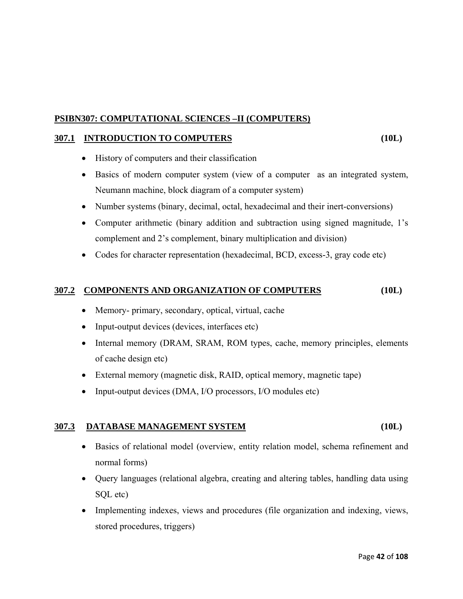#### **PSIBN307: COMPUTATIONAL SCIENCES –II (COMPUTERS)**

#### **307.1 INTRODUCTION TO COMPUTERS (10L)**

- History of computers and their classification
- Basics of modern computer system (view of a computer as an integrated system, Neumann machine, block diagram of a computer system)
- Number systems (binary, decimal, octal, hexadecimal and their inert-conversions)
- Computer arithmetic (binary addition and subtraction using signed magnitude, 1's complement and 2's complement, binary multiplication and division)
- Codes for character representation (hexadecimal, BCD, excess-3, gray code etc)

#### **307.2 COMPONENTS AND ORGANIZATION OF COMPUTERS (10L)**

- Memory- primary, secondary, optical, virtual, cache
- Input-output devices (devices, interfaces etc)
- Internal memory (DRAM, SRAM, ROM types, cache, memory principles, elements of cache design etc)
- External memory (magnetic disk, RAID, optical memory, magnetic tape)
- Input-output devices (DMA, I/O processors, I/O modules etc)

#### **307.3 DATABASE MANAGEMENT SYSTEM (10L)**

- Basics of relational model (overview, entity relation model, schema refinement and normal forms)
- Query languages (relational algebra, creating and altering tables, handling data using SQL etc)
- Implementing indexes, views and procedures (file organization and indexing, views, stored procedures, triggers)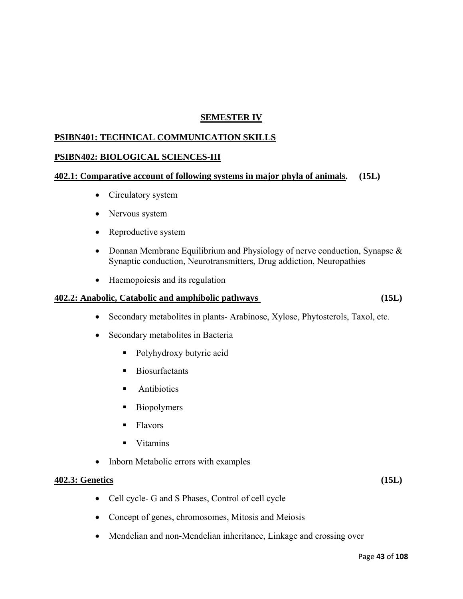#### **SEMESTER IV**

#### **PSIBN401: TECHNICAL COMMUNICATION SKILLS**

#### **PSIBN402: BIOLOGICAL SCIENCES-III**

#### **402.1: Comparative account of following systems in major phyla of animals. (15L)**

- Circulatory system
- Nervous system
- Reproductive system
- Donnan Membrane Equilibrium and Physiology of nerve conduction, Synapse & Synaptic conduction, Neurotransmitters, Drug addiction, Neuropathies
- Haemopoiesis and its regulation

#### **402.2: Anabolic, Catabolic and amphibolic pathways (15L)**

- Secondary metabolites in plants- Arabinose, Xylose, Phytosterols, Taxol, etc.
- Secondary metabolites in Bacteria
	- Polyhydroxy butyric acid
	- **Biosurfactants**
	- **Antibiotics**
	- **Biopolymers**
	- **Flavors**
	- **U** Vitamins
- Inborn Metabolic errors with examples

#### **402.3: Genetics (15L)**

- Cell cycle- G and S Phases, Control of cell cycle
- Concept of genes, chromosomes, Mitosis and Meiosis
- Mendelian and non-Mendelian inheritance, Linkage and crossing over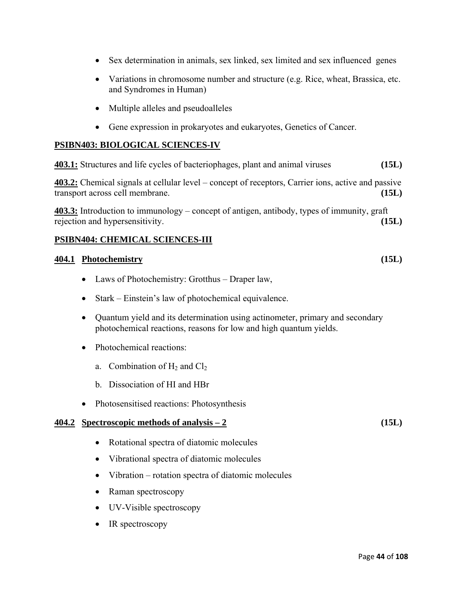- Sex determination in animals, sex linked, sex limited and sex influenced genes
- Variations in chromosome number and structure (e.g. Rice, wheat, Brassica, etc. and Syndromes in Human)
- Multiple alleles and pseudoalleles
- Gene expression in prokaryotes and eukaryotes, Genetics of Cancer.

#### **PSIBN403: BIOLOGICAL SCIENCES-IV**

**403.1:** Structures and life cycles of bacteriophages, plant and animal viruses **(15L)** 

**403.2:** Chemical signals at cellular level – concept of receptors, Carrier ions, active and passive transport across cell membrane. **(15L)** 

**403.3:** Introduction to immunology – concept of antigen, antibody, types of immunity, graft rejection and hypersensitivity. **(15L)** 

#### **PSIBN404: CHEMICAL SCIENCES-III**

#### **404.1 Photochemistry (15L)**

- Laws of Photochemistry: Grotthus Draper law,
- Stark Einstein's law of photochemical equivalence.
- Quantum yield and its determination using actinometer, primary and secondary photochemical reactions, reasons for low and high quantum yields.
- Photochemical reactions:
	- a. Combination of  $H_2$  and  $Cl_2$
	- b. Dissociation of HI and HBr
- Photosensitised reactions: Photosynthesis

#### **404.2 Spectroscopic methods of analysis – 2 (15L)**

- Rotational spectra of diatomic molecules
- Vibrational spectra of diatomic molecules
- Vibration rotation spectra of diatomic molecules
- Raman spectroscopy
- UV-Visible spectroscopy
- IR spectroscopy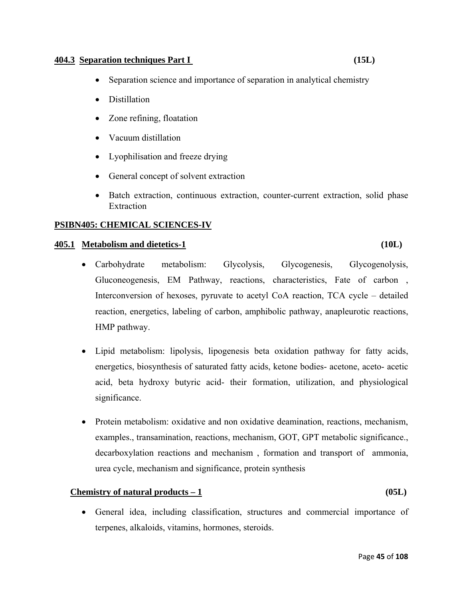#### **404.3 Separation techniques Part I (15L)**

- Separation science and importance of separation in analytical chemistry
- Distillation
- Zone refining, floatation
- Vacuum distillation
- Lyophilisation and freeze drying
- General concept of solvent extraction
- Batch extraction, continuous extraction, counter-current extraction, solid phase Extraction

#### **PSIBN405: CHEMICAL SCIENCES-IV**

#### **405.1 Metabolism and dietetics-1 (10L)**

- Carbohydrate metabolism: Glycolysis, Glycogenesis, Glycogenolysis, Gluconeogenesis, EM Pathway, reactions, characteristics, Fate of carbon , Interconversion of hexoses, pyruvate to acetyl CoA reaction, TCA cycle – detailed reaction, energetics, labeling of carbon, amphibolic pathway, anapleurotic reactions, HMP pathway.
- Lipid metabolism: lipolysis, lipogenesis beta oxidation pathway for fatty acids, energetics, biosynthesis of saturated fatty acids, ketone bodies- acetone, aceto- acetic acid, beta hydroxy butyric acid- their formation, utilization, and physiological significance.
- Protein metabolism: oxidative and non oxidative deamination, reactions, mechanism, examples., transamination, reactions, mechanism, GOT, GPT metabolic significance., decarboxylation reactions and mechanism , formation and transport of ammonia, urea cycle, mechanism and significance, protein synthesis

#### **Chemistry of natural products – 1 (05L)**

• General idea, including classification, structures and commercial importance of terpenes, alkaloids, vitamins, hormones, steroids.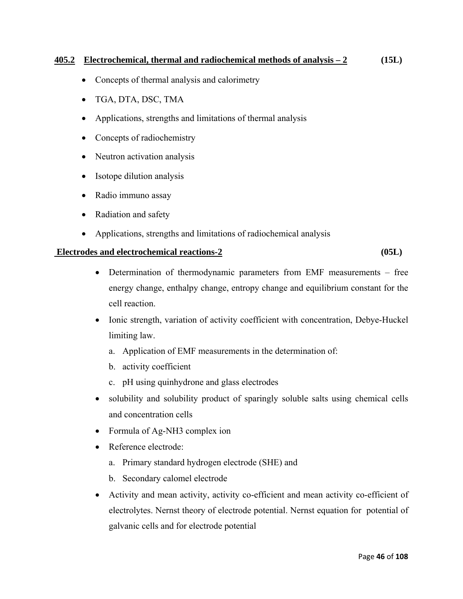#### **405.2 Electrochemical, thermal and radiochemical methods of analysis – 2 (15L)**

- Concepts of thermal analysis and calorimetry
- TGA, DTA, DSC, TMA
- Applications, strengths and limitations of thermal analysis
- Concepts of radiochemistry
- Neutron activation analysis
- Isotope dilution analysis
- Radio immuno assay
- Radiation and safety
- Applications, strengths and limitations of radiochemical analysis

#### **Electrodes and electrochemical reactions-2 (05L)**

• Determination of thermodynamic parameters from EMF measurements – free energy change, enthalpy change, entropy change and equilibrium constant for the cell reaction.

- Ionic strength, variation of activity coefficient with concentration, Debye-Huckel limiting law.
	- a. Application of EMF measurements in the determination of:
	- b. activity coefficient
	- c. pH using quinhydrone and glass electrodes
- solubility and solubility product of sparingly soluble salts using chemical cells and concentration cells
- Formula of Ag-NH3 complex ion
- Reference electrode:
	- a. Primary standard hydrogen electrode (SHE) and
	- b. Secondary calomel electrode
- Activity and mean activity, activity co-efficient and mean activity co-efficient of electrolytes. Nernst theory of electrode potential. Nernst equation for potential of galvanic cells and for electrode potential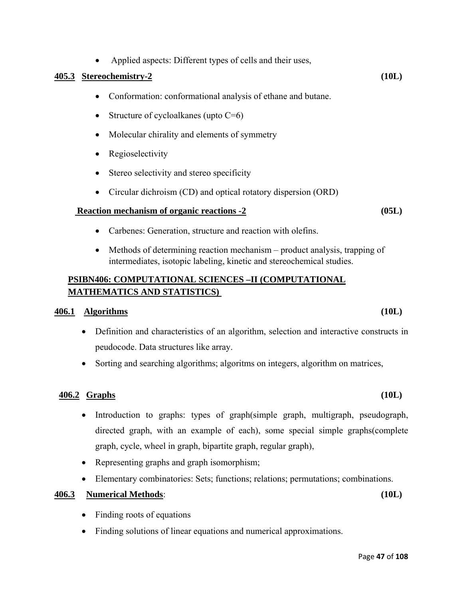#### • Applied aspects: Different types of cells and their uses,

#### **405.3 Stereochemistry-2 (10L)**

- Conformation: conformational analysis of ethane and butane.
- Structure of cycloalkanes (upto C=6)
- Molecular chirality and elements of symmetry
- Regioselectivity
- Stereo selectivity and stereo specificity
- Circular dichroism (CD) and optical rotatory dispersion (ORD)

#### **Reaction mechanism of organic reactions -2** (05L)

- Carbenes: Generation, structure and reaction with olefins.
- Methods of determining reaction mechanism product analysis, trapping of intermediates, isotopic labeling, kinetic and stereochemical studies.

### **PSIBN406: COMPUTATIONAL SCIENCES –II (COMPUTATIONAL MATHEMATICS AND STATISTICS)**

#### **406.1 Algorithms (10L)**

- Definition and characteristics of an algorithm, selection and interactive constructs in peudocode. Data structures like array.
- Sorting and searching algorithms; algoritms on integers, algorithm on matrices,

#### **406.2 Graphs (10L)**

- Introduction to graphs: types of graph(simple graph, multigraph, pseudograph, directed graph, with an example of each), some special simple graphs(complete graph, cycle, wheel in graph, bipartite graph, regular graph),
- Representing graphs and graph isomorphism;
- Elementary combinatories: Sets; functions; relations; permutations; combinations.

#### **406.3 Numerical Methods**: **(10L)**

- Finding roots of equations
- Finding solutions of linear equations and numerical approximations.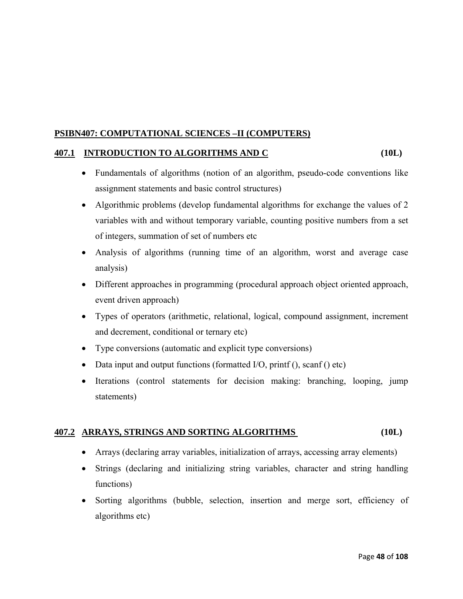#### **PSIBN407: COMPUTATIONAL SCIENCES –II (COMPUTERS)**

#### **407.1 INTRODUCTION TO ALGORITHMS AND C (10L)**

- Fundamentals of algorithms (notion of an algorithm, pseudo-code conventions like assignment statements and basic control structures)
- Algorithmic problems (develop fundamental algorithms for exchange the values of 2 variables with and without temporary variable, counting positive numbers from a set of integers, summation of set of numbers etc
- Analysis of algorithms (running time of an algorithm, worst and average case analysis)
- Different approaches in programming (procedural approach object oriented approach, event driven approach)
- Types of operators (arithmetic, relational, logical, compound assignment, increment and decrement, conditional or ternary etc)
- Type conversions (automatic and explicit type conversions)
- Data input and output functions (formatted I/O, printf (), scanf () etc)
- Iterations (control statements for decision making: branching, looping, jump statements)

#### **407.2 ARRAYS, STRINGS AND SORTING ALGORITHMS (10L)**

- Arrays (declaring array variables, initialization of arrays, accessing array elements)
- Strings (declaring and initializing string variables, character and string handling functions)
- Sorting algorithms (bubble, selection, insertion and merge sort, efficiency of algorithms etc)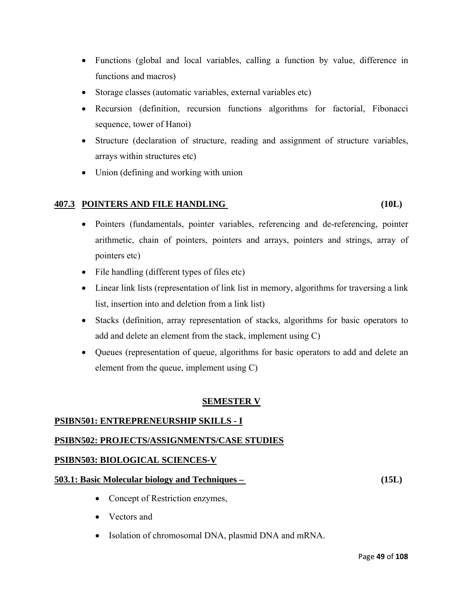- Functions (global and local variables, calling a function by value, difference in functions and macros)
- Storage classes (automatic variables, external variables etc)
- Recursion (definition, recursion functions algorithms for factorial, Fibonacci sequence, tower of Hanoi)
- Structure (declaration of structure, reading and assignment of structure variables, arrays within structures etc)
- Union (defining and working with union

#### **407.3 POINTERS AND FILE HANDLING (10L)**

- Pointers (fundamentals, pointer variables, referencing and de-referencing, pointer arithmetic, chain of pointers, pointers and arrays, pointers and strings, array of pointers etc)
- File handling (different types of files etc)
- Linear link lists (representation of link list in memory, algorithms for traversing a link list, insertion into and deletion from a link list)
- Stacks (definition, array representation of stacks, algorithms for basic operators to add and delete an element from the stack, implement using C)
- Queues (representation of queue, algorithms for basic operators to add and delete an element from the queue, implement using C)

#### **SEMESTER V**

#### **PSIBN501: ENTREPRENEURSHIP SKILLS - I**

#### **PSIBN502: PROJECTS/ASSIGNMENTS/CASE STUDIES**

#### **PSIBN503: BIOLOGICAL SCIENCES-V**

#### **503.1: Basic Molecular biology and Techniques – (15L)**

- Concept of Restriction enzymes,
- Vectors and
- Isolation of chromosomal DNA, plasmid DNA and mRNA.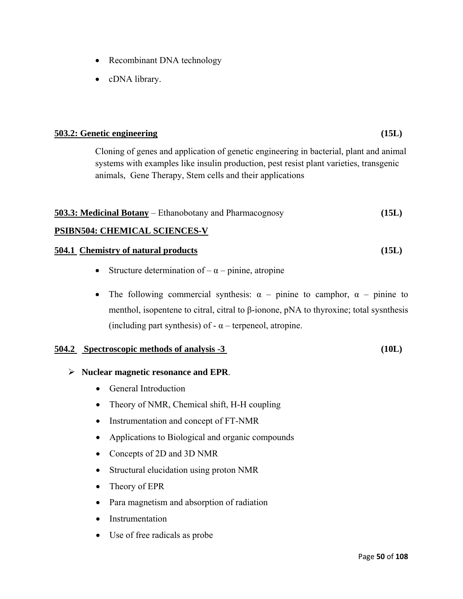- Recombinant DNA technology
- cDNA library.

# **503.2: Genetic engineering (15L)**

Cloning of genes and application of genetic engineering in bacterial, plant and animal systems with examples like insulin production, pest resist plant varieties, transgenic animals, Gene Therapy, Stem cells and their applications

| <b>503.3: Medicinal Botany</b> – Ethanobotany and Pharmacognosy |  | (15L) |
|-----------------------------------------------------------------|--|-------|
|-----------------------------------------------------------------|--|-------|

#### **PSIBN504: CHEMICAL SCIENCES-V**

#### **504.1 Chemistry of natural products (15L)**

- Structure determination of  $-\alpha$  pinine, atropine
- The following commercial synthesis:  $\alpha$  pinine to camphor,  $\alpha$  pinine to menthol, isopentene to citral, citral to β-ionone, pNA to thyroxine; total sysnthesis (including part synthesis) of  $-\alpha$  – terpeneol, atropine.

#### **504.2 Spectroscopic methods of analysis -3 (10L)**

#### ¾ **Nuclear magnetic resonance and EPR**.

- General Introduction
- Theory of NMR, Chemical shift, H-H coupling
- Instrumentation and concept of FT-NMR
- Applications to Biological and organic compounds
- Concepts of 2D and 3D NMR
- Structural elucidation using proton NMR
- Theory of EPR
- Para magnetism and absorption of radiation
- Instrumentation
- Use of free radicals as probe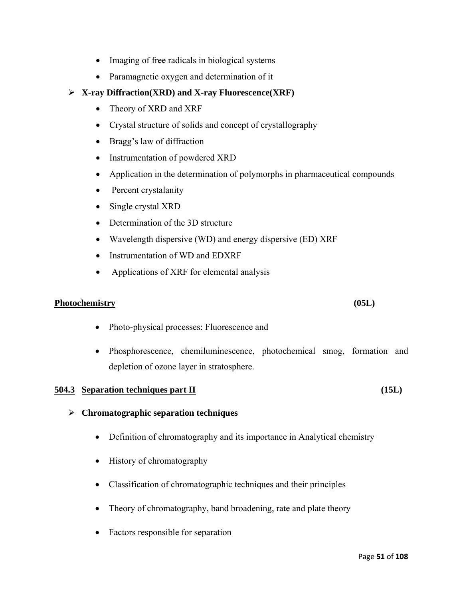- Imaging of free radicals in biological systems
- Paramagnetic oxygen and determination of it
- ¾ **X-ray Diffraction(XRD) and X-ray Fluorescence(XRF)** 
	- Theory of XRD and XRF
	- Crystal structure of solids and concept of crystallography
	- Bragg's law of diffraction
	- Instrumentation of powdered XRD
	- Application in the determination of polymorphs in pharmaceutical compounds
	- Percent crystalanity
	- Single crystal XRD
	- Determination of the 3D structure
	- Wavelength dispersive (WD) and energy dispersive (ED) XRF
	- Instrumentation of WD and EDXRF
	- Applications of XRF for elemental analysis

#### **Photochemistry (05L)**

- Photo-physical processes: Fluorescence and
- Phosphorescence, chemiluminescence, photochemical smog, formation and depletion of ozone layer in stratosphere.

#### **504.3 Separation techniques part II (15L)**

#### ¾ **Chromatographic separation techniques**

- Definition of chromatography and its importance in Analytical chemistry
- History of chromatography
- Classification of chromatographic techniques and their principles
- Theory of chromatography, band broadening, rate and plate theory
- Factors responsible for separation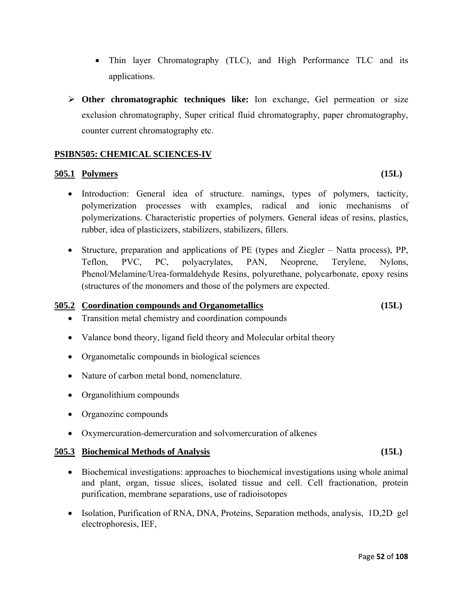- Thin layer Chromatography (TLC), and High Performance TLC and its applications.
- ¾ **Other chromatographic techniques like:** Ion exchange, Gel permeation or size exclusion chromatography, Super critical fluid chromatography, paper chromatography, counter current chromatography etc.

#### **PSIBN505: CHEMICAL SCIENCES-IV**

#### **505.1 Polymers (15L)**

- Introduction: General idea of structure. namings, types of polymers, tacticity, polymerization processes with examples, radical and ionic mechanisms of polymerizations. Characteristic properties of polymers. General ideas of resins, plastics, rubber, idea of plasticizers, stabilizers, stabilizers, fillers.
- Structure, preparation and applications of PE (types and Ziegler Natta process), PP, Teflon, PVC, PC, polyacrylates, PAN, Neoprene, Terylene, Nylons, Phenol/Melamine/Urea-formaldehyde Resins, polyurethane, polycarbonate, epoxy resins (structures of the monomers and those of the polymers are expected.

#### **505.2 Coordination compounds and Organometallics (15L)**

- Transition metal chemistry and coordination compounds
- Valance bond theory, ligand field theory and Molecular orbital theory
- Organometalic compounds in biological sciences
- Nature of carbon metal bond, nomenclature.
- Organolithium compounds
- Organozinc compounds
- Oxymercuration-demercuration and solvomercuration of alkenes

#### **505.3 Biochemical Methods of Analysis (15L)**

- Biochemical investigations: approaches to biochemical investigations using whole animal and plant, organ, tissue slices, isolated tissue and cell. Cell fractionation, protein purification, membrane separations, use of radioisotopes
- Isolation, Purification of RNA, DNA, Proteins, Separation methods, analysis, 1D,2D gel electrophoresis, IEF,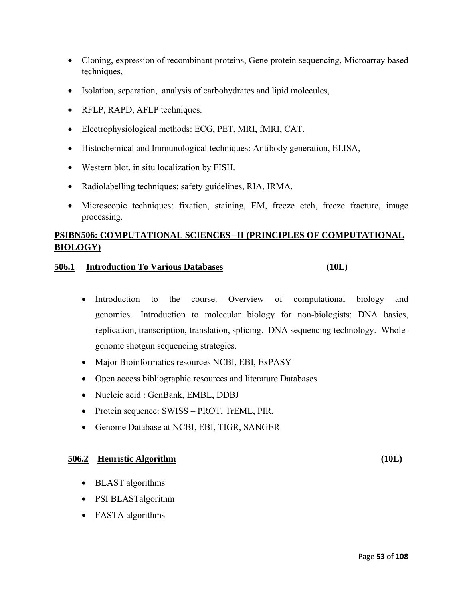- Cloning, expression of recombinant proteins, Gene protein sequencing, Microarray based techniques,
- Isolation, separation, analysis of carbohydrates and lipid molecules,
- RFLP, RAPD, AFLP techniques.
- Electrophysiological methods: ECG, PET, MRI, fMRI, CAT.
- Histochemical and Immunological techniques: Antibody generation, ELISA,
- Western blot, in situ localization by FISH.
- Radiolabelling techniques: safety guidelines, RIA, IRMA.
- Microscopic techniques: fixation, staining, EM, freeze etch, freeze fracture, image processing.

### **PSIBN506: COMPUTATIONAL SCIENCES –II (PRINCIPLES OF COMPUTATIONAL BIOLOGY)**

#### **506.1 Introduction To Various Databases (10L)**

- Introduction to the course. Overview of computational biology and genomics. Introduction to molecular biology for non-biologists: DNA basics, replication, transcription, translation, splicing. DNA sequencing technology. Wholegenome shotgun sequencing strategies.
- Major Bioinformatics resources NCBI, EBI, ExPASY
- Open access bibliographic resources and literature Databases
- Nucleic acid : GenBank, EMBL, DDBJ
- Protein sequence: SWISS PROT, TrEML, PIR.
- Genome Database at NCBI, EBI, TIGR, SANGER

#### **506.2 Heuristic Algorithm (10L)**

• BLAST algorithms

- PSI BLASTalgorithm
- FASTA algorithms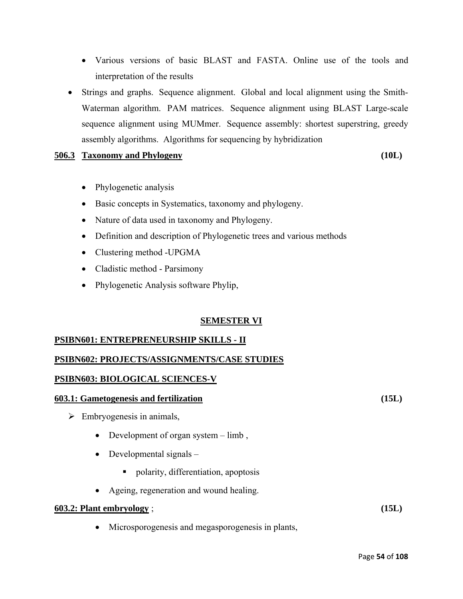- Various versions of basic BLAST and FASTA. Online use of the tools and interpretation of the results
- Strings and graphs. Sequence alignment. Global and local alignment using the Smith-Waterman algorithm. PAM matrices. Sequence alignment using BLAST Large-scale sequence alignment using MUMmer. Sequence assembly: shortest superstring, greedy assembly algorithms. Algorithms for sequencing by hybridization

#### **506.3 Taxonomy and Phylogeny (10L)**

- Phylogenetic analysis
- Basic concepts in Systematics, taxonomy and phylogeny.
- Nature of data used in taxonomy and Phylogeny.
- Definition and description of Phylogenetic trees and various methods
- Clustering method -UPGMA
- Cladistic method Parsimony
- Phylogenetic Analysis software Phylip,

#### **SEMESTER VI**

#### **PSIBN601: ENTREPRENEURSHIP SKILLS - II**

#### **PSIBN602: PROJECTS/ASSIGNMENTS/CASE STUDIES**

#### **PSIBN603: BIOLOGICAL SCIENCES-V**

#### **603.1: Gametogenesis and fertilization (15L)**

- $\triangleright$  Embryogenesis in animals,
	- Development of organ system limb,
	- Developmental signals
		- polarity, differentiation, apoptosis
	- Ageing, regeneration and wound healing.

#### **603.2: Plant embryology** ; **(15L)**

• Microsporogenesis and megasporogenesis in plants,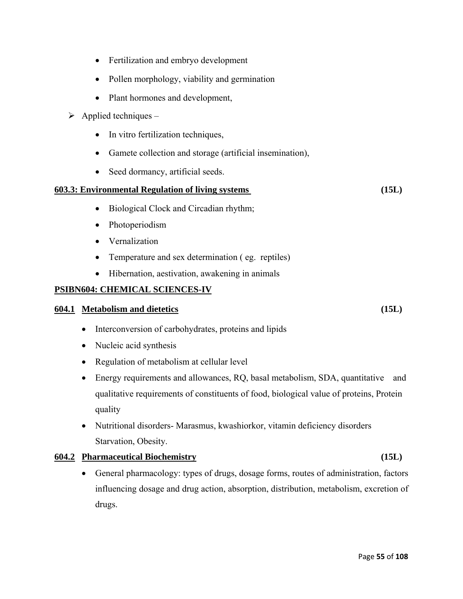Page **55** of **108**

- Fertilization and embryo development
- Pollen morphology, viability and germination
- Plant hormones and development,
- $\triangleright$  Applied techniques
	- In vitro fertilization techniques,
	- Gamete collection and storage (artificial insemination),
	- Seed dormancy, artificial seeds.

#### **603.3: Environmental Regulation of living systems (15L)**

- Biological Clock and Circadian rhythm;
- Photoperiodism
- Vernalization
- Temperature and sex determination (eg. reptiles)
- Hibernation, aestivation, awakening in animals

#### **PSIBN604: CHEMICAL SCIENCES-IV**

#### **604.1 Metabolism and dietetics (15L)**

- Interconversion of carbohydrates, proteins and lipids
- Nucleic acid synthesis
- Regulation of metabolism at cellular level
- Energy requirements and allowances, RQ, basal metabolism, SDA, quantitative and qualitative requirements of constituents of food, biological value of proteins, Protein quality
- Nutritional disorders- Marasmus, kwashiorkor, vitamin deficiency disorders Starvation, Obesity.

#### **604.2 Pharmaceutical Biochemistry (15L)**

• General pharmacology: types of drugs, dosage forms, routes of administration, factors influencing dosage and drug action, absorption, distribution, metabolism, excretion of drugs.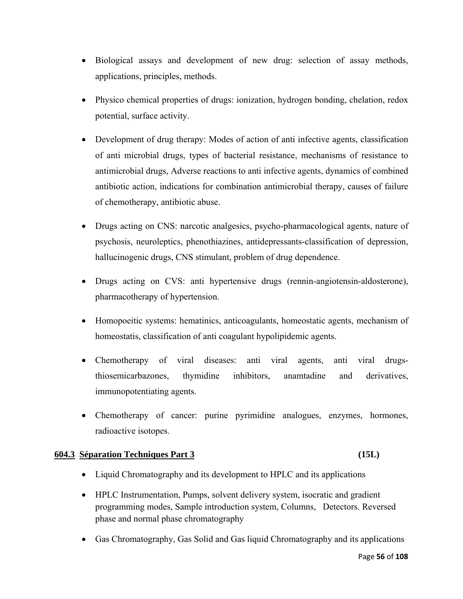- Biological assays and development of new drug: selection of assay methods, applications, principles, methods.
- Physico chemical properties of drugs: ionization, hydrogen bonding, chelation, redox potential, surface activity.
- Development of drug therapy: Modes of action of anti-infective agents, classification of anti microbial drugs, types of bacterial resistance, mechanisms of resistance to antimicrobial drugs, Adverse reactions to anti infective agents, dynamics of combined antibiotic action, indications for combination antimicrobial therapy, causes of failure of chemotherapy, antibiotic abuse.
- Drugs acting on CNS: narcotic analgesics, psycho-pharmacological agents, nature of psychosis, neuroleptics, phenothiazines, antidepressants-classification of depression, hallucinogenic drugs, CNS stimulant, problem of drug dependence.
- Drugs acting on CVS: anti hypertensive drugs (rennin-angiotensin-aldosterone), pharmacotherapy of hypertension.
- Homopoeitic systems: hematinics, anticoagulants, homeostatic agents, mechanism of homeostatis, classification of anti coagulant hypolipidemic agents.
- Chemotherapy of viral diseases: anti viral agents, anti viral drugsthiosemicarbazones, thymidine inhibitors, anamtadine and derivatives, immunopotentiating agents.
- Chemotherapy of cancer: purine pyrimidine analogues, enzymes, hormones, radioactive isotopes.

#### **604.3 Séparation Techniques Part 3 (15L)**

- Liquid Chromatography and its development to HPLC and its applications
- HPLC Instrumentation, Pumps, solvent delivery system, isocratic and gradient programming modes, Sample introduction system, Columns, Detectors. Reversed phase and normal phase chromatography
- Gas Chromatography, Gas Solid and Gas liquid Chromatography and its applications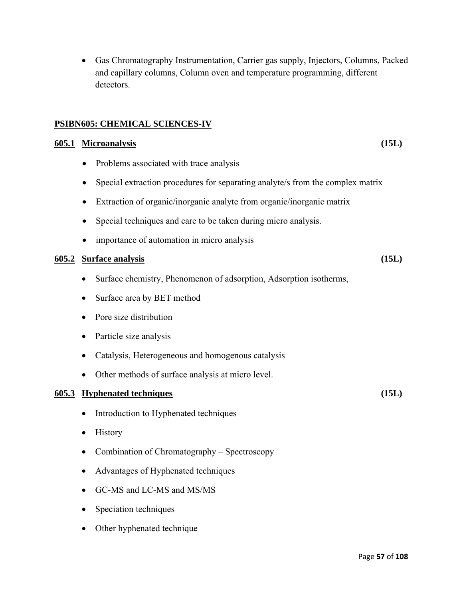• Gas Chromatography Instrumentation, Carrier gas supply, Injectors, Columns, Packed and capillary columns, Column oven and temperature programming, different detectors.

#### **PSIBN605: CHEMICAL SCIENCES-IV**

#### **605.1 Microanalysis (15L)**

- Problems associated with trace analysis
- Special extraction procedures for separating analyte/s from the complex matrix
- Extraction of organic/inorganic analyte from organic/inorganic matrix
- Special techniques and care to be taken during micro analysis.
- importance of automation in micro analysis

#### **605.2 Surface analysis (15L)**

- Surface chemistry, Phenomenon of adsorption, Adsorption isotherms,
- Surface area by BET method
- Pore size distribution
- Particle size analysis
- Catalysis, Heterogeneous and homogenous catalysis
- Other methods of surface analysis at micro level.

#### **605.3 Hyphenated techniques (15L)**

- Introduction to Hyphenated techniques
- History
- Combination of Chromatography Spectroscopy
- Advantages of Hyphenated techniques
- GC-MS and LC-MS and MS/MS
- Speciation techniques
- Other hyphenated technique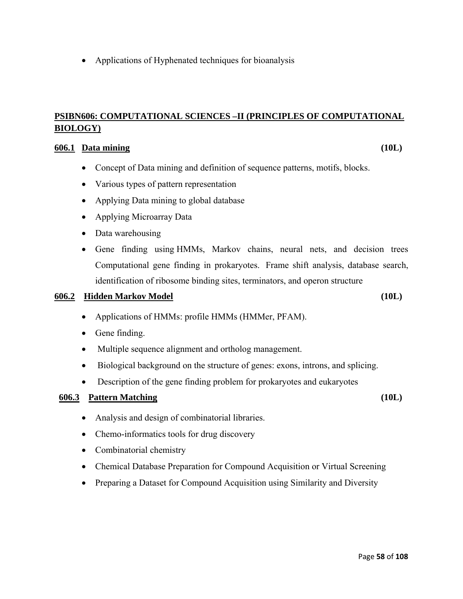• Applications of Hyphenated techniques for bioanalysis

#### **PSIBN606: COMPUTATIONAL SCIENCES –II (PRINCIPLES OF COMPUTATIONAL BIOLOGY)**

#### **606.1 Data mining (10L)**

- Concept of Data mining and definition of sequence patterns, motifs, blocks.
- Various types of pattern representation
- Applying Data mining to global database
- Applying Microarray Data
- Data warehousing
- Gene finding using HMMs, Markov chains, neural nets, and decision trees Computational gene finding in prokaryotes. Frame shift analysis, database search, identification of ribosome binding sites, terminators, and operon structure

#### **606.2 Hidden Markov Model (10L)**

- Applications of HMMs: profile HMMs (HMMer, PFAM).
- Gene finding.
- Multiple sequence alignment and ortholog management.
- Biological background on the structure of genes: exons, introns, and splicing.
- Description of the gene finding problem for prokaryotes and eukaryotes

#### **606.3 Pattern Matching (10L)**

- Analysis and design of combinatorial libraries.
- Chemo-informatics tools for drug discovery
- Combinatorial chemistry
- Chemical Database Preparation for Compound Acquisition or Virtual Screening
- Preparing a Dataset for Compound Acquisition using Similarity and Diversity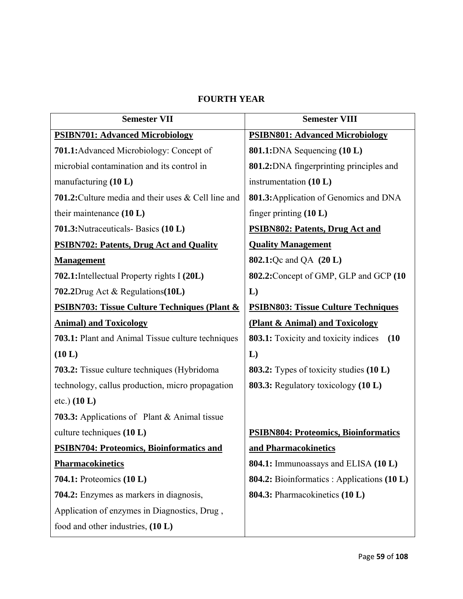### **FOURTH YEAR**

| <b>Semester VII</b>                                        | <b>Semester VIII</b>                                |  |
|------------------------------------------------------------|-----------------------------------------------------|--|
| <b>PSIBN701: Advanced Microbiology</b>                     | <b>PSIBN801: Advanced Microbiology</b>              |  |
| <b>701.1:</b> Advanced Microbiology: Concept of            | <b>801.1:</b> DNA Sequencing (10 L)                 |  |
| microbial contamination and its control in                 | 801.2: DNA fingerprinting principles and            |  |
| manufacturing $(10 L)$                                     | instrumentation (10 L)                              |  |
| <b>701.2:</b> Culture media and their uses & Cell line and | 801.3: Application of Genomics and DNA              |  |
| their maintenance (10 L)                                   | finger printing $(10 L)$                            |  |
| 701.3: Nutraceuticals - Basics (10 L)                      | <b>PSIBN802: Patents, Drug Act and</b>              |  |
| <b>PSIBN702: Patents, Drug Act and Quality</b>             | <b>Quality Management</b>                           |  |
| <b>Management</b>                                          | <b>802.1:</b> Qc and QA (20 L)                      |  |
| 702.1: Intellectual Property rights I (20L)                | 802.2: Concept of GMP, GLP and GCP (10              |  |
| 702.2Drug Act & Regulations(10L)                           | L)                                                  |  |
| <b>PSIBN703: Tissue Culture Techniques (Plant &amp;</b>    | <b>PSIBN803: Tissue Culture Techniques</b>          |  |
| <b>Animal) and Toxicology</b>                              | (Plant & Animal) and Toxicology                     |  |
| 703.1: Plant and Animal Tissue culture techniques          | <b>803.1:</b> Toxicity and toxicity indices<br>(10) |  |
| (10 L)                                                     | $\mathbf{L}$                                        |  |
| 703.2: Tissue culture techniques (Hybridoma                | <b>803.2:</b> Types of toxicity studies (10 L)      |  |
| technology, callus production, micro propagation           | <b>803.3:</b> Regulatory toxicology (10 L)          |  |
| etc.) (10 L)                                               |                                                     |  |
| <b>703.3:</b> Applications of Plant & Animal tissue        |                                                     |  |
| culture techniques (10 L)                                  | <b>PSIBN804: Proteomics, Bioinformatics</b>         |  |
| <b>PSIBN704: Proteomics, Bioinformatics and</b>            | and Pharmacokinetics                                |  |
| <b>Pharmacokinetics</b>                                    | <b>804.1:</b> Immunoassays and ELISA (10 L)         |  |
| <b>704.1:</b> Proteomics (10 L)                            | 804.2: Bioinformatics : Applications (10 L)         |  |
| <b>704.2:</b> Enzymes as markers in diagnosis,             | 804.3: Pharmacokinetics (10 L)                      |  |
| Application of enzymes in Diagnostics, Drug,               |                                                     |  |
| food and other industries, (10 L)                          |                                                     |  |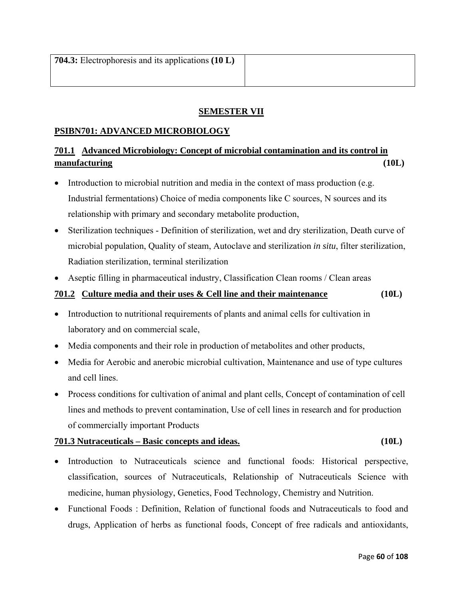#### **SEMESTER VII**

#### **PSIBN701: ADVANCED MICROBIOLOGY**

### **701.1 Advanced Microbiology: Concept of microbial contamination and its control in manufacturing (10L)**

- Introduction to microbial nutrition and media in the context of mass production (e.g. Industrial fermentations) Choice of media components like C sources, N sources and its relationship with primary and secondary metabolite production,
- Sterilization techniques Definition of sterilization, wet and dry sterilization, Death curve of microbial population, Quality of steam, Autoclave and sterilization *in situ*, filter sterilization, Radiation sterilization, terminal sterilization
- Aseptic filling in pharmaceutical industry, Classification Clean rooms / Clean areas

#### **701.2 Culture media and their uses & Cell line and their maintenance (10L)**

- Introduction to nutritional requirements of plants and animal cells for cultivation in laboratory and on commercial scale,
- Media components and their role in production of metabolites and other products,
- Media for Aerobic and anerobic microbial cultivation, Maintenance and use of type cultures and cell lines.
- Process conditions for cultivation of animal and plant cells, Concept of contamination of cell lines and methods to prevent contamination, Use of cell lines in research and for production of commercially important Products

#### **701.3 Nutraceuticals – Basic concepts and ideas. (10L)**

- Introduction to Nutraceuticals science and functional foods: Historical perspective, classification, sources of Nutraceuticals, Relationship of Nutraceuticals Science with medicine, human physiology, Genetics, Food Technology, Chemistry and Nutrition.
- Functional Foods : Definition, Relation of functional foods and Nutraceuticals to food and drugs, Application of herbs as functional foods, Concept of free radicals and antioxidants,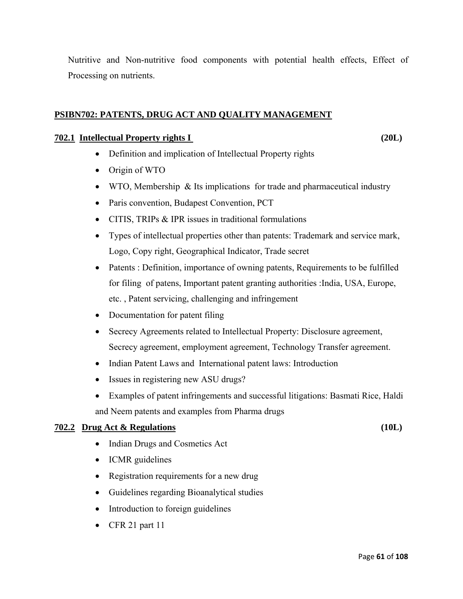Nutritive and Non-nutritive food components with potential health effects, Effect of Processing on nutrients.

#### **PSIBN702: PATENTS, DRUG ACT AND QUALITY MANAGEMENT**

#### **702.1 Intellectual Property rights I (20L)**

- Definition and implication of Intellectual Property rights
- Origin of WTO
- WTO, Membership & Its implications for trade and pharmaceutical industry
- Paris convention, Budapest Convention, PCT
- CITIS, TRIPs & IPR issues in traditional formulations
- Types of intellectual properties other than patents: Trademark and service mark, Logo, Copy right, Geographical Indicator, Trade secret
- Patents : Definition, importance of owning patents, Requirements to be fulfilled for filing of patens, Important patent granting authorities :India, USA, Europe, etc. , Patent servicing, challenging and infringement
- Documentation for patent filing
- Secrecy Agreements related to Intellectual Property: Disclosure agreement, Secrecy agreement, employment agreement, Technology Transfer agreement.
- Indian Patent Laws and International patent laws: Introduction
- Issues in registering new ASU drugs?
- Examples of patent infringements and successful litigations: Basmati Rice, Haldi and Neem patents and examples from Pharma drugs

#### **702.2 Drug Act & Regulations (10L)**

- Indian Drugs and Cosmetics Act
- ICMR guidelines
- Registration requirements for a new drug
- Guidelines regarding Bioanalytical studies
- Introduction to foreign guidelines
- CFR 21 part  $11$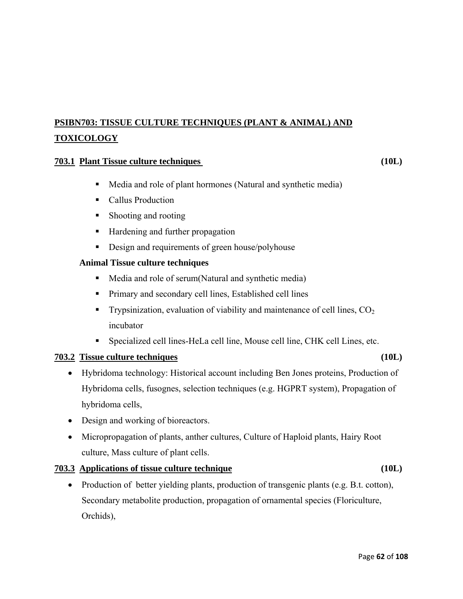# **PSIBN703: TISSUE CULTURE TECHNIQUES (PLANT & ANIMAL) AND TOXICOLOGY**

#### **703.1 Plant Tissue culture techniques (10L)**

- Media and role of plant hormones (Natural and synthetic media)
- **Callus Production**
- Shooting and rooting
- Hardening and further propagation
- Design and requirements of green house/polyhouse

#### **Animal Tissue culture techniques**

- **Media and role of serum**(Natural and synthetic media)
- **Primary and secondary cell lines, Established cell lines**
- **Trypsinization, evaluation of viability and maintenance of cell lines,**  $CO<sub>2</sub>$ incubator
- Specialized cell lines-HeLa cell line, Mouse cell line, CHK cell Lines, etc.

#### **703.2 Tissue culture techniques (10L)**

# • Hybridoma technology: Historical account including Ben Jones proteins, Production of Hybridoma cells, fusognes, selection techniques (e.g. HGPRT system), Propagation of hybridoma cells,

- Design and working of bioreactors.
- Micropropagation of plants, anther cultures, Culture of Haploid plants, Hairy Root culture, Mass culture of plant cells.

#### **703.3 Applications of tissue culture technique (10L)**

• Production of better yielding plants, production of transgenic plants (e.g. B.t. cotton), Secondary metabolite production, propagation of ornamental species (Floriculture, Orchids),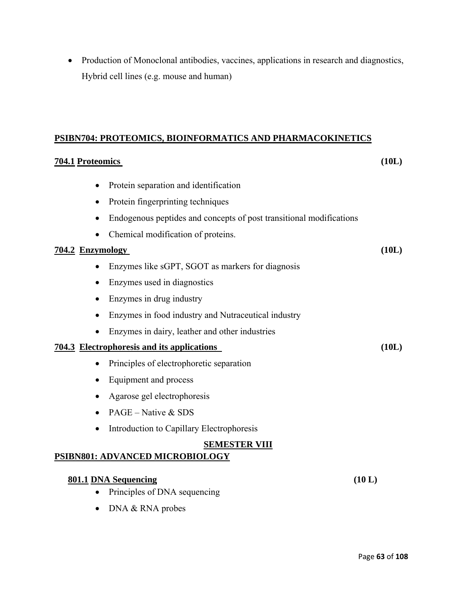• Production of Monoclonal antibodies, vaccines, applications in research and diagnostics, Hybrid cell lines (e.g. mouse and human)

#### **PSIBN704: PROTEOMICS, BIOINFORMATICS AND PHARMACOKINETICS**

# **704.1 Proteomics (10L)**  • Protein separation and identification • Protein fingerprinting techniques • Endogenous peptides and concepts of post transitional modifications • Chemical modification of proteins. **704.2 Enzymology (10L)** • Enzymes like sGPT, SGOT as markers for diagnosis • Enzymes used in diagnostics • Enzymes in drug industry • Enzymes in food industry and Nutraceutical industry • Enzymes in dairy, leather and other industries **704.3 Electrophoresis and its applications (10L)** • Principles of electrophoretic separation • Equipment and process • Agarose gel electrophoresis • PAGE – Native  $&$  SDS • Introduction to Capillary Electrophoresis **SEMESTER VIII PSIBN801: ADVANCED MICROBIOLOGY 801.1 DNA Sequencing (10 L)**  • Principles of DNA sequencing

• DNA & RNA probes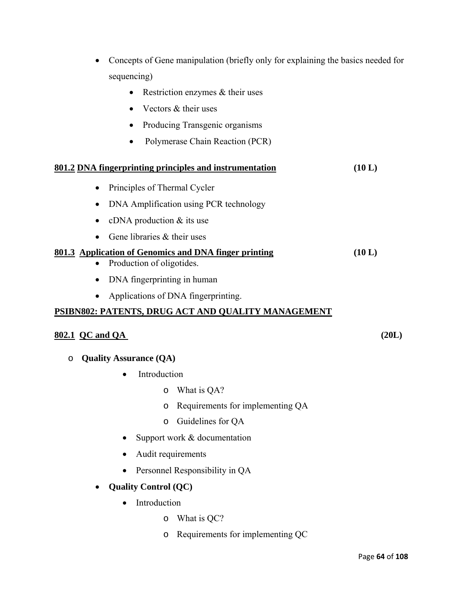- Concepts of Gene manipulation (briefly only for explaining the basics needed for sequencing)
	- Restriction enzymes & their uses
	- Vectors & their uses
	- Producing Transgenic organisms
	- Polymerase Chain Reaction (PCR)

|           | 801.2 DNA fingerprinting principles and instrumentation | (10 L) |
|-----------|---------------------------------------------------------|--------|
|           | • Principles of Thermal Cycler                          |        |
|           | • DNA Amplification using PCR technology                |        |
|           | • cDNA production $&$ its use                           |        |
| $\bullet$ | Gene libraries & their uses                             |        |

#### **801.3 Application of Genomics and DNA finger printing (10 L)**

- Production of oligotides.
- DNA fingerprinting in human
- Applications of DNA fingerprinting.

#### **PSIBN802: PATENTS, DRUG ACT AND QUALITY MANAGEMENT**

#### **802.1 QC and QA (20L)**

- o **Quality Assurance (QA)** 
	- Introduction
		- o What is QA?
		- o Requirements for implementing QA
		- o Guidelines for QA
	- Support work & documentation
	- Audit requirements
	- Personnel Responsibility in QA
	- **Quality Control (QC)** 
		- Introduction
			- o What is QC?
			- o Requirements for implementing QC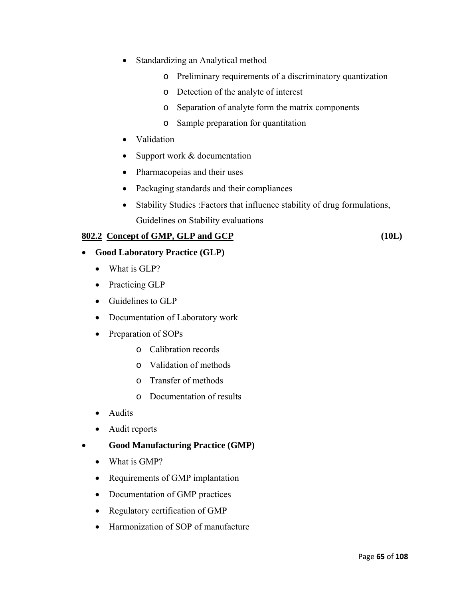- Standardizing an Analytical method
	- o Preliminary requirements of a discriminatory quantization
	- o Detection of the analyte of interest
	- o Separation of analyte form the matrix components
	- o Sample preparation for quantitation
- Validation
- Support work & documentation
- Pharmacopeias and their uses
- Packaging standards and their compliances
- Stability Studies :Factors that influence stability of drug formulations, Guidelines on Stability evaluations

#### **802.2 Concept of GMP, GLP and GCP (10L)**

### • **Good Laboratory Practice (GLP)**

- What is GLP?
- Practicing GLP
- Guidelines to GLP
- Documentation of Laboratory work
- Preparation of SOPs
	- o Calibration records
	- o Validation of methods
	- o Transfer of methods
	- o Documentation of results
- Audits
- Audit reports
- **Good Manufacturing Practice (GMP)**
	- What is GMP?
	- Requirements of GMP implantation
	- Documentation of GMP practices
	- Regulatory certification of GMP
	- Harmonization of SOP of manufacture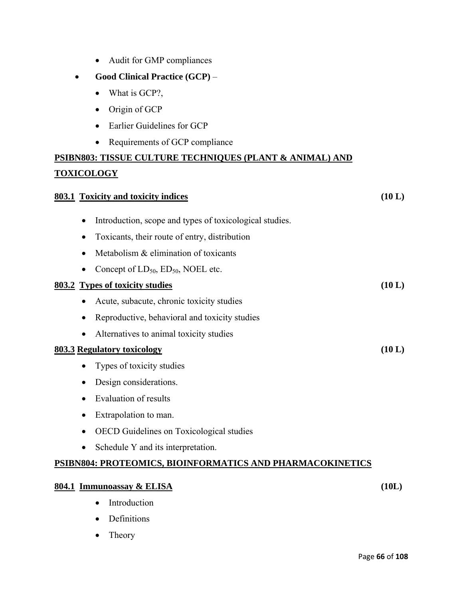| Audit for GMP compliances                                            |        |
|----------------------------------------------------------------------|--------|
| Good Clinical Practice (GCP) -                                       |        |
| What is GCP?,<br>$\bullet$                                           |        |
| Origin of GCP                                                        |        |
| Earlier Guidelines for GCP                                           |        |
| Requirements of GCP compliance                                       |        |
| <u> PSIBN803: TISSUE CULTURE TECHNIQUES (PLANT &amp; ANIMAL) AND</u> |        |
| <u>TOXICOLOGY</u>                                                    |        |
| 803.1 Toxicity and toxicity indices                                  | (10 L) |
| Introduction, scope and types of toxicological studies.              |        |
| Toxicants, their route of entry, distribution<br>$\bullet$           |        |
| Metabolism & elimination of toxicants<br>$\bullet$                   |        |
| Concept of $LD_{50}$ , $ED_{50}$ , NOEL etc.<br>٠                    |        |
| 803.2 Types of toxicity studies                                      | (10 L) |
| Acute, subacute, chronic toxicity studies                            |        |
| Reproductive, behavioral and toxicity studies                        |        |
| Alternatives to animal toxicity studies                              |        |
| 803.3 Regulatory toxicology                                          | (10 L) |
| Types of toxicity studies                                            |        |
| Design considerations.                                               |        |
| <b>Evaluation of results</b>                                         |        |
| Extrapolation to man.                                                |        |
| <b>OECD</b> Guidelines on Toxicological studies                      |        |
| Schedule Y and its interpretation.<br>$\bullet$                      |        |
| <u> PSIBN804: PROTEOMICS, BIOINFORMATICS AND PHARMACOKINETICS</u>    |        |
| 804.1 Immunoassay & ELISA                                            | (10L)  |
| Introduction                                                         |        |

- Definitions
- Theory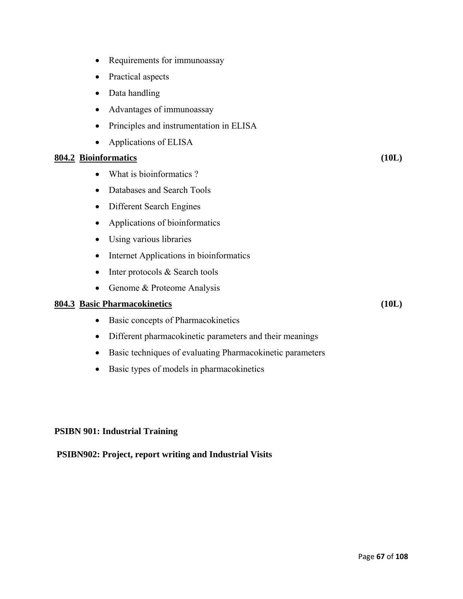- Requirements for immunoassay
- Practical aspects
- Data handling
- Advantages of immunoassay
- Principles and instrumentation in ELISA
- Applications of ELISA

#### **804.2 Bioinformatics (10L)**

- What is bioinformatics ?
- Databases and Search Tools
- Different Search Engines
- Applications of bioinformatics
- Using various libraries
- Internet Applications in bioinformatics
- Inter protocols & Search tools
- Genome & Proteome Analysis

#### **804.3 Basic Pharmacokinetics (10L)**

- Basic concepts of Pharmacokinetics
- Different pharmacokinetic parameters and their meanings
- Basic techniques of evaluating Pharmacokinetic parameters
- Basic types of models in pharmacokinetics

#### **PSIBN 901: Industrial Training**

#### **PSIBN902: Project, report writing and Industrial Visits**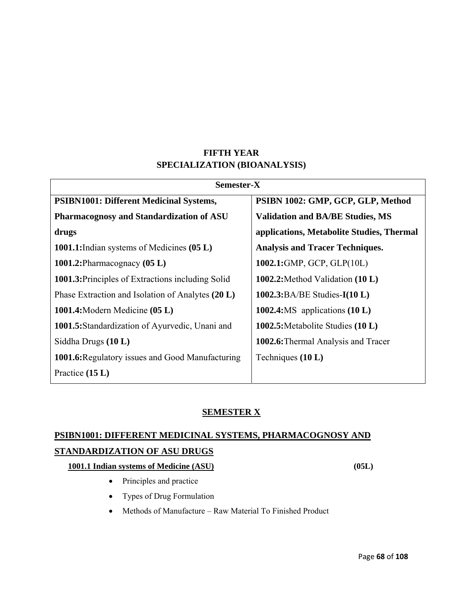### **FIFTH YEAR SPECIALIZATION (BIOANALYSIS)**

| Semester-X                                               |                                           |  |
|----------------------------------------------------------|-------------------------------------------|--|
| <b>PSIBN1001: Different Medicinal Systems,</b>           | PSIBN 1002: GMP, GCP, GLP, Method         |  |
| <b>Pharmacognosy and Standardization of ASU</b>          | <b>Validation and BA/BE Studies, MS</b>   |  |
| drugs                                                    | applications, Metabolite Studies, Thermal |  |
| 1001.1: Indian systems of Medicines (05 L)               | <b>Analysis and Tracer Techniques.</b>    |  |
| 1001.2: Pharmacognacy $(05 L)$                           | 1002.1:GMP, GCP, GLP(10L)                 |  |
| <b>1001.3:</b> Principles of Extractions including Solid | 1002.2: Method Validation $(10 L)$        |  |
| Phase Extraction and Isolation of Analytes (20 L)        | 1002.3:BA/BE Studies- $I(10 L)$           |  |
| 1001.4: Modern Medicine (05 L)                           | 1002.4:MS applications $(10 L)$           |  |
| 1001.5: Standardization of Ayurvedic, Unani and          | 1002.5: Metabolite Studies (10 L)         |  |
| Siddha Drugs $(10 L)$                                    | 1002.6: Thermal Analysis and Tracer       |  |
| 1001.6: Regulatory issues and Good Manufacturing         | Techniques $(10 L)$                       |  |
| Practice $(15 L)$                                        |                                           |  |

### **SEMESTER X**

## **PSIBN1001: DIFFERENT MEDICINAL SYSTEMS, PHARMACOGNOSY AND STANDARDIZATION OF ASU DRUGS**

#### **1001.1 Indian systems of Medicine (ASU) (05L)**

- Principles and practice
- Types of Drug Formulation
- Methods of Manufacture Raw Material To Finished Product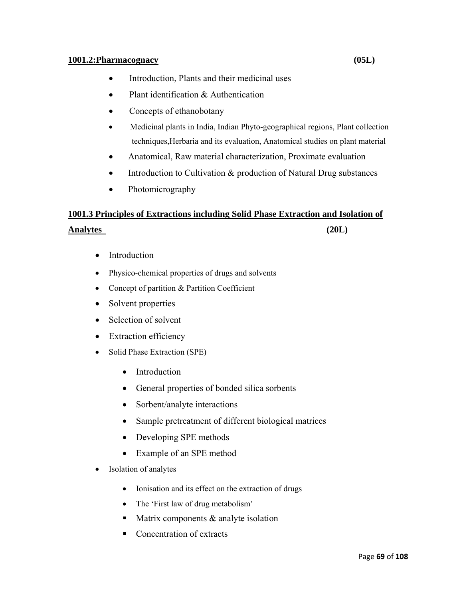#### **1001.2:Pharmacognacy (05L)**

- Introduction, Plants and their medicinal uses
- Plant identification & Authentication
- Concepts of ethanobotany
- Medicinal plants in India, Indian Phyto-geographical regions, Plant collection techniques,Herbaria and its evaluation, Anatomical studies on plant material
- Anatomical, Raw material characterization, Proximate evaluation
- Introduction to Cultivation & production of Natural Drug substances
- Photomicrography

# **1001.3 Principles of Extractions including Solid Phase Extraction and Isolation of Analytes (20L)**

- Introduction
- Physico-chemical properties of drugs and solvents
- Concept of partition & Partition Coefficient
- Solvent properties
- Selection of solvent
- Extraction efficiency
- Solid Phase Extraction (SPE)
	- Introduction
	- General properties of bonded silica sorbents
	- Sorbent/analyte interactions
	- Sample pretreatment of different biological matrices
	- Developing SPE methods
	- Example of an SPE method
- Isolation of analytes
	- Ionisation and its effect on the extraction of drugs
	- The 'First law of drug metabolism'
	- $\blacksquare$  Matrix components & analyte isolation
	- Concentration of extracts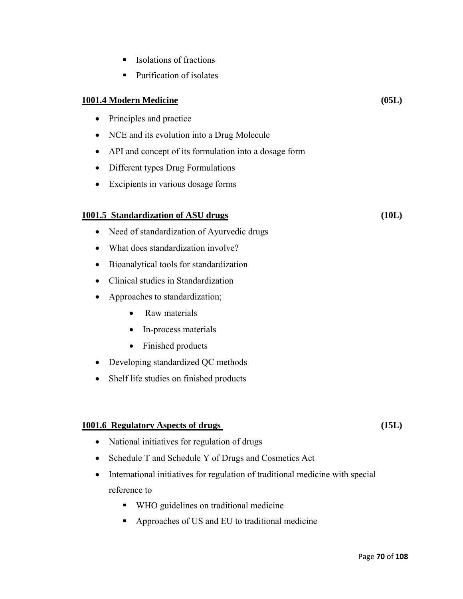- $\blacksquare$  Isolations of fractions
- Purification of isolates

#### **1001.4 Modern Medicine (05L)**

- Principles and practice
- NCE and its evolution into a Drug Molecule
- API and concept of its formulation into a dosage form
- Different types Drug Formulations
- Excipients in various dosage forms

#### **1001.5 Standardization of ASU drugs (10L)**

- Need of standardization of Ayurvedic drugs
- What does standardization involve?
- Bioanalytical tools for standardization
- Clinical studies in Standardization
- Approaches to standardization;
	- Raw materials
	- In-process materials
	- Finished products
- Developing standardized QC methods
- Shelf life studies on finished products

#### **1001.6 Regulatory Aspects of drugs (15L)**

- National initiatives for regulation of drugs
- Schedule T and Schedule Y of Drugs and Cosmetics Act
- International initiatives for regulation of traditional medicine with special reference to
	- WHO guidelines on traditional medicine
	- Approaches of US and EU to traditional medicine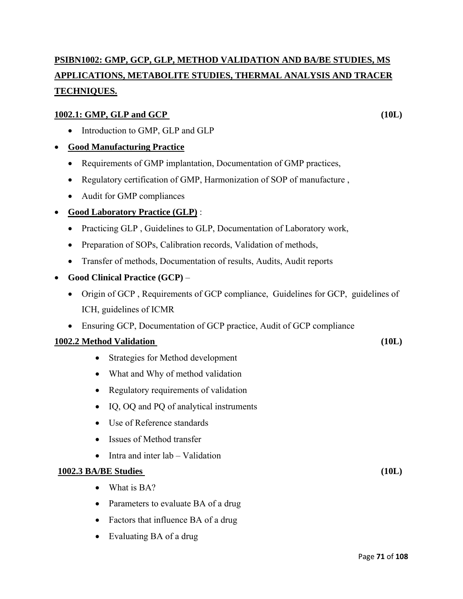# **PSIBN1002: GMP, GCP, GLP, METHOD VALIDATION AND BA/BE STUDIES, MS APPLICATIONS, METABOLITE STUDIES, THERMAL ANALYSIS AND TRACER TECHNIQUES.**

#### **<u>1002.1: GMP, GLP and GCP</u> (10L)** (10L)

• Introduction to GMP, GLP and GLP

#### • **Good Manufacturing Practice**

- Requirements of GMP implantation, Documentation of GMP practices,
- Regulatory certification of GMP, Harmonization of SOP of manufacture ,
- Audit for GMP compliances

#### • **Good Laboratory Practice (GLP)** :

- Practicing GLP , Guidelines to GLP, Documentation of Laboratory work,
- Preparation of SOPs, Calibration records, Validation of methods,
- Transfer of methods, Documentation of results, Audits, Audit reports
- **Good Clinical Practice (GCP)**
	- Origin of GCP , Requirements of GCP compliance, Guidelines for GCP, guidelines of ICH, guidelines of ICMR
	- Ensuring GCP, Documentation of GCP practice, Audit of GCP compliance

### **1002.2 Method Validation** (10L)

- Strategies for Method development
- What and Why of method validation
- Regulatory requirements of validation
- IQ, OQ and PQ of analytical instruments
- Use of Reference standards
- Issues of Method transfer
- Intra and inter lab Validation

#### **1002.3 BA/BE Studies (10L)**

- What is BA?
- Parameters to evaluate BA of a drug
- Factors that influence BA of a drug
- Evaluating BA of a drug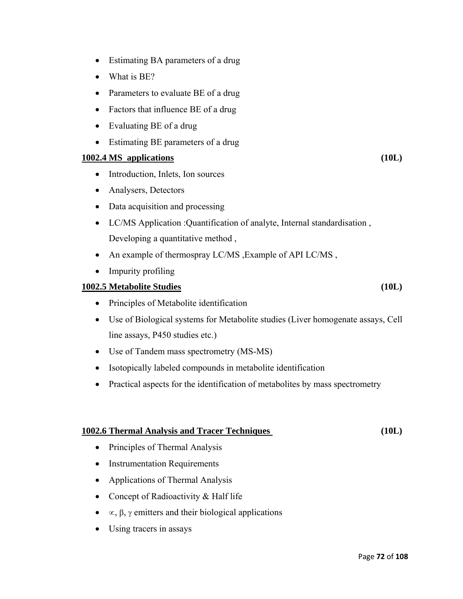- What is BE?
- Parameters to evaluate BE of a drug

• Estimating BA parameters of a drug

- Factors that influence BE of a drug
- Evaluating BE of a drug
- Estimating BE parameters of a drug

#### **1002.4 MS applications (10L)**

- Introduction, Inlets, Ion sources
- Analysers, Detectors
- Data acquisition and processing
- LC/MS Application :Quantification of analyte, Internal standardisation , Developing a quantitative method ,
- An example of thermospray LC/MS, Example of API LC/MS,
- Impurity profiling

#### **1002.5 Metabolite Studies (10L)**

- Principles of Metabolite identification
- Use of Biological systems for Metabolite studies (Liver homogenate assays, Cell line assays, P450 studies etc.)
- Use of Tandem mass spectrometry (MS-MS)
- Isotopically labeled compounds in metabolite identification
- Practical aspects for the identification of metabolites by mass spectrometry

#### **1002.6 Thermal Analysis and Tracer Techniques (10L)**

- Principles of Thermal Analysis
- Instrumentation Requirements
- Applications of Thermal Analysis
- Concept of Radioactivity & Half life
- $\alpha$ , β, γ emitters and their biological applications
- Using tracers in assays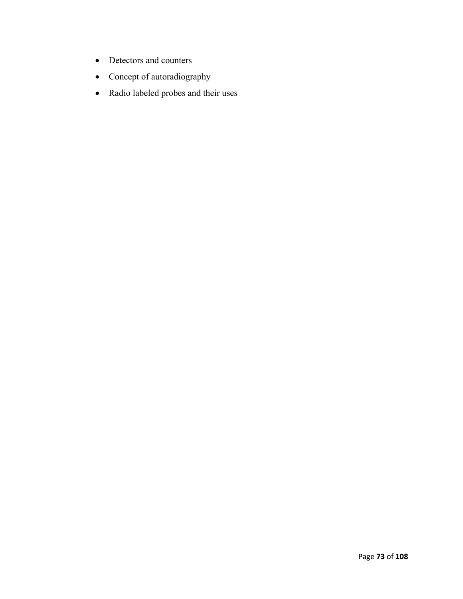- Detectors and counters
- Concept of autoradiography
- Radio labeled probes and their uses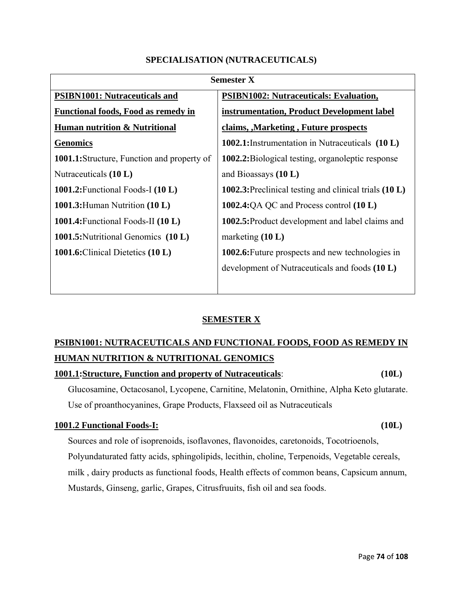## **SPECIALISATION (NUTRACEUTICALS)**

| <b>Semester X</b>                                  |                                                         |  |
|----------------------------------------------------|---------------------------------------------------------|--|
| <b>PSIBN1001: Nutraceuticals and</b>               | <b>PSIBN1002: Nutraceuticals: Evaluation,</b>           |  |
| <b>Functional foods, Food as remedy in</b>         | instrumentation, Product Development label              |  |
| <b>Human nutrition &amp; Nutritional</b>           | claims, Marketing, Future prospects                     |  |
| <b>Genomics</b>                                    | 1002.1:Instrumentation in Nutraceuticals (10 L)         |  |
| <b>1001.1:</b> Structure, Function and property of | 1002.2: Biological testing, organoleptic response       |  |
| Nutraceuticals $(10 L)$                            | and Bioassays $(10 L)$                                  |  |
| 1001.2: Functional Foods-I $(10 L)$                | 1002.3: Preclinical testing and clinical trials (10 L)  |  |
| 1001.3: Human Nutrition $(10 L)$                   | 1002.4:QA QC and Process control $(10 L)$               |  |
| 1001.4: Functional Foods-II $(10 L)$               | 1002.5: Product development and label claims and        |  |
| <b>1001.5:</b> Nutritional Genomics (10 L)         | marketing $(10 L)$                                      |  |
| 1001.6: Clinical Dietetics (10 L)                  | <b>1002.6:</b> Future prospects and new technologies in |  |
|                                                    | development of Nutraceuticals and foods (10 L)          |  |

## **SEMESTER X**

# **PSIBN1001: NUTRACEUTICALS AND FUNCTIONAL FOODS, FOOD AS REMEDY IN HUMAN NUTRITION & NUTRITIONAL GENOMICS**

#### **1001.1:Structure, Function and property of Nutraceuticals**: **(10L)**

Glucosamine, Octacosanol, Lycopene, Carnitine, Melatonin, Ornithine, Alpha Keto glutarate. Use of proanthocyanines, Grape Products, Flaxseed oil as Nutraceuticals

## **1001.2 Functional Foods-I: (10L)**

Sources and role of isoprenoids, isoflavones, flavonoides, caretonoids, Tocotrioenols, Polyundaturated fatty acids, sphingolipids, lecithin, choline, Terpenoids, Vegetable cereals, milk , dairy products as functional foods, Health effects of common beans, Capsicum annum, Mustards, Ginseng, garlic, Grapes, Citrusfruuits, fish oil and sea foods.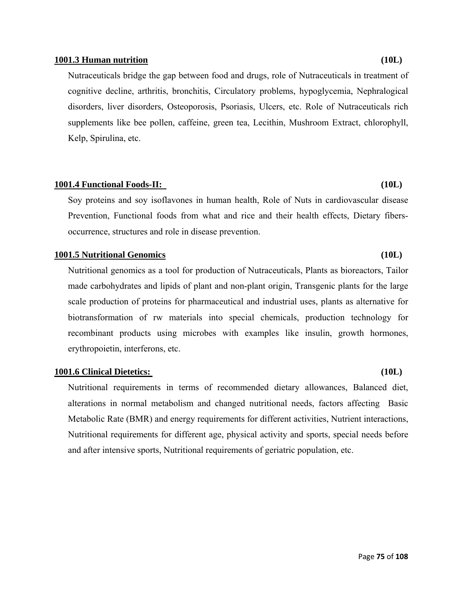#### **1001.3 Human nutrition (10L)**

Nutraceuticals bridge the gap between food and drugs, role of Nutraceuticals in treatment of cognitive decline, arthritis, bronchitis, Circulatory problems, hypoglycemia, Nephralogical disorders, liver disorders, Osteoporosis, Psoriasis, Ulcers, etc. Role of Nutraceuticals rich supplements like bee pollen, caffeine, green tea, Lecithin, Mushroom Extract, chlorophyll, Kelp, Spirulina, etc.

#### **1001.4 Functional Foods-II: (10L)**

Soy proteins and soy isoflavones in human health, Role of Nuts in cardiovascular disease Prevention, Functional foods from what and rice and their health effects, Dietary fibersoccurrence, structures and role in disease prevention.

#### **1001.5 Nutritional Genomics (10L)**

Nutritional genomics as a tool for production of Nutraceuticals, Plants as bioreactors, Tailor made carbohydrates and lipids of plant and non-plant origin, Transgenic plants for the large scale production of proteins for pharmaceutical and industrial uses, plants as alternative for biotransformation of rw materials into special chemicals, production technology for recombinant products using microbes with examples like insulin, growth hormones, erythropoietin, interferons, etc.

#### **1001.6 Clinical Dietetics: (10L)**

Nutritional requirements in terms of recommended dietary allowances, Balanced diet, alterations in normal metabolism and changed nutritional needs, factors affecting Basic Metabolic Rate (BMR) and energy requirements for different activities, Nutrient interactions, Nutritional requirements for different age, physical activity and sports, special needs before and after intensive sports, Nutritional requirements of geriatric population, etc.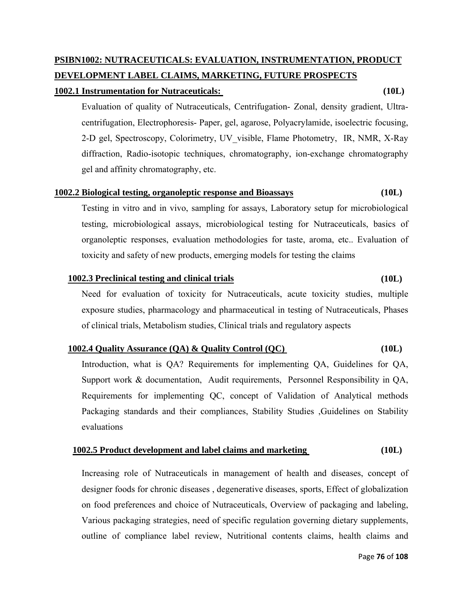#### Page **76** of **108**

# **PSIBN1002: NUTRACEUTICALS: EVALUATION, INSTRUMENTATION, PRODUCT DEVELOPMENT LABEL CLAIMS, MARKETING, FUTURE PROSPECTS**

#### **1002.1 Instrumentation for Nutraceuticals: (10L)**

Evaluation of quality of Nutraceuticals, Centrifugation- Zonal, density gradient, Ultracentrifugation, Electrophoresis- Paper, gel, agarose, Polyacrylamide, isoelectric focusing, 2-D gel, Spectroscopy, Colorimetry, UV\_visible, Flame Photometry, IR, NMR, X-Ray diffraction, Radio-isotopic techniques, chromatography, ion-exchange chromatography gel and affinity chromatography, etc.

#### **1002.2 Biological testing, organoleptic response and Bioassays (10L)**

Testing in vitro and in vivo, sampling for assays, Laboratory setup for microbiological testing, microbiological assays, microbiological testing for Nutraceuticals, basics of organoleptic responses, evaluation methodologies for taste, aroma, etc.. Evaluation of toxicity and safety of new products, emerging models for testing the claims

#### **1002.3 Preclinical testing and clinical trials (10L)**

Need for evaluation of toxicity for Nutraceuticals, acute toxicity studies, multiple exposure studies, pharmacology and pharmaceutical in testing of Nutraceuticals, Phases of clinical trials, Metabolism studies, Clinical trials and regulatory aspects

## **1002.4 Quality Assurance (QA) & Quality Control (QC) (10L)**

Introduction, what is QA? Requirements for implementing QA, Guidelines for QA, Support work & documentation, Audit requirements, Personnel Responsibility in QA, Requirements for implementing QC, concept of Validation of Analytical methods Packaging standards and their compliances, Stability Studies ,Guidelines on Stability evaluations

#### **1002.5 Product development and label claims and marketing (10L)**

Increasing role of Nutraceuticals in management of health and diseases, concept of designer foods for chronic diseases , degenerative diseases, sports, Effect of globalization on food preferences and choice of Nutraceuticals, Overview of packaging and labeling, Various packaging strategies, need of specific regulation governing dietary supplements, outline of compliance label review, Nutritional contents claims, health claims and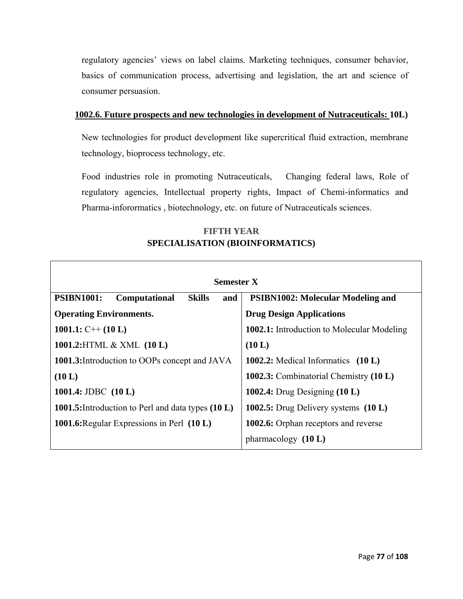regulatory agencies' views on label claims. Marketing techniques, consumer behavior, basics of communication process, advertising and legislation, the art and science of consumer persuasion.

## **1002.6. Future prospects and new technologies in development of Nutraceuticals: 10L)**

New technologies for product development like supercritical fluid extraction, membrane technology, bioprocess technology, etc.

Food industries role in promoting Nutraceuticals, Changing federal laws, Role of regulatory agencies, Intellectual property rights, Impact of Chemi-informatics and Pharma-inforormatics , biotechnology, etc. on future of Nutraceuticals sciences.

## **FIFTH YEAR SPECIALISATION (BIOINFORMATICS)**

Г

| <b>Semester X</b>                                          |                                                   |  |  |
|------------------------------------------------------------|---------------------------------------------------|--|--|
| <b>Skills</b><br><b>PSIBN1001:</b><br>Computational<br>and | <b>PSIBN1002: Molecular Modeling and</b>          |  |  |
| <b>Operating Environments.</b>                             | <b>Drug Design Applications</b>                   |  |  |
| 1001.1: $C++(10 L)$                                        | <b>1002.1:</b> Introduction to Molecular Modeling |  |  |
| 1001.2: HTML & XML (10 L)                                  | (10 L)                                            |  |  |
| 1001.3: Introduction to OOPs concept and JAVA              | 1002.2: Medical Informatics $(10 L)$              |  |  |
| (10 L)                                                     | 1002.3: Combinatorial Chemistry (10 L)            |  |  |
| 1001.4: JDBC $(10 L)$                                      | 1002.4: Drug Designing $(10 L)$                   |  |  |
| 1001.5: Introduction to Perl and data types (10 L)         | 1002.5: Drug Delivery systems (10 L)              |  |  |
| 1001.6: Regular Expressions in Perl (10 L)                 | <b>1002.6:</b> Orphan receptors and reverse       |  |  |
|                                                            | pharmacology $(10 L)$                             |  |  |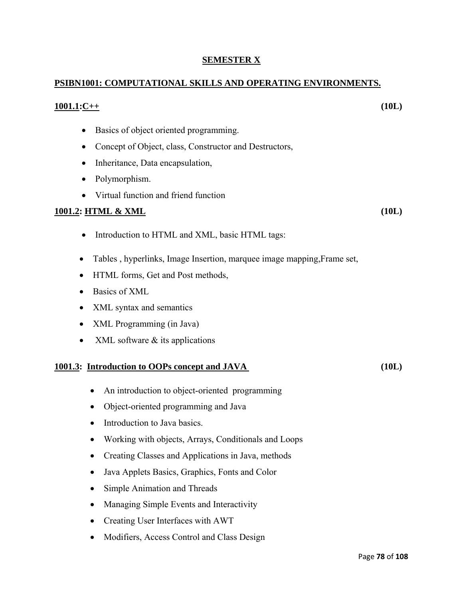## **SEMESTER X**

## **PSIBN1001: COMPUTATIONAL SKILLS AND OPERATING ENVIRONMENTS.**

#### **1001.1:C++ (10L)**

- Basics of object oriented programming.
- Concept of Object, class, Constructor and Destructors,
- Inheritance, Data encapsulation,
- Polymorphism.
- Virtual function and friend function

## **1001.2: HTML & XML** (10L)

- Introduction to HTML and XML, basic HTML tags:
- Tables , hyperlinks, Image Insertion, marquee image mapping,Frame set,
- HTML forms, Get and Post methods,
- Basics of XML
- XML syntax and semantics
- XML Programming (in Java)
- XML software  $&$  its applications

## **1001.3:** Introduction to OOPs concept and JAVA (10L)

- An introduction to object-oriented programming
- Object-oriented programming and Java
- Introduction to Java basics.
- Working with objects, Arrays, Conditionals and Loops
- Creating Classes and Applications in Java, methods
- Java Applets Basics, Graphics, Fonts and Color
- Simple Animation and Threads
- Managing Simple Events and Interactivity
- Creating User Interfaces with AWT
- Modifiers, Access Control and Class Design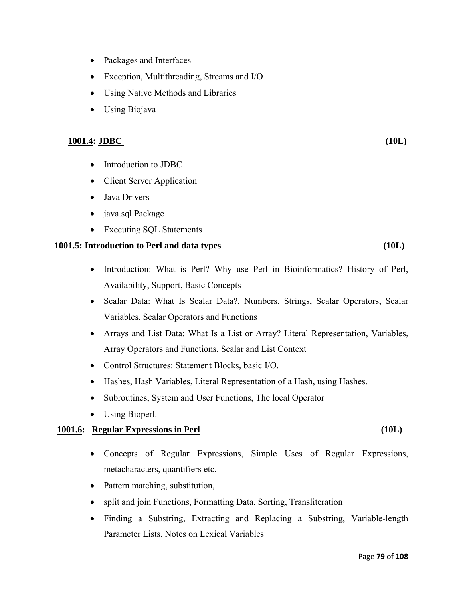- Packages and Interfaces
- Exception, Multithreading, Streams and I/O
- Using Native Methods and Libraries
- Using Biojava

#### **1001.4: JDBC (10L)**

- Introduction to JDBC
- Client Server Application
- Java Drivers
- java.sql Package
- Executing SOL Statements

#### **1001.5: Introduction to Perl and data types (10L)**

- Introduction: What is Perl? Why use Perl in Bioinformatics? History of Perl, Availability, Support, Basic Concepts
- Scalar Data: What Is Scalar Data?, Numbers, Strings, Scalar Operators, Scalar Variables, Scalar Operators and Functions
- Arrays and List Data: What Is a List or Array? Literal Representation, Variables, Array Operators and Functions, Scalar and List Context
- Control Structures: Statement Blocks, basic I/O.
- Hashes, Hash Variables, Literal Representation of a Hash, using Hashes.
- Subroutines, System and User Functions, The local Operator
- Using Bioperl.

#### **1001.6: Regular Expressions in Perl (10L)**

- Concepts of Regular Expressions, Simple Uses of Regular Expressions, metacharacters, quantifiers etc.
- Pattern matching, substitution,
- split and join Functions, Formatting Data, Sorting, Transliteration
- Finding a Substring, Extracting and Replacing a Substring, Variable-length Parameter Lists, Notes on Lexical Variables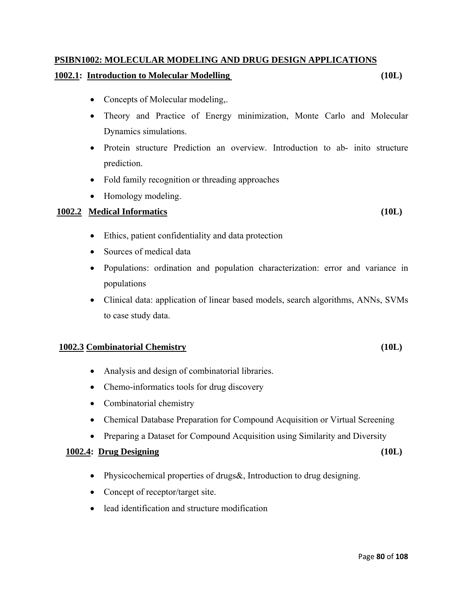# **PSIBN1002: MOLECULAR MODELING AND DRUG DESIGN APPLICATIONS**

## **1002.1: Introduction to Molecular Modelling (10L)**

- Concepts of Molecular modeling,.
- Theory and Practice of Energy minimization, Monte Carlo and Molecular Dynamics simulations.
- Protein structure Prediction an overview. Introduction to ab- inito structure prediction.
- Fold family recognition or threading approaches
- Homology modeling.

## **1002.2 Medical Informatics (10L)**

- Ethics, patient confidentiality and data protection
- Sources of medical data
- Populations: ordination and population characterization: error and variance in populations
- Clinical data: application of linear based models, search algorithms, ANNs, SVMs to case study data.

## **1002.3 Combinatorial Chemistry (10L)**

- Analysis and design of combinatorial libraries.
- Chemo-informatics tools for drug discovery
- Combinatorial chemistry
- Chemical Database Preparation for Compound Acquisition or Virtual Screening
- Preparing a Dataset for Compound Acquisition using Similarity and Diversity

## **1002.4: Drug Designing (10L)**

- Physicochemical properties of drugs &, Introduction to drug designing.
- Concept of receptor/target site.
- lead identification and structure modification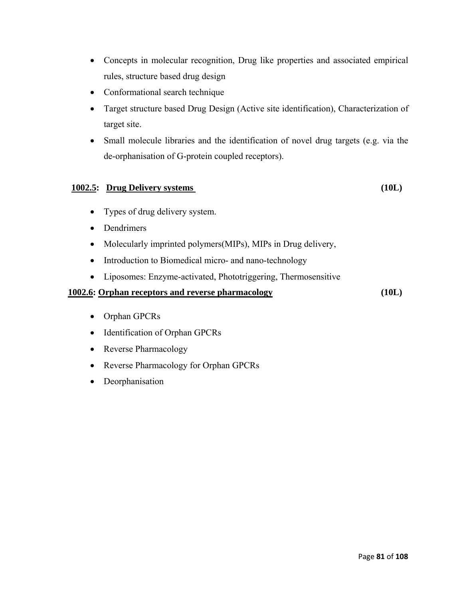- Concepts in molecular recognition, Drug like properties and associated empirical rules, structure based drug design
- Conformational search technique
- Target structure based Drug Design (Active site identification), Characterization of target site.
- Small molecule libraries and the identification of novel drug targets (e.g. via the de-orphanisation of G-protein coupled receptors).

## **1002.5: Drug Delivery systems (10L)**

- Types of drug delivery system.
- Dendrimers
- Molecularly imprinted polymers(MIPs), MIPs in Drug delivery,
- Introduction to Biomedical micro- and nano-technology
- Liposomes: Enzyme-activated, Phototriggering, Thermosensitive

## **1002.6: Orphan receptors and reverse pharmacology (10L)**

- Orphan GPCRs
- Identification of Orphan GPCRs
- Reverse Pharmacology
- Reverse Pharmacology for Orphan GPCRs
- Deorphanisation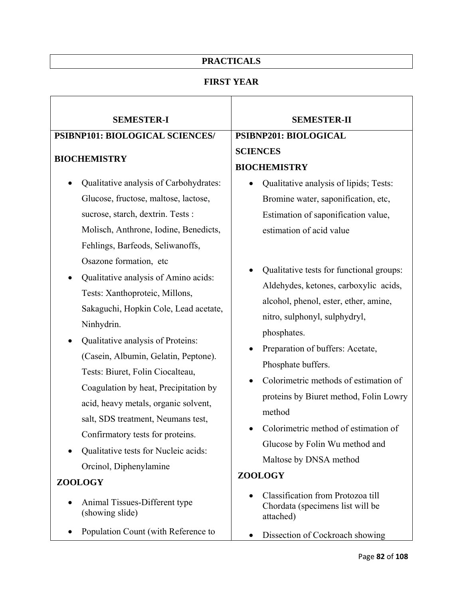## **PRACTICALS**

## **FIRST YEAR**

| <b>SEMESTER-I</b>                                                                                                                                                                                                                                                                                                                          | <b>SEMESTER-II</b>                                                                                                                                                                                                                                      |  |
|--------------------------------------------------------------------------------------------------------------------------------------------------------------------------------------------------------------------------------------------------------------------------------------------------------------------------------------------|---------------------------------------------------------------------------------------------------------------------------------------------------------------------------------------------------------------------------------------------------------|--|
| PSIBNP101: BIOLOGICAL SCIENCES/                                                                                                                                                                                                                                                                                                            | PSIBNP201: BIOLOGICAL                                                                                                                                                                                                                                   |  |
| <b>BIOCHEMISTRY</b>                                                                                                                                                                                                                                                                                                                        | <b>SCIENCES</b>                                                                                                                                                                                                                                         |  |
|                                                                                                                                                                                                                                                                                                                                            | <b>BIOCHEMISTRY</b>                                                                                                                                                                                                                                     |  |
| Qualitative analysis of Carbohydrates:                                                                                                                                                                                                                                                                                                     | Qualitative analysis of lipids; Tests:                                                                                                                                                                                                                  |  |
| Glucose, fructose, maltose, lactose,                                                                                                                                                                                                                                                                                                       | Bromine water, saponification, etc,                                                                                                                                                                                                                     |  |
| sucrose, starch, dextrin. Tests :                                                                                                                                                                                                                                                                                                          | Estimation of saponification value,                                                                                                                                                                                                                     |  |
| Molisch, Anthrone, Iodine, Benedicts,                                                                                                                                                                                                                                                                                                      | estimation of acid value                                                                                                                                                                                                                                |  |
| Fehlings, Barfeods, Seliwanoffs,                                                                                                                                                                                                                                                                                                           |                                                                                                                                                                                                                                                         |  |
| Osazone formation, etc<br>Qualitative analysis of Amino acids:<br>Tests: Xanthoproteic, Millons,                                                                                                                                                                                                                                           | Qualitative tests for functional groups:<br>Aldehydes, ketones, carboxylic acids,<br>alcohol, phenol, ester, ether, amine,                                                                                                                              |  |
| Sakaguchi, Hopkin Cole, Lead acetate,<br>Ninhydrin.                                                                                                                                                                                                                                                                                        | nitro, sulphonyl, sulphydryl,<br>phosphates.                                                                                                                                                                                                            |  |
| Qualitative analysis of Proteins:<br>(Casein, Albumin, Gelatin, Peptone).<br>Tests: Biuret, Folin Ciocalteau,<br>Coagulation by heat, Precipitation by<br>acid, heavy metals, organic solvent,<br>salt, SDS treatment, Neumans test,<br>Confirmatory tests for proteins.<br>Qualitative tests for Nucleic acids:<br>Orcinol, Diphenylamine | Preparation of buffers: Acetate,<br>Phosphate buffers.<br>Colorimetric methods of estimation of<br>proteins by Biuret method, Folin Lowry<br>method<br>Colorimetric method of estimation of<br>Glucose by Folin Wu method and<br>Maltose by DNSA method |  |
| <b>ZOOLOGY</b>                                                                                                                                                                                                                                                                                                                             | ZOOLOGY                                                                                                                                                                                                                                                 |  |
| Animal Tissues-Different type<br>(showing slide)                                                                                                                                                                                                                                                                                           | Classification from Protozoa till<br>Chordata (specimens list will be<br>attached)                                                                                                                                                                      |  |
| Population Count (with Reference to                                                                                                                                                                                                                                                                                                        | Dissection of Cockroach showing                                                                                                                                                                                                                         |  |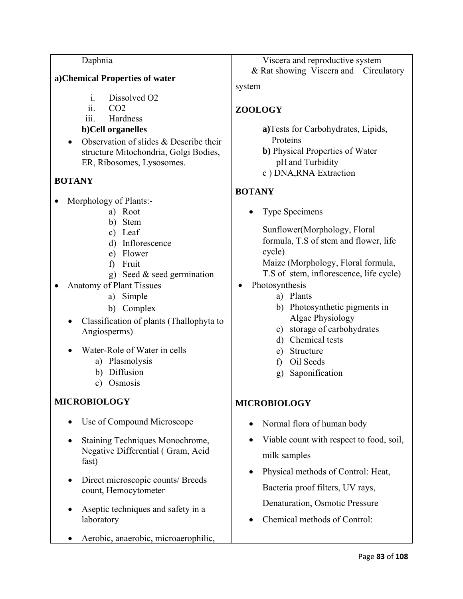## Daphnia

## **a)Chemical Properties of water**

- i. Dissolved O2
- $\overline{\text{i}}$   $\overline{\text{CO2}}$
- iii. Hardness

## **b)Cell organelles**

Observation of slides & Describe their structure Mitochondria, Golgi Bodies, ER, Ribosomes, Lysosomes.

## **BOTANY**

- Morphology of Plants:
	- a) Root
	- b) Stem
	- c) Leaf
	- d) Inflorescence
	- e) Flower
	- f) Fruit
	- g) Seed & seed germination
- Anatomy of Plant Tissues
	- a) Simple
	- b) Complex
	- Classification of plants (Thallophyta to Angiosperms)
	- Water-Role of Water in cells
		- a) Plasmolysis
		- b) Diffusion
		- c) Osmosis

## **MICROBIOLOGY**

- Use of Compound Microscope
- Staining Techniques Monochrome, Negative Differential ( Gram, Acid fast)
- Direct microscopic counts/ Breeds count, Hemocytometer
- Aseptic techniques and safety in a laboratory
- Aerobic, anaerobic, microaerophilic,

Viscera and reproductive system & Rat showing Viscera and Circulatory

system

## **ZOOLOGY**

**a)**Tests for Carbohydrates, Lipids, Proteins

**b)** Physical Properties of Water pH and Turbidity

c ) DNA,RNA Extraction

## **BOTANY**

• Type Specimens

Sunflower(Morphology, Floral formula, T.S of stem and flower, life cycle) Maize (Morphology, Floral formula,

- T.S of stem, inflorescence, life cycle)
- Photosynthesis
	- a) Plants
		- b) Photosynthetic pigments in Algae Physiology
		- c) storage of carbohydrates
		- d) Chemical tests
		- e) Structure
		- f) Oil Seeds
		- g) Saponification

## **MICROBIOLOGY**

- Normal flora of human body
- Viable count with respect to food, soil, milk samples
- Physical methods of Control: Heat, Bacteria proof filters, UV rays, Denaturation, Osmotic Pressure
- Chemical methods of Control: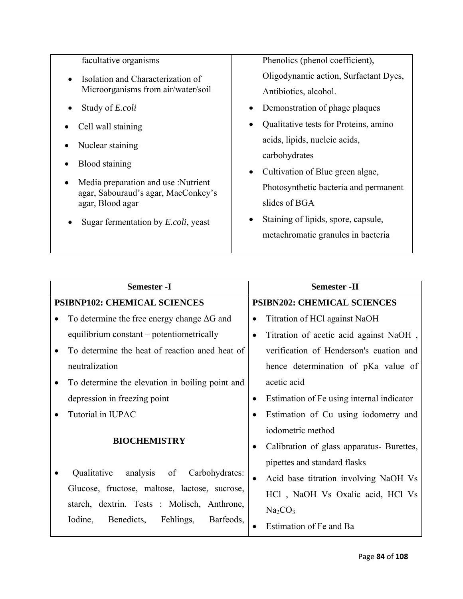| facultative organisms                                                           | Phenolics (phenol coefficient),       |
|---------------------------------------------------------------------------------|---------------------------------------|
| Isolation and Characterization of                                               | Oligodynamic action, Surfactant Dyes, |
| Microorganisms from air/water/soil                                              | Antibiotics, alcohol.                 |
| Study of E.coli                                                                 | Demonstration of phage plaques        |
| Cell wall staining                                                              | Qualitative tests for Proteins, amino |
| Nuclear staining                                                                | acids, lipids, nucleic acids,         |
| Blood staining                                                                  | carbohydrates                         |
|                                                                                 | • Cultivation of Blue green algae,    |
| Media preparation and use :Nutrient<br>٠<br>agar, Sabouraud's agar, MacConkey's | Photosynthetic bacteria and permanent |
| agar, Blood agar                                                                | slides of BGA                         |
| Sugar fermentation by <i>E.coli</i> , yeast                                     | Staining of lipids, spore, capsule,   |
|                                                                                 | metachromatic granules in bacteria    |

| <b>Semester -I</b> |                                                    |           | <b>Semester -II</b>                        |  |
|--------------------|----------------------------------------------------|-----------|--------------------------------------------|--|
|                    | <b>PSIBNP102: CHEMICAL SCIENCES</b>                |           | <b>PSIBN202: CHEMICAL SCIENCES</b>         |  |
|                    | To determine the free energy change $\Delta G$ and | $\bullet$ | Titration of HCl against NaOH              |  |
|                    | equilibrium constant – potentiometrically          |           | Titration of acetic acid against NaOH,     |  |
|                    | To determine the heat of reaction aned heat of     |           | verification of Henderson's euation and    |  |
|                    | neutralization                                     |           | hence determination of pKa value of        |  |
|                    | To determine the elevation in boiling point and    |           | acetic acid                                |  |
|                    | depression in freezing point                       |           | Estimation of Fe using internal indicator  |  |
|                    | Tutorial in IUPAC                                  | $\bullet$ | Estimation of Cu using iodometry and       |  |
|                    | <b>BIOCHEMISTRY</b>                                |           | iodometric method                          |  |
|                    |                                                    |           | Calibration of glass apparatus - Burettes, |  |
|                    | analysis<br>Carbohydrates:<br>Qualitative<br>of    |           | pipettes and standard flasks               |  |
|                    | Glucose, fructose, maltose, lactose, sucrose,      |           | Acid base titration involving NaOH Vs      |  |
|                    | starch, dextrin. Tests : Molisch, Anthrone,        |           | HCl, NaOH Vs Oxalic acid, HCl Vs           |  |
|                    |                                                    |           | Na <sub>2</sub> CO <sub>3</sub>            |  |
|                    | Iodine,<br>Benedicts,<br>Fehlings,<br>Barfeods,    |           | Estimation of Fe and Ba                    |  |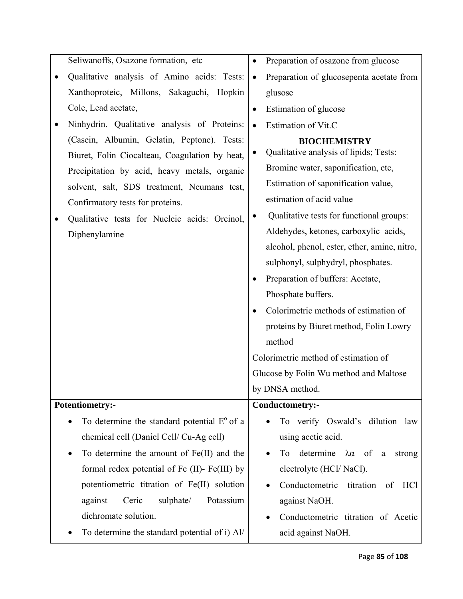| Seliwanoffs, Osazone formation, etc                                                                                                                                                                                                                                                                | Preparation of osazone from glucose<br>$\bullet$                                                                                                                                                                                                                                                                                                                                                                                                                                                                                                                                            |
|----------------------------------------------------------------------------------------------------------------------------------------------------------------------------------------------------------------------------------------------------------------------------------------------------|---------------------------------------------------------------------------------------------------------------------------------------------------------------------------------------------------------------------------------------------------------------------------------------------------------------------------------------------------------------------------------------------------------------------------------------------------------------------------------------------------------------------------------------------------------------------------------------------|
| Qualitative analysis of Amino acids: Tests:                                                                                                                                                                                                                                                        | Preparation of glucosepenta acetate from<br>$\bullet$                                                                                                                                                                                                                                                                                                                                                                                                                                                                                                                                       |
| Xanthoproteic, Millons, Sakaguchi, Hopkin                                                                                                                                                                                                                                                          | glusose                                                                                                                                                                                                                                                                                                                                                                                                                                                                                                                                                                                     |
| Cole, Lead acetate,                                                                                                                                                                                                                                                                                | Estimation of glucose<br>$\bullet$                                                                                                                                                                                                                                                                                                                                                                                                                                                                                                                                                          |
| Ninhydrin. Qualitative analysis of Proteins:                                                                                                                                                                                                                                                       | Estimation of Vit.C                                                                                                                                                                                                                                                                                                                                                                                                                                                                                                                                                                         |
| (Casein, Albumin, Gelatin, Peptone). Tests:<br>Biuret, Folin Ciocalteau, Coagulation by heat,<br>Precipitation by acid, heavy metals, organic<br>solvent, salt, SDS treatment, Neumans test,<br>Confirmatory tests for proteins.<br>Qualitative tests for Nucleic acids: Orcinol,<br>Diphenylamine | <b>BIOCHEMISTRY</b><br>Qualitative analysis of lipids; Tests:<br>Bromine water, saponification, etc,<br>Estimation of saponification value,<br>estimation of acid value<br>Qualitative tests for functional groups:<br>Aldehydes, ketones, carboxylic acids,<br>alcohol, phenol, ester, ether, amine, nitro,<br>sulphonyl, sulphydryl, phosphates.<br>Preparation of buffers: Acetate,<br>Phosphate buffers.<br>Colorimetric methods of estimation of<br>proteins by Biuret method, Folin Lowry<br>method<br>Colorimetric method of estimation of<br>Glucose by Folin Wu method and Maltose |
|                                                                                                                                                                                                                                                                                                    | by DNSA method.                                                                                                                                                                                                                                                                                                                                                                                                                                                                                                                                                                             |
| Potentiometry:-                                                                                                                                                                                                                                                                                    | Conductometry:-                                                                                                                                                                                                                                                                                                                                                                                                                                                                                                                                                                             |
| To determine the standard potential $E^{\circ}$ of a                                                                                                                                                                                                                                               | To verify Oswald's dilution law                                                                                                                                                                                                                                                                                                                                                                                                                                                                                                                                                             |
| chemical cell (Daniel Cell/Cu-Ag cell)                                                                                                                                                                                                                                                             | using acetic acid.                                                                                                                                                                                                                                                                                                                                                                                                                                                                                                                                                                          |
| To determine the amount of Fe(II) and the                                                                                                                                                                                                                                                          | determine $\lambda \alpha$ of<br>strong<br>To<br>$\rm{a}$                                                                                                                                                                                                                                                                                                                                                                                                                                                                                                                                   |
| formal redox potential of Fe (II)- Fe(III) by                                                                                                                                                                                                                                                      | electrolyte (HCl/NaCl).                                                                                                                                                                                                                                                                                                                                                                                                                                                                                                                                                                     |
| potentiometric titration of Fe(II) solution                                                                                                                                                                                                                                                        | Conductometric<br>titration<br>HC <sub>1</sub><br>of                                                                                                                                                                                                                                                                                                                                                                                                                                                                                                                                        |
| sulphate/<br>Potassium<br>against<br>Ceric                                                                                                                                                                                                                                                         | against NaOH.                                                                                                                                                                                                                                                                                                                                                                                                                                                                                                                                                                               |
| dichromate solution.                                                                                                                                                                                                                                                                               | Conductometric titration of Acetic                                                                                                                                                                                                                                                                                                                                                                                                                                                                                                                                                          |
| To determine the standard potential of i) Al/                                                                                                                                                                                                                                                      | acid against NaOH.                                                                                                                                                                                                                                                                                                                                                                                                                                                                                                                                                                          |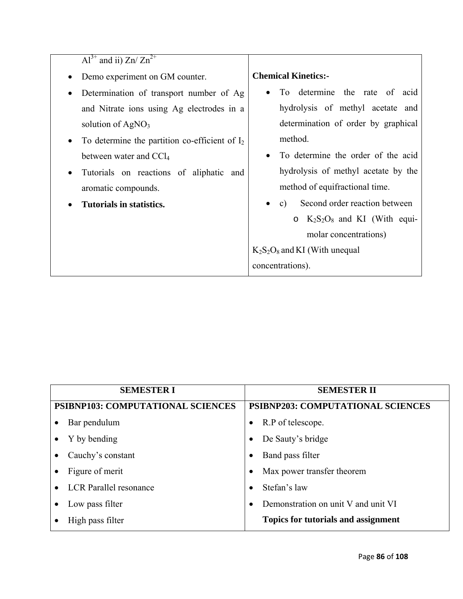| $Al^{3+}$ and ii) $Zn / Zn^{2+}$                              |                                                                         |
|---------------------------------------------------------------|-------------------------------------------------------------------------|
| Demo experiment on GM counter.<br>$\bullet$                   | <b>Chemical Kinetics:-</b>                                              |
| Determination of transport number of Ag                       | To determine the rate of<br>acid                                        |
| and Nitrate ions using Ag electrodes in a                     | hydrolysis of methyl acetate and                                        |
| solution of $AgNO3$                                           | determination of order by graphical                                     |
| To determine the partition co-efficient of $I_2$<br>$\bullet$ | method.                                                                 |
| between water and CCl <sub>4</sub>                            | To determine the order of the acid                                      |
| Tutorials on reactions of aliphatic and<br>$\bullet$          | hydrolysis of methyl acetate by the                                     |
| aromatic compounds.                                           | method of equifractional time.                                          |
| Tutorials in statistics.                                      | Second order reaction between<br>c)<br>$\bullet$                        |
|                                                               | $\circ$ K <sub>2</sub> S <sub>2</sub> O <sub>8</sub> and KI (With equi- |
|                                                               | molar concentrations)                                                   |
|                                                               | $K_2S_2O_8$ and KI (With unequal                                        |
|                                                               | concentrations).                                                        |

| <b>SEMESTER I</b>                          | <b>SEMESTER II</b>                         |
|--------------------------------------------|--------------------------------------------|
| <b>PSIBNP103: COMPUTATIONAL SCIENCES</b>   | <b>PSIBNP203: COMPUTATIONAL SCIENCES</b>   |
| Bar pendulum<br>٠                          | R.P of telescope.                          |
| Y by bending<br>$\bullet$                  | De Sauty's bridge                          |
| Cauchy's constant<br>$\bullet$             | Band pass filter<br>$\bullet$              |
| Figure of merit<br>$\bullet$               | Max power transfer theorem                 |
| <b>LCR</b> Parallel resonance<br>$\bullet$ | Stefan's law                               |
| Low pass filter                            | Demonstration on unit V and unit VI        |
| High pass filter                           | <b>Topics for tutorials and assignment</b> |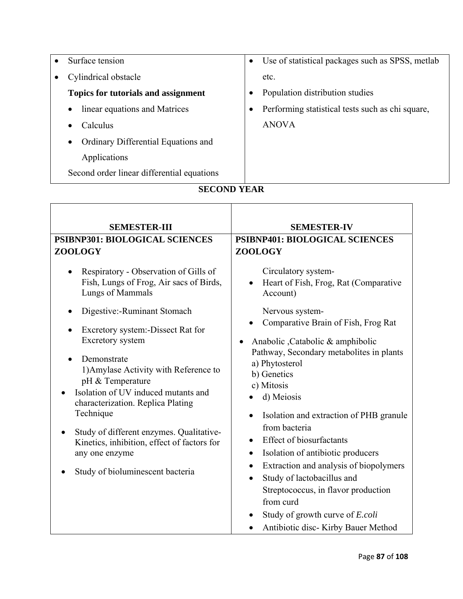| Surface tension                                  | $\bullet$ | Use of statistical packages such as SPSS, metlab |
|--------------------------------------------------|-----------|--------------------------------------------------|
| Cylindrical obstacle                             |           | etc.                                             |
| Topics for tutorials and assignment              |           | Population distribution studies                  |
| linear equations and Matrices<br>$\bullet$       | $\bullet$ | Performing statistical tests such as chi square, |
| Calculus<br>$\bullet$                            |           | <b>ANOVA</b>                                     |
| Ordinary Differential Equations and<br>$\bullet$ |           |                                                  |
| Applications                                     |           |                                                  |
| Second order linear differential equations       |           |                                                  |

## **SECOND YEAR**

| <b>SEMESTER-III</b>                                                                                                                                                                                                                                                                                                                                                                                                                                                                                                | <b>SEMESTER-IV</b>                                                                                                                                                                                                                                                                                                                                                                                                                                                                                                                                                                                                                                                                                |
|--------------------------------------------------------------------------------------------------------------------------------------------------------------------------------------------------------------------------------------------------------------------------------------------------------------------------------------------------------------------------------------------------------------------------------------------------------------------------------------------------------------------|---------------------------------------------------------------------------------------------------------------------------------------------------------------------------------------------------------------------------------------------------------------------------------------------------------------------------------------------------------------------------------------------------------------------------------------------------------------------------------------------------------------------------------------------------------------------------------------------------------------------------------------------------------------------------------------------------|
| PSIBNP301: BIOLOGICAL SCIENCES                                                                                                                                                                                                                                                                                                                                                                                                                                                                                     | PSIBNP401: BIOLOGICAL SCIENCES                                                                                                                                                                                                                                                                                                                                                                                                                                                                                                                                                                                                                                                                    |
| ZOOLOGY                                                                                                                                                                                                                                                                                                                                                                                                                                                                                                            | ZOOLOGY                                                                                                                                                                                                                                                                                                                                                                                                                                                                                                                                                                                                                                                                                           |
| Respiratory - Observation of Gills of<br>Fish, Lungs of Frog, Air sacs of Birds,<br>Lungs of Mammals<br>Digestive:-Ruminant Stomach<br>Excretory system:-Dissect Rat for<br>Excretory system<br>Demonstrate<br>1) Amylase Activity with Reference to<br>pH & Temperature<br>Isolation of UV induced mutants and<br>characterization. Replica Plating<br>Technique<br>Study of different enzymes. Qualitative-<br>Kinetics, inhibition, effect of factors for<br>any one enzyme<br>Study of bioluminescent bacteria | Circulatory system-<br>Heart of Fish, Frog, Rat (Comparative<br>Account)<br>Nervous system-<br>Comparative Brain of Fish, Frog Rat<br>Anabolic ,Catabolic & amphibolic<br>Pathway, Secondary metabolites in plants<br>a) Phytosterol<br>b) Genetics<br>c) Mitosis<br>d) Meiosis<br>Isolation and extraction of PHB granule<br>$\bullet$<br>from bacteria<br><b>Effect of biosurfactants</b><br>$\bullet$<br>Isolation of antibiotic producers<br>$\bullet$<br>Extraction and analysis of biopolymers<br>$\bullet$<br>Study of lactobacillus and<br>$\bullet$<br>Streptococcus, in flavor production<br>from curd<br>Study of growth curve of <i>E.coli</i><br>Antibiotic disc- Kirby Bauer Method |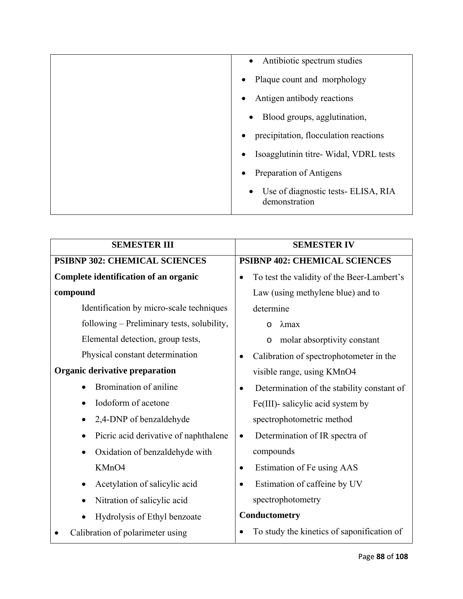| Antibiotic spectrum studies<br>$\bullet$                          |
|-------------------------------------------------------------------|
| Plaque count and morphology                                       |
| Antigen antibody reactions                                        |
| Blood groups, agglutination,<br>$\bullet$                         |
| precipitation, flocculation reactions                             |
| Isoagglutinin titre- Widal, VDRL tests                            |
| Preparation of Antigens                                           |
| Use of diagnostic tests- ELISA, RIA<br>$\bullet$<br>demonstration |

| <b>SEMESTER III</b>                         | <b>SEMESTER IV</b>                                      |  |
|---------------------------------------------|---------------------------------------------------------|--|
| <b>PSIBNP 302: CHEMICAL SCIENCES</b>        | <b>PSIBNP 402: CHEMICAL SCIENCES</b>                    |  |
| Complete identification of an organic       | To test the validity of the Beer-Lambert's              |  |
| compound                                    | Law (using methylene blue) and to                       |  |
| Identification by micro-scale techniques    | determine                                               |  |
| following – Preliminary tests, solubility,  | $\lambda$ max<br>$\Omega$                               |  |
| Elemental detection, group tests,           | molar absorptivity constant<br>$\circ$                  |  |
| Physical constant determination             | Calibration of spectrophotometer in the                 |  |
| Organic derivative preparation              | visible range, using KMnO4                              |  |
| Bromination of aniline                      | Determination of the stability constant of<br>$\bullet$ |  |
| Iodoform of acetone                         | Fe(III)- salicylic acid system by                       |  |
| 2,4-DNP of benzaldehyde                     | spectrophotometric method                               |  |
| Picric acid derivative of naphthalene       | Determination of IR spectra of<br>$\bullet$             |  |
| Oxidation of benzaldehyde with<br>$\bullet$ | compounds                                               |  |
| KMnO4                                       | Estimation of Fe using AAS<br>$\bullet$                 |  |
| Acetylation of salicylic acid               | Estimation of caffeine by UV<br>$\bullet$               |  |
| Nitration of salicylic acid<br>$\bullet$    | spectrophotometry                                       |  |
| Hydrolysis of Ethyl benzoate                | Conductometry                                           |  |
| Calibration of polarimeter using            | To study the kinetics of saponification of              |  |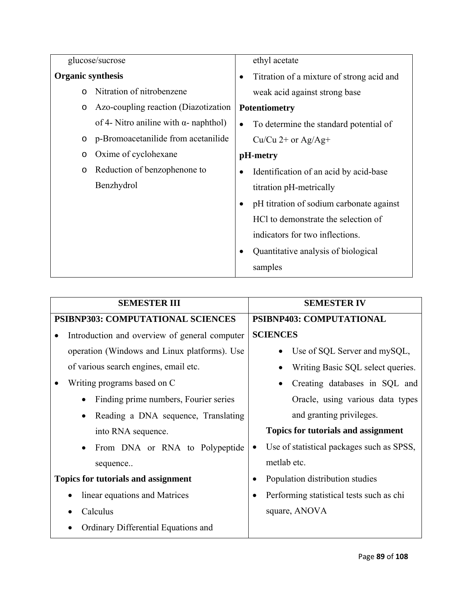| glucose/sucrose          |                                               | ethyl acetate                                          |  |  |  |  |
|--------------------------|-----------------------------------------------|--------------------------------------------------------|--|--|--|--|
| <b>Organic synthesis</b> |                                               | Titration of a mixture of strong acid and<br>$\bullet$ |  |  |  |  |
| $\Omega$                 | Nitration of nitrobenzene                     | weak acid against strong base                          |  |  |  |  |
| $\circ$                  | Azo-coupling reaction (Diazotization          | <b>Potentiometry</b>                                   |  |  |  |  |
|                          | of 4- Nitro aniline with $\alpha$ - naphthol) | To determine the standard potential of<br>$\bullet$    |  |  |  |  |
| $\circ$                  | p-Bromoacetanilide from acetanilide           | Cu/Cu $2+$ or Ag/Ag+                                   |  |  |  |  |
| $\circ$                  | Oxime of cyclohexane                          | pH-metry                                               |  |  |  |  |
| $\circ$                  | Reduction of benzophenone to                  | Identification of an acid by acid-base                 |  |  |  |  |
|                          | Benzhydrol                                    | titration pH-metrically                                |  |  |  |  |
|                          |                                               | pH titration of sodium carbonate against<br>$\bullet$  |  |  |  |  |
|                          |                                               | HCl to demonstrate the selection of                    |  |  |  |  |
|                          |                                               | indicators for two inflections.                        |  |  |  |  |
|                          |                                               | Quantitative analysis of biological                    |  |  |  |  |
|                          |                                               | samples                                                |  |  |  |  |

| <b>SEMESTER III</b>                                | <b>SEMESTER IV</b>                         |  |  |  |
|----------------------------------------------------|--------------------------------------------|--|--|--|
| <b>PSIBNP303: COMPUTATIONAL SCIENCES</b>           | PSIBNP403: COMPUTATIONAL                   |  |  |  |
| Introduction and overview of general computer      | <b>SCIENCES</b>                            |  |  |  |
| operation (Windows and Linux platforms). Use       | Use of SQL Server and mySQL,               |  |  |  |
| of various search engines, email etc.              | Writing Basic SQL select queries.          |  |  |  |
| Writing programs based on C                        | Creating databases in SQL and<br>$\bullet$ |  |  |  |
| Finding prime numbers, Fourier series<br>$\bullet$ | Oracle, using various data types           |  |  |  |
| Reading a DNA sequence, Translating<br>$\bullet$   | and granting privileges.                   |  |  |  |
| into RNA sequence.                                 | <b>Topics for tutorials and assignment</b> |  |  |  |
| From DNA or RNA to Polypeptide<br>$\bullet$        | Use of statistical packages such as SPSS,  |  |  |  |
| sequence                                           | metlab etc.                                |  |  |  |
| <b>Topics for tutorials and assignment</b>         | Population distribution studies            |  |  |  |
| linear equations and Matrices                      | Performing statistical tests such as chi   |  |  |  |
| Calculus                                           | square, ANOVA                              |  |  |  |
| Ordinary Differential Equations and                |                                            |  |  |  |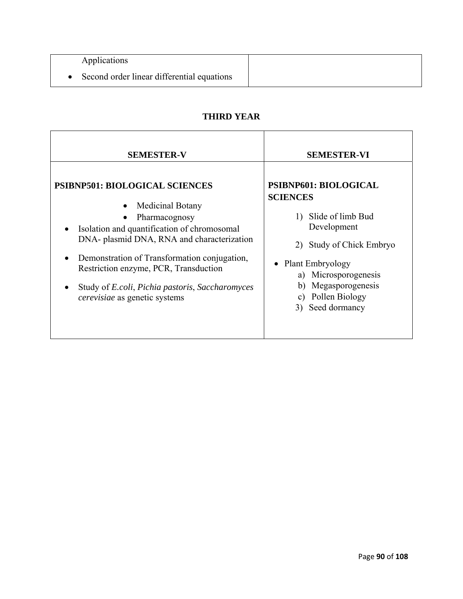| Applications                               |  |
|--------------------------------------------|--|
| Second order linear differential equations |  |

## **THIRD YEAR**

| <b>SEMESTER-V</b>                                                                                                                                                                                                                                                                                                                                                                               | <b>SEMESTER-VI</b>                                                                                                                                                                                                              |
|-------------------------------------------------------------------------------------------------------------------------------------------------------------------------------------------------------------------------------------------------------------------------------------------------------------------------------------------------------------------------------------------------|---------------------------------------------------------------------------------------------------------------------------------------------------------------------------------------------------------------------------------|
| <b>PSIBNP501: BIOLOGICAL SCIENCES</b><br>Medicinal Botany<br>$\bullet$<br>Pharmacognosy<br>Isolation and quantification of chromosomal<br>DNA- plasmid DNA, RNA and characterization<br>Demonstration of Transformation conjugation,<br>Restriction enzyme, PCR, Transduction<br>Study of <i>E.coli</i> , <i>Pichia pastoris</i> , <i>Saccharomyces</i><br><i>cerevisiae</i> as genetic systems | PSIBNP601: BIOLOGICAL<br><b>SCIENCES</b><br>Slide of limb Bud<br>1)<br>Development<br>2) Study of Chick Embryo<br>• Plant Embryology<br>a) Microsporogenesis<br>Megasporogenesis<br>b)<br>c) Pollen Biology<br>3) Seed dormancy |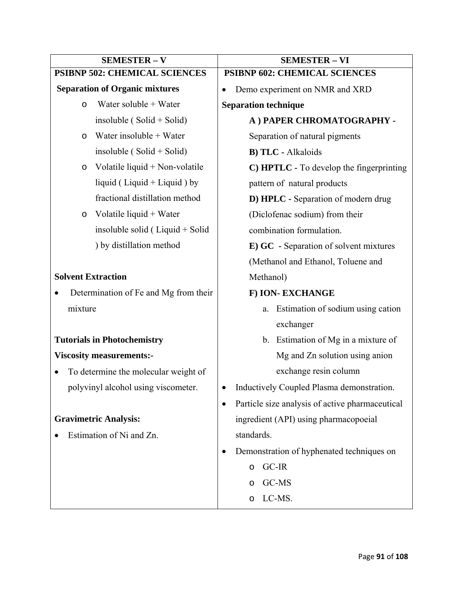| <b>SEMESTER - V</b>                       | <b>SEMESTER - VI</b>                                 |  |  |  |  |
|-------------------------------------------|------------------------------------------------------|--|--|--|--|
| <b>PSIBNP 502: CHEMICAL SCIENCES</b>      | PSIBNP 602: CHEMICAL SCIENCES                        |  |  |  |  |
| <b>Separation of Organic mixtures</b>     | Demo experiment on NMR and XRD                       |  |  |  |  |
| Water soluble + Water<br>$\circ$          | <b>Separation technique</b>                          |  |  |  |  |
| insoluble ( $Solid + Solid$ )             | A) PAPER CHROMATOGRAPHY -                            |  |  |  |  |
| Water insoluble + Water<br>$\circ$        | Separation of natural pigments                       |  |  |  |  |
| insoluble ( $Solid + Solid$ )             | <b>B) TLC - Alkaloids</b>                            |  |  |  |  |
| Volatile liquid + Non-volatile<br>$\circ$ | C) HPTLC - To develop the fingerprinting             |  |  |  |  |
| liquid (Liquid + Liquid ) by              | pattern of natural products                          |  |  |  |  |
| fractional distillation method            | D) HPLC - Separation of modern drug                  |  |  |  |  |
| Volatile liquid + Water<br>$\circ$        | (Diclofenac sodium) from their                       |  |  |  |  |
| insoluble solid ( $Liquid + Solid$        | combination formulation.                             |  |  |  |  |
| ) by distillation method                  | <b>E) GC</b> - Separation of solvent mixtures        |  |  |  |  |
|                                           | (Methanol and Ethanol, Toluene and                   |  |  |  |  |
| <b>Solvent Extraction</b>                 | Methanol)                                            |  |  |  |  |
| Determination of Fe and Mg from their     | F) ION-EXCHANGE                                      |  |  |  |  |
| mixture                                   | Estimation of sodium using cation<br>a.              |  |  |  |  |
|                                           | exchanger                                            |  |  |  |  |
| <b>Tutorials in Photochemistry</b>        | b. Estimation of Mg in a mixture of                  |  |  |  |  |
| <b>Viscosity measurements:-</b>           | Mg and Zn solution using anion                       |  |  |  |  |
| To determine the molecular weight of      | exchange resin column                                |  |  |  |  |
| polyvinyl alcohol using viscometer.       | Inductively Coupled Plasma demonstration.            |  |  |  |  |
|                                           | Particle size analysis of active pharmaceutical<br>٠ |  |  |  |  |
| <b>Gravimetric Analysis:</b>              | ingredient (API) using pharmacopoeial                |  |  |  |  |
| Estimation of Ni and Zn.                  | standards.                                           |  |  |  |  |
|                                           | Demonstration of hyphenated techniques on<br>٠       |  |  |  |  |
|                                           | GC-IR<br>$\circ$                                     |  |  |  |  |
|                                           | GC-MS<br>$\circ$                                     |  |  |  |  |
|                                           | LC-MS.<br>$\circ$                                    |  |  |  |  |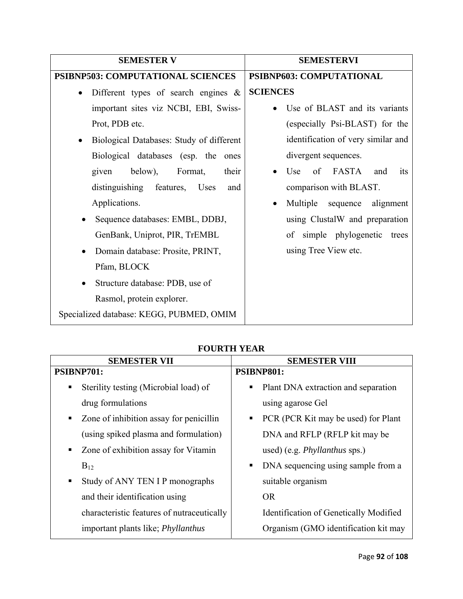| <b>SEMESTER V</b>                                     | <b>SEMESTERVI</b>                              |  |  |  |  |  |
|-------------------------------------------------------|------------------------------------------------|--|--|--|--|--|
| <b>PSIBNP503: COMPUTATIONAL SCIENCES</b>              | PSIBNP603: COMPUTATIONAL                       |  |  |  |  |  |
| Different types of search engines $\&$<br>$\bullet$   | <b>SCIENCES</b>                                |  |  |  |  |  |
| important sites viz NCBI, EBI, Swiss-                 | Use of BLAST and its variants                  |  |  |  |  |  |
| Prot, PDB etc.                                        | (especially Psi-BLAST) for the                 |  |  |  |  |  |
| Biological Databases: Study of different<br>$\bullet$ | identification of very similar and             |  |  |  |  |  |
| Biological databases (esp. the ones                   | divergent sequences.                           |  |  |  |  |  |
| below),<br>Format,<br>their<br>given                  | of FASTA and<br>Use<br><i>its</i><br>$\bullet$ |  |  |  |  |  |
| distinguishing features, Uses<br>and                  | comparison with BLAST.                         |  |  |  |  |  |
| Applications.                                         | Multiple sequence<br>alignment<br>$\bullet$    |  |  |  |  |  |
| Sequence databases: EMBL, DDBJ,                       | using ClustalW and preparation                 |  |  |  |  |  |
| GenBank, Uniprot, PIR, TrEMBL                         | of simple phylogenetic trees                   |  |  |  |  |  |
| Domain database: Prosite, PRINT,<br>$\bullet$         | using Tree View etc.                           |  |  |  |  |  |
| Pfam, BLOCK                                           |                                                |  |  |  |  |  |
| Structure database: PDB, use of                       |                                                |  |  |  |  |  |
| Rasmol, protein explorer.                             |                                                |  |  |  |  |  |
| Specialized database: KEGG, PUBMED, OMIM              |                                                |  |  |  |  |  |

## **FOURTH YEAR**

| <b>SEMESTER VII</b>                          | <b>SEMESTER VIII</b>                     |  |  |  |  |
|----------------------------------------------|------------------------------------------|--|--|--|--|
| PSIBNP701:                                   | PSIBNP801:                               |  |  |  |  |
| Sterility testing (Microbial load) of<br>п   | Plant DNA extraction and separation<br>п |  |  |  |  |
| drug formulations                            | using agarose Gel                        |  |  |  |  |
| Zone of inhibition assay for penicillin<br>ш | PCR (PCR Kit may be used) for Plant<br>٠ |  |  |  |  |
| (using spiked plasma and formulation)        | DNA and RFLP (RFLP kit may be            |  |  |  |  |
| Zone of exhibition assay for Vitamin<br>٠    | used) (e.g. <i>Phyllanthus</i> sps.)     |  |  |  |  |
| $B_{12}$                                     | DNA sequencing using sample from a<br>٠  |  |  |  |  |
| Study of ANY TEN I P monographs              | suitable organism                        |  |  |  |  |
| and their identification using               | <b>OR</b>                                |  |  |  |  |
| characteristic features of nutraceutically   | Identification of Genetically Modified   |  |  |  |  |
| important plants like; <i>Phyllanthus</i>    | Organism (GMO identification kit may     |  |  |  |  |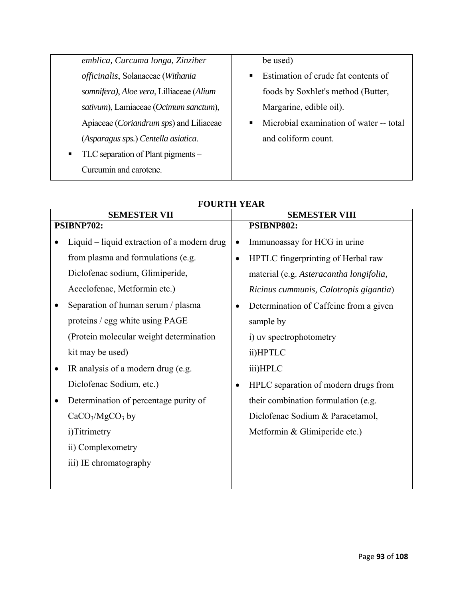| emblica, Curcuma longa, Zinziber                 | be used)                                |
|--------------------------------------------------|-----------------------------------------|
| officinalis, Solanaceae (Withania                | Estimation of crude fat contents of     |
| somnifera), Aloe vera, Lilliaceae (Alium         | foods by Soxhlet's method (Butter,      |
| sativum), Lamiaceae (Ocimum sanctum),            | Margarine, edible oil).                 |
| Apiaceae ( <i>Coriandrum sps</i> ) and Liliaceae | Microbial examination of water -- total |
| (Asparagus sps.) Centella asiatica.              | and coliform count.                     |
| TLC separation of Plant pigments –               |                                         |
| Curcumin and carotene.                           |                                         |
|                                                  |                                         |

|           | <b>SEMESTER VII</b>                         |           | <b>SEMESTER VIII</b>                    |  |  |  |
|-----------|---------------------------------------------|-----------|-----------------------------------------|--|--|--|
|           | PSIBNP702:                                  |           | PSIBNP802:                              |  |  |  |
|           | Liquid – liquid extraction of a modern drug | $\bullet$ | Immunoassay for HCG in urine            |  |  |  |
|           | from plasma and formulations (e.g.          | $\bullet$ | HPTLC fingerprinting of Herbal raw      |  |  |  |
|           | Diclofenac sodium, Glimiperide,             |           | material (e.g. Asteracantha longifolia, |  |  |  |
|           | Aceclofenac, Metformin etc.)                |           | Ricinus cummunis, Calotropis gigantia)  |  |  |  |
|           | Separation of human serum / plasma          | $\bullet$ | Determination of Caffeine from a given  |  |  |  |
|           | proteins / egg white using PAGE             |           | sample by                               |  |  |  |
|           | (Protein molecular weight determination     |           | i) uv spectrophotometry                 |  |  |  |
|           | kit may be used)                            |           | ii)HPTLC                                |  |  |  |
| $\bullet$ | IR analysis of a modern drug (e.g.          |           | iii)HPLC                                |  |  |  |
|           | Diclofenac Sodium, etc.)                    | $\bullet$ | HPLC separation of modern drugs from    |  |  |  |
| ٠         | Determination of percentage purity of       |           | their combination formulation (e.g.     |  |  |  |
|           | $CaCO3/MgCO3$ by                            |           | Diclofenac Sodium & Paracetamol,        |  |  |  |
|           | i)Titrimetry                                |           | Metformin & Glimiperide etc.)           |  |  |  |
|           | ii) Complexometry                           |           |                                         |  |  |  |
|           | iii) IE chromatography                      |           |                                         |  |  |  |
|           |                                             |           |                                         |  |  |  |

## **FOURTH YEAR**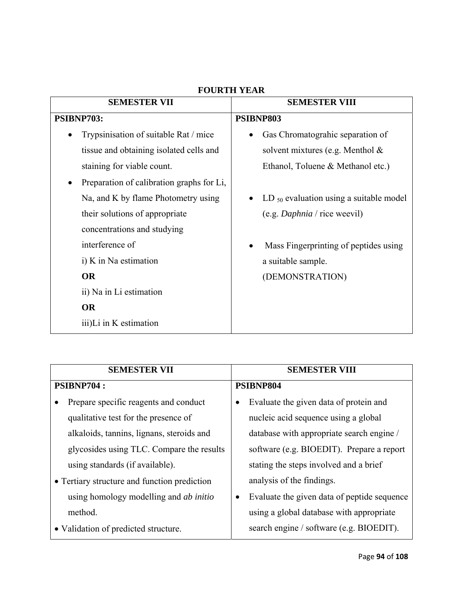| <b>SEMESTER VII</b>                                    | <b>SEMESTER VIII</b>                                      |  |  |  |  |
|--------------------------------------------------------|-----------------------------------------------------------|--|--|--|--|
| PSIBNP703:                                             | PSIBNP803                                                 |  |  |  |  |
| Trypsinisation of suitable Rat / mice<br>$\bullet$     | Gas Chromatograhic separation of<br>$\bullet$             |  |  |  |  |
| tissue and obtaining isolated cells and                | solvent mixtures (e.g. Menthol $\&$                       |  |  |  |  |
| staining for viable count.                             | Ethanol, Toluene & Methanol etc.)                         |  |  |  |  |
| Preparation of calibration graphs for Li,<br>$\bullet$ |                                                           |  |  |  |  |
| Na, and K by flame Photometry using                    | LD $_{50}$ evaluation using a suitable model<br>$\bullet$ |  |  |  |  |
| their solutions of appropriate                         | (e.g. Daphnia / rice weekil)                              |  |  |  |  |
| concentrations and studying                            |                                                           |  |  |  |  |
| interference of                                        | Mass Fingerprinting of peptides using                     |  |  |  |  |
| i) K in Na estimation                                  | a suitable sample.                                        |  |  |  |  |
| <b>OR</b>                                              | (DEMONSTRATION)                                           |  |  |  |  |
| ii) Na in Li estimation                                |                                                           |  |  |  |  |
| <b>OR</b>                                              |                                                           |  |  |  |  |
| iii)Li in K estimation                                 |                                                           |  |  |  |  |

## **FOURTH YEAR**

| <b>SEMESTER VII</b>                           | <b>SEMESTER VIII</b>                        |  |  |  |  |
|-----------------------------------------------|---------------------------------------------|--|--|--|--|
| <b>PSIBNP704:</b>                             | PSIBNP804                                   |  |  |  |  |
| Prepare specific reagents and conduct         | Evaluate the given data of protein and      |  |  |  |  |
| qualitative test for the presence of          | nucleic acid sequence using a global        |  |  |  |  |
| alkaloids, tannins, lignans, steroids and     | database with appropriate search engine /   |  |  |  |  |
| glycosides using TLC. Compare the results     | software (e.g. BIOEDIT). Prepare a report   |  |  |  |  |
| using standards (if available).               | stating the steps involved and a brief      |  |  |  |  |
| • Tertiary structure and function prediction  | analysis of the findings.                   |  |  |  |  |
| using homology modelling and <i>ab initio</i> | Evaluate the given data of peptide sequence |  |  |  |  |
| method.                                       | using a global database with appropriate    |  |  |  |  |
| • Validation of predicted structure.          | search engine / software (e.g. BIOEDIT).    |  |  |  |  |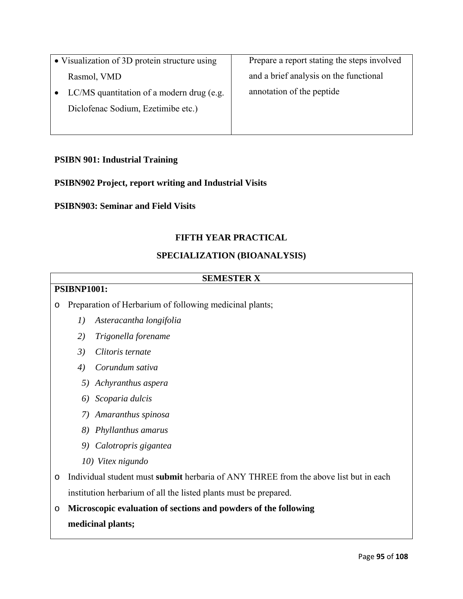• Visualization of 3D protein structure using Rasmol, VMD • LC/MS quantitation of a modern drug (e.g. Diclofenac Sodium, Ezetimibe etc.) Prepare a report stating the steps involved and a brief analysis on the functional annotation of the peptide

## **PSIBN 901: Industrial Training**

## **PSIBN902 Project, report writing and Industrial Visits**

#### **PSIBN903: Seminar and Field Visits**

#### **FIFTH YEAR PRACTICAL**

#### **SPECIALIZATION (BIOANALYSIS)**

#### **SEMESTER X**

## **PSIBNP1001:**

o Preparation of Herbarium of following medicinal plants;

- *1) Asteracantha longifolia*
- *2) Trigonella forename*
- *3) Clitoris ternate*
- *4) Corundum sativa*
- *5) Achyranthus aspera*
- *6) Scoparia dulcis*
- *7) Amaranthus spinosa*
- *8) Phyllanthus amarus*
- *9) Calotropris gigantea*
- *10) Vitex nigundo*
- o Individual student must **submit** herbaria of ANY THREE from the above list but in each institution herbarium of all the listed plants must be prepared.

o **Microscopic evaluation of sections and powders of the following medicinal plants;**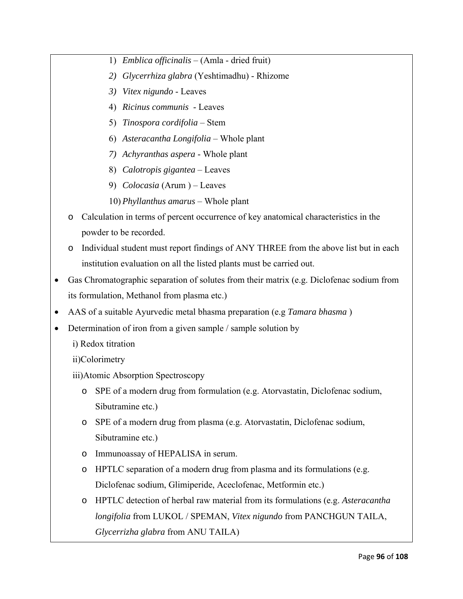- 1) *Emblica officinalis* (Amla dried fruit)
- *2) Glycerrhiza glabra* (Yeshtimadhu) Rhizome
- *3) Vitex nigundo* Leaves
- 4) *Ricinus communis*  Leaves
- 5) *Tinospora cordifolia* Stem
- 6) *Asteracantha Longifolia* Whole plant
- *7) Achyranthas aspera* Whole plant
- 8) *Calotropis gigantea* Leaves
- 9) *Colocasia* (Arum ) Leaves
- 10) *Phyllanthus amarus* Whole plant
- o Calculation in terms of percent occurrence of key anatomical characteristics in the powder to be recorded.
- o Individual student must report findings of ANY THREE from the above list but in each institution evaluation on all the listed plants must be carried out.
- Gas Chromatographic separation of solutes from their matrix (e.g. Diclofenac sodium from its formulation, Methanol from plasma etc.)
- AAS of a suitable Ayurvedic metal bhasma preparation (e.g *Tamara bhasma* )
- Determination of iron from a given sample / sample solution by
	- i) Redox titration

ii)Colorimetry

- iii)Atomic Absorption Spectroscopy
	- o SPE of a modern drug from formulation (e.g. Atorvastatin, Diclofenac sodium, Sibutramine etc.)
	- o SPE of a modern drug from plasma (e.g. Atorvastatin, Diclofenac sodium, Sibutramine etc.)
	- o Immunoassay of HEPALISA in serum.
	- o HPTLC separation of a modern drug from plasma and its formulations (e.g. Diclofenac sodium, Glimiperide, Aceclofenac, Metformin etc.)
	- o HPTLC detection of herbal raw material from its formulations (e.g. *Asteracantha longifolia* from LUKOL / SPEMAN, *Vitex nigundo* from PANCHGUN TAILA, *Glycerrizha glabra* from ANU TAILA)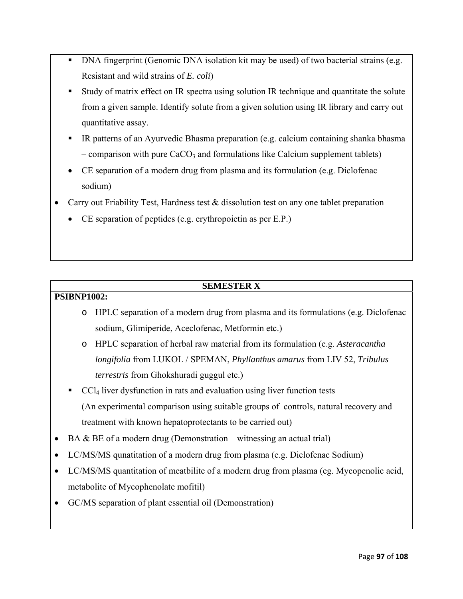- DNA fingerprint (Genomic DNA isolation kit may be used) of two bacterial strains (e.g. Resistant and wild strains of *E. coli*)
- Study of matrix effect on IR spectra using solution IR technique and quantitate the solute from a given sample. Identify solute from a given solution using IR library and carry out quantitative assay.
- IR patterns of an Ayurvedic Bhasma preparation (e.g. calcium containing shanka bhasma – comparison with pure  $CaCO<sub>3</sub>$  and formulations like Calcium supplement tablets)
- CE separation of a modern drug from plasma and its formulation (e.g. Diclofenac sodium)
- Carry out Friability Test, Hardness test & dissolution test on any one tablet preparation
	- CE separation of peptides (e.g. erythropoietin as per E.P.)

## **SEMESTER X**

## **PSIBNP1002:**

- o HPLC separation of a modern drug from plasma and its formulations (e.g. Diclofenac sodium, Glimiperide, Aceclofenac, Metformin etc.)
- o HPLC separation of herbal raw material from its formulation (e.g. *Asteracantha longifolia* from LUKOL / SPEMAN, *Phyllanthus amarus* from LIV 52, *Tribulus terrestris* from Ghokshuradi guggul etc.)

 CCl4 liver dysfunction in rats and evaluation using liver function tests (An experimental comparison using suitable groups of controls, natural recovery and treatment with known hepatoprotectants to be carried out)

- BA  $\&$  BE of a modern drug (Demonstration witnessing an actual trial)
- LC/MS/MS qunatitation of a modern drug from plasma (e.g. Diclofenac Sodium)
- LC/MS/MS quantitation of meatbilite of a modern drug from plasma (eg. Mycopenolic acid, metabolite of Mycophenolate mofitil)
- GC/MS separation of plant essential oil (Demonstration)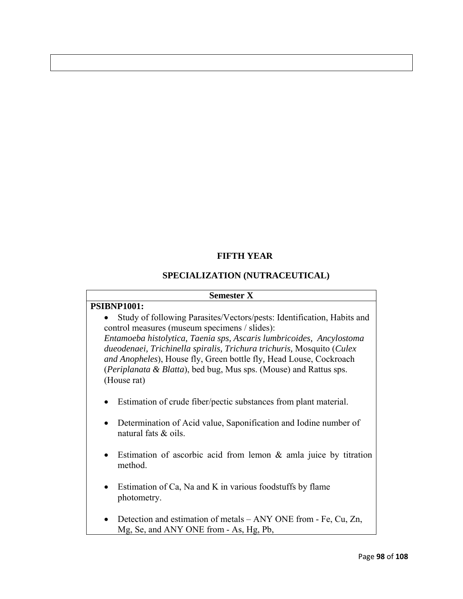## **FIFTH YEAR**

## **SPECIALIZATION (NUTRACEUTICAL)**

#### **Semester X**

#### **PSIBNP1001:**

• Study of following Parasites/Vectors/pests: Identification, Habits and control measures (museum specimens / slides):

*Entamoeba histolytica, Taenia sps, Ascaris lumbricoides, Ancylostoma dueodenaei, Trichinella spiralis, Trichura trichuris,* Mosquito (*Culex and Anopheles*), House fly, Green bottle fly*,* Head Louse, Cockroach (*Periplanata & Blatta*), bed bug, Mus sps. (Mouse) and Rattus sps. (House rat)

- Estimation of crude fiber/pectic substances from plant material.
- Determination of Acid value, Saponification and Iodine number of natural fats & oils.
- Estimation of ascorbic acid from lemon & amla juice by titration method.
- Estimation of Ca, Na and K in various foodstuffs by flame photometry.
- Detection and estimation of metals ANY ONE from Fe, Cu, Zn, Mg, Se, and ANY ONE from - As, Hg, Pb,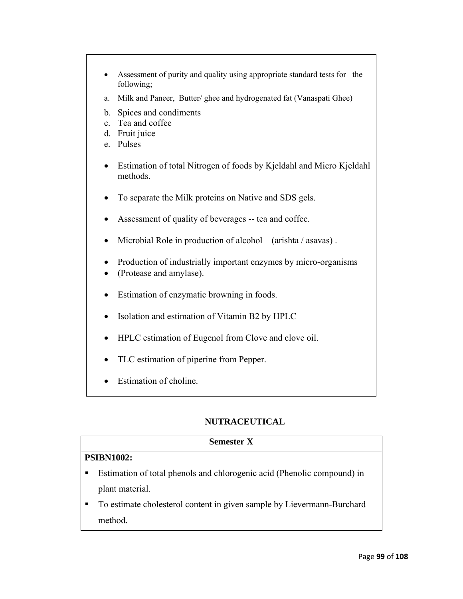- Assessment of purity and quality using appropriate standard tests for the following;
- a. Milk and Paneer, Butter/ ghee and hydrogenated fat (Vanaspati Ghee)
- b. Spices and condiments
- c. Tea and coffee
- d. Fruit juice
- e. Pulses
- Estimation of total Nitrogen of foods by Kjeldahl and Micro Kjeldahl methods.
- To separate the Milk proteins on Native and SDS gels.
- Assessment of quality of beverages -- tea and coffee.
- Microbial Role in production of alcohol (arishta / asavas).
- Production of industrially important enzymes by micro-organisms
- (Protease and amylase).
- Estimation of enzymatic browning in foods.
- Isolation and estimation of Vitamin B2 by HPLC
- HPLC estimation of Eugenol from Clove and clove oil.
- TLC estimation of piperine from Pepper.
- Estimation of choline.

## **NUTRACEUTICAL**

## **Semester X**

## **PSIBN1002:**

- Estimation of total phenols and chlorogenic acid (Phenolic compound) in plant material.
- To estimate cholesterol content in given sample by Lievermann-Burchard method.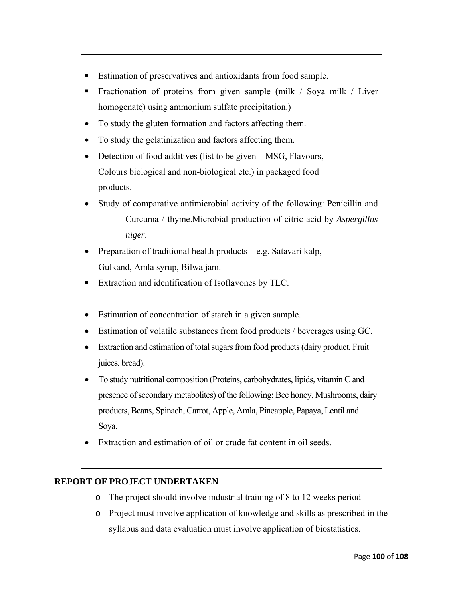- Estimation of preservatives and antioxidants from food sample.
- Fractionation of proteins from given sample (milk / Soya milk / Liver homogenate) using ammonium sulfate precipitation.)
- To study the gluten formation and factors affecting them.
- To study the gelatinization and factors affecting them.
- Detection of food additives (list to be given MSG, Flavours, Colours biological and non-biological etc.) in packaged food products.
- Study of comparative antimicrobial activity of the following: Penicillin and Curcuma / thyme.Microbial production of citric acid by *Aspergillus niger*.
- Preparation of traditional health products e.g. Satavari kalp, Gulkand, Amla syrup, Bilwa jam.
- **Extraction and identification of Isoflavones by TLC.**
- Estimation of concentration of starch in a given sample.
- Estimation of volatile substances from food products / beverages using GC.
- Extraction and estimation of total sugars from food products (dairy product, Fruit juices, bread).
- To study nutritional composition (Proteins, carbohydrates, lipids, vitamin C and presence of secondary metabolites) of the following: Bee honey, Mushrooms, dairy products, Beans, Spinach, Carrot, Apple, Amla, Pineapple, Papaya, Lentil and Soya.
- Extraction and estimation of oil or crude fat content in oil seeds.

## **REPORT OF PROJECT UNDERTAKEN**

- o The project should involve industrial training of 8 to 12 weeks period
- o Project must involve application of knowledge and skills as prescribed in the syllabus and data evaluation must involve application of biostatistics.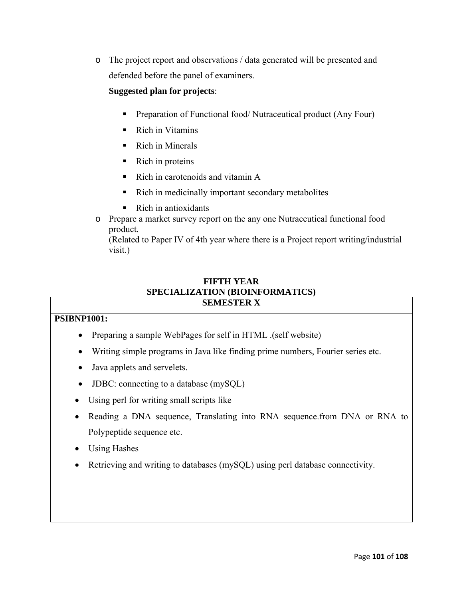o The project report and observations / data generated will be presented and defended before the panel of examiners.

## **Suggested plan for projects**:

- Preparation of Functional food/ Nutraceutical product (Any Four)
- Rich in Vitamins
- Rich in Minerals
- $\blacksquare$  Rich in proteins
- Rich in carotenoids and vitamin A
- Rich in medicinally important secondary metabolites
- $\blacksquare$  Rich in antioxidants
- o Prepare a market survey report on the any one Nutraceutical functional food product.

(Related to Paper IV of 4th year where there is a Project report writing/industrial visit.)

## **FIFTH YEAR SPECIALIZATION (BIOINFORMATICS) SEMESTER X**

## **PSIBNP1001:**

- Preparing a sample WebPages for self in HTML .(self website)
- Writing simple programs in Java like finding prime numbers, Fourier series etc.
- Java applets and servelets.
- **JDBC**: connecting to a database (mySQL)
- Using perl for writing small scripts like
- Reading a DNA sequence, Translating into RNA sequence.from DNA or RNA to Polypeptide sequence etc.
- Using Hashes
- Retrieving and writing to databases (mySQL) using perl database connectivity.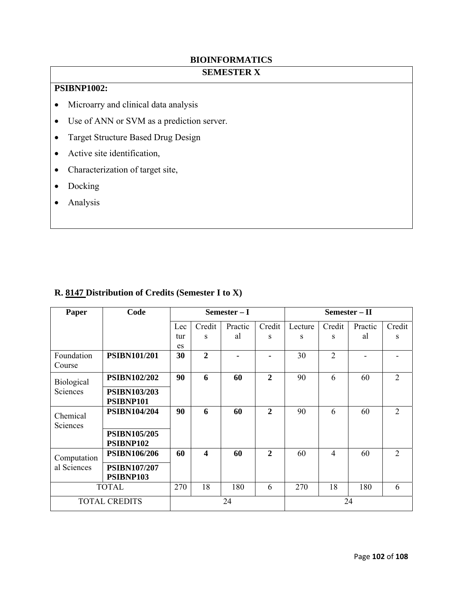## **BIOINFORMATICS**

## **SEMESTER X**

## **PSIBNP1002:**

- Microarry and clinical data analysis
- Use of ANN or SVM as a prediction server.
- Target Structure Based Drug Design
- Active site identification,
- Characterization of target site,
- Docking
- Analysis

| Paper                | Code                             | Semester - I |                         |         | $Semester - II$ |         |                |         |                             |
|----------------------|----------------------------------|--------------|-------------------------|---------|-----------------|---------|----------------|---------|-----------------------------|
|                      |                                  | Lec          | Credit                  | Practic | Credit          | Lecture | Credit         | Practic | Credit                      |
|                      |                                  | tur          | S                       | al      | S               | S       | S              | al      | S                           |
|                      |                                  | es           |                         |         |                 |         |                |         |                             |
| Foundation<br>Course | <b>PSIBN101/201</b>              | 30           | $\overline{2}$          |         | $\blacksquare$  | 30      | 2              |         |                             |
| Biological           | <b>PSIBN102/202</b>              | 90           | 6                       | 60      | $\mathbf{2}$    | 90      | 6              | 60      | 2                           |
| Sciences             | <b>PSIBN103/203</b><br>PSIBNP101 |              |                         |         |                 |         |                |         |                             |
| Chemical<br>Sciences | <b>PSIBN104/204</b>              | 90           | 6                       | 60      | $\overline{2}$  | 90      | 6              | 60      | $\mathcal{D}_{\mathcal{L}}$ |
|                      | <b>PSIBN105/205</b><br>PSIBNP102 |              |                         |         |                 |         |                |         |                             |
| Computation          | <b>PSIBN106/206</b>              | 60           | $\overline{\mathbf{4}}$ | 60      | $\overline{2}$  | 60      | $\overline{4}$ | 60      | 2                           |
| al Sciences          | <b>PSIBN107/207</b><br>PSIBNP103 |              |                         |         |                 |         |                |         |                             |
| <b>TOTAL</b>         |                                  | 270          | 18                      | 180     | 6               | 270     | 18             | 180     | 6                           |
| <b>TOTAL CREDITS</b> |                                  | 24           |                         |         | 24              |         |                |         |                             |

## **R. 8147 Distribution of Credits (Semester I to X)**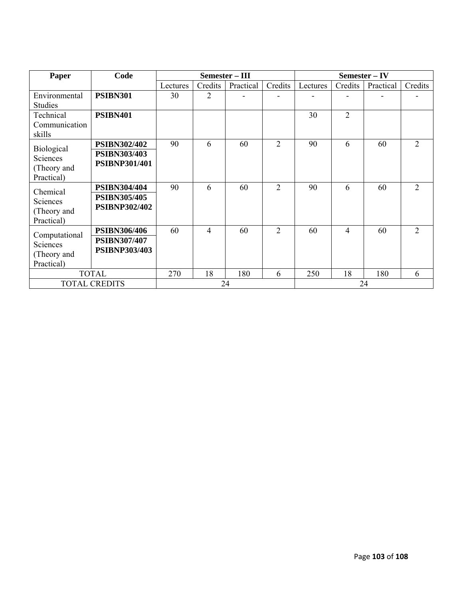| Paper                                                      | Code                                                        |          | Semester - III |           |                | Semester - IV |                |           |                |  |
|------------------------------------------------------------|-------------------------------------------------------------|----------|----------------|-----------|----------------|---------------|----------------|-----------|----------------|--|
|                                                            |                                                             | Lectures | Credits        | Practical | Credits        | Lectures      | Credits        | Practical | Credits        |  |
| Environmental<br><b>Studies</b>                            | <b>PSIBN301</b>                                             | 30       | 2              |           |                |               |                |           |                |  |
| Technical<br>Communication<br>skills                       | <b>PSIBN401</b>                                             |          |                |           |                | 30            | $\overline{2}$ |           |                |  |
| <b>Biological</b><br>Sciences<br>(Theory and<br>Practical) | PSIBN302/402<br><b>PSIBN303/403</b><br><b>PSIBNP301/401</b> | 90       | 6              | 60        | $\overline{2}$ | 90            | 6              | 60        | $\overline{2}$ |  |
| Chemical<br>Sciences<br>(Theory and<br>Practical)          | PSIBN304/404<br><b>PSIBN305/405</b><br><b>PSIBNP302/402</b> | 90       | 6              | 60        | $\overline{2}$ | 90            | 6              | 60        | $\overline{2}$ |  |
| Computational<br>Sciences<br>(Theory and<br>Practical)     | PSIBN306/406<br><b>PSIBN307/407</b><br><b>PSIBNP303/403</b> | 60       | 4              | 60        | $\overline{2}$ | 60            | $\overline{4}$ | 60        | $\overline{2}$ |  |
| <b>TOTAL</b>                                               |                                                             | 270      | 18             | 180       | 6              | 250           | 18             | 180       | 6              |  |
| <b>TOTAL CREDITS</b>                                       |                                                             | 24       |                |           |                | 24            |                |           |                |  |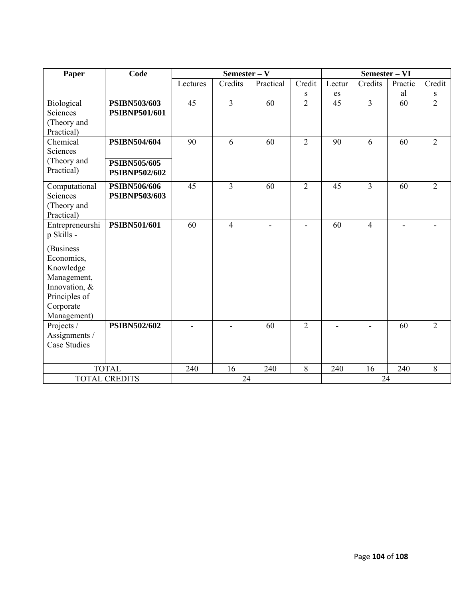| Paper                | Code                 |          |                | Semester - VI |                          |                            |                |         |                |
|----------------------|----------------------|----------|----------------|---------------|--------------------------|----------------------------|----------------|---------|----------------|
|                      |                      | Lectures | Credits        | Practical     | Credit                   | Lectur                     | Credits        | Practic | Credit         |
|                      |                      |          |                |               | S                        | $\mathop{\rm es}\nolimits$ |                | al      | S              |
| Biological           | <b>PSIBN503/603</b>  | 45       | $\overline{3}$ | 60            | $\overline{2}$           | $\overline{45}$            | $\overline{3}$ | 60      | $\overline{2}$ |
| Sciences             | <b>PSIBNP501/601</b> |          |                |               |                          |                            |                |         |                |
| (Theory and          |                      |          |                |               |                          |                            |                |         |                |
| Practical)           |                      |          |                |               |                          |                            |                |         |                |
| Chemical             | <b>PSIBN504/604</b>  | 90       | 6              | 60            | $\overline{2}$           | 90                         | 6              | 60      | $\overline{2}$ |
| Sciences             |                      |          |                |               |                          |                            |                |         |                |
| (Theory and          | <b>PSIBN505/605</b>  |          |                |               |                          |                            |                |         |                |
| Practical)           | <b>PSIBNP502/602</b> |          |                |               |                          |                            |                |         |                |
| Computational        | PSIBN506/606         | 45       | $\overline{3}$ | 60            | $\overline{2}$           | 45                         | $\overline{3}$ | 60      | $\overline{2}$ |
| Sciences             | <b>PSIBNP503/603</b> |          |                |               |                          |                            |                |         |                |
| (Theory and          |                      |          |                |               |                          |                            |                |         |                |
| Practical)           |                      |          |                |               |                          |                            |                |         |                |
| Entrepreneurshi      | <b>PSIBN501/601</b>  | 60       | $\overline{4}$ |               | $\overline{\phantom{a}}$ | 60                         | $\overline{4}$ |         |                |
| p Skills -           |                      |          |                |               |                          |                            |                |         |                |
| (Business            |                      |          |                |               |                          |                            |                |         |                |
| Economics,           |                      |          |                |               |                          |                            |                |         |                |
| Knowledge            |                      |          |                |               |                          |                            |                |         |                |
| Management,          |                      |          |                |               |                          |                            |                |         |                |
| Innovation, &        |                      |          |                |               |                          |                            |                |         |                |
| Principles of        |                      |          |                |               |                          |                            |                |         |                |
| Corporate            |                      |          |                |               |                          |                            |                |         |                |
| Management)          |                      |          |                |               |                          |                            |                |         |                |
| Projects /           | <b>PSIBN502/602</b>  |          |                | 60            | $\overline{2}$           |                            |                | 60      | $\overline{2}$ |
| Assignments /        |                      |          |                |               |                          |                            |                |         |                |
| <b>Case Studies</b>  |                      |          |                |               |                          |                            |                |         |                |
|                      |                      |          |                |               |                          |                            |                |         |                |
|                      | <b>TOTAL</b>         | 240      | 16             | 240           | 8                        | 240                        | 16             | 240     | 8              |
| <b>TOTAL CREDITS</b> |                      | 24       |                |               |                          | 24                         |                |         |                |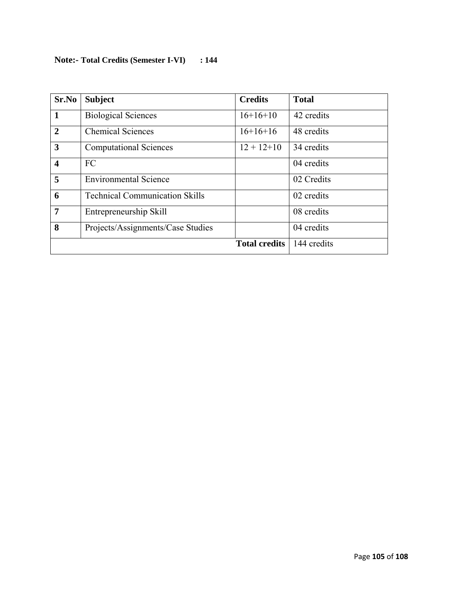## **Note:- Total Credits (Semester I-VI) : 144**

| Sr.No                   | <b>Subject</b>                        | <b>Credits</b>       | <b>Total</b> |
|-------------------------|---------------------------------------|----------------------|--------------|
| $\mathbf 1$             | <b>Biological Sciences</b>            | $16+16+10$           | 42 credits   |
| $\overline{2}$          | <b>Chemical Sciences</b>              | $16+16+16$           | 48 credits   |
| 3                       | <b>Computational Sciences</b>         | $12 + 12 + 10$       | 34 credits   |
| $\overline{\mathbf{4}}$ | FC                                    |                      | 04 credits   |
| 5                       | <b>Environmental Science</b>          |                      | 02 Credits   |
| 6                       | <b>Technical Communication Skills</b> |                      | 02 credits   |
| 7                       | Entrepreneurship Skill                |                      | 08 credits   |
| 8                       | Projects/Assignments/Case Studies     |                      | 04 credits   |
|                         |                                       | <b>Total credits</b> | 144 credits  |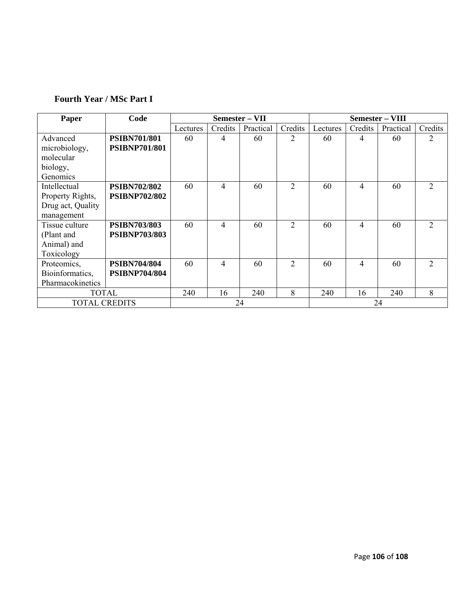## **Fourth Year / MSc Part I**

| Paper                | Code                 | Semester – VII |         |           | Semester – VIII |          |         |           |                             |
|----------------------|----------------------|----------------|---------|-----------|-----------------|----------|---------|-----------|-----------------------------|
|                      |                      | Lectures       | Credits | Practical | Credits         | Lectures | Credits | Practical | Credits                     |
| Advanced             | <b>PSIBN701/801</b>  | 60             | 4       | 60        | 2               | 60       | 4       | 60        | 2                           |
| microbiology,        | <b>PSIBNP701/801</b> |                |         |           |                 |          |         |           |                             |
| molecular            |                      |                |         |           |                 |          |         |           |                             |
| biology,             |                      |                |         |           |                 |          |         |           |                             |
| Genomics             |                      |                |         |           |                 |          |         |           |                             |
| Intellectual         | <b>PSIBN702/802</b>  | 60             | 4       | 60        | $\overline{2}$  | 60       | 4       | 60        | 2                           |
| Property Rights,     | <b>PSIBNP702/802</b> |                |         |           |                 |          |         |           |                             |
| Drug act, Quality    |                      |                |         |           |                 |          |         |           |                             |
| management           |                      |                |         |           |                 |          |         |           |                             |
| Tissue culture       | <b>PSIBN703/803</b>  | 60             | 4       | 60        | $\overline{2}$  | 60       | 4       | 60        | $\mathcal{D}_{\mathcal{L}}$ |
| (Plant and           | <b>PSIBNP703/803</b> |                |         |           |                 |          |         |           |                             |
| Animal) and          |                      |                |         |           |                 |          |         |           |                             |
| Toxicology           |                      |                |         |           |                 |          |         |           |                             |
| Proteomics,          | <b>PSIBN704/804</b>  | 60             | 4       | 60        | $\overline{2}$  | 60       | 4       | 60        | $\overline{2}$              |
| Bioinformatics,      | <b>PSIBNP704/804</b> |                |         |           |                 |          |         |           |                             |
| Pharmacokinetics     |                      |                |         |           |                 |          |         |           |                             |
| <b>TOTAL</b>         |                      | 240            | 16      | 240       | 8               | 240      | 16      | 240       | 8                           |
| <b>TOTAL CREDITS</b> |                      |                |         | 24        |                 |          |         | 24        |                             |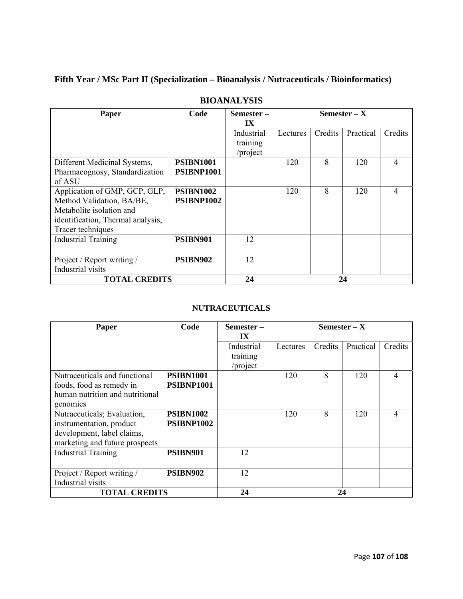## **Fifth Year / MSc Part II (Specialization – Bioanalysis / Nutraceuticals / Bioinformatics)**

| Paper                                                                                                                                            | Code                           | Semester-<br>IX                    | Semester $- X$ |         |           |         |
|--------------------------------------------------------------------------------------------------------------------------------------------------|--------------------------------|------------------------------------|----------------|---------|-----------|---------|
|                                                                                                                                                  |                                | Industrial<br>training<br>/project | Lectures       | Credits | Practical | Credits |
| Different Medicinal Systems,<br>Pharmacognosy, Standardization<br>of ASU                                                                         | <b>PSIBN1001</b><br>PSIBNP1001 |                                    | 120            | 8       | 120       | 4       |
| Application of GMP, GCP, GLP,<br>Method Validation, BA/BE,<br>Metabolite isolation and<br>identification, Thermal analysis,<br>Tracer techniques | <b>PSIBN1002</b><br>PSIBNP1002 |                                    | 120            | 8       | 120       | 4       |
| <b>Industrial Training</b>                                                                                                                       | PSIBN901                       | 12                                 |                |         |           |         |
| Project / Report writing /<br>Industrial visits                                                                                                  | PSIBN902                       | 12                                 |                |         |           |         |
| <b>TOTAL CREDITS</b>                                                                                                                             |                                | 24                                 |                |         | 24        |         |

## **BIOANALYSIS**

## **NUTRACEUTICALS**

| Paper                           | Code             | Semester – | Semester $- X$ |         |           |         |  |
|---------------------------------|------------------|------------|----------------|---------|-----------|---------|--|
|                                 |                  | IX         |                |         |           |         |  |
|                                 |                  | Industrial | Lectures       | Credits | Practical | Credits |  |
|                                 |                  | training   |                |         |           |         |  |
|                                 |                  | /project   |                |         |           |         |  |
| Nutraceuticals and functional   | <b>PSIBN1001</b> |            | 120            | 8       | 120       | 4       |  |
| foods, food as remedy in        | PSIBNP1001       |            |                |         |           |         |  |
| human nutrition and nutritional |                  |            |                |         |           |         |  |
| genomics                        |                  |            |                |         |           |         |  |
| Nutraceuticals; Evaluation,     | <b>PSIBN1002</b> |            | 120            | 8       | 120       | 4       |  |
| instrumentation, product        | PSIBNP1002       |            |                |         |           |         |  |
| development, label claims,      |                  |            |                |         |           |         |  |
| marketing and future prospects  |                  |            |                |         |           |         |  |
| <b>Industrial Training</b>      | PSIBN901         | 12         |                |         |           |         |  |
|                                 |                  |            |                |         |           |         |  |
| Project / Report writing /      | PSIBN902         | 12         |                |         |           |         |  |
| Industrial visits               |                  |            |                |         |           |         |  |
| <b>TOTAL CREDITS</b>            |                  | 24         |                | 24      |           |         |  |